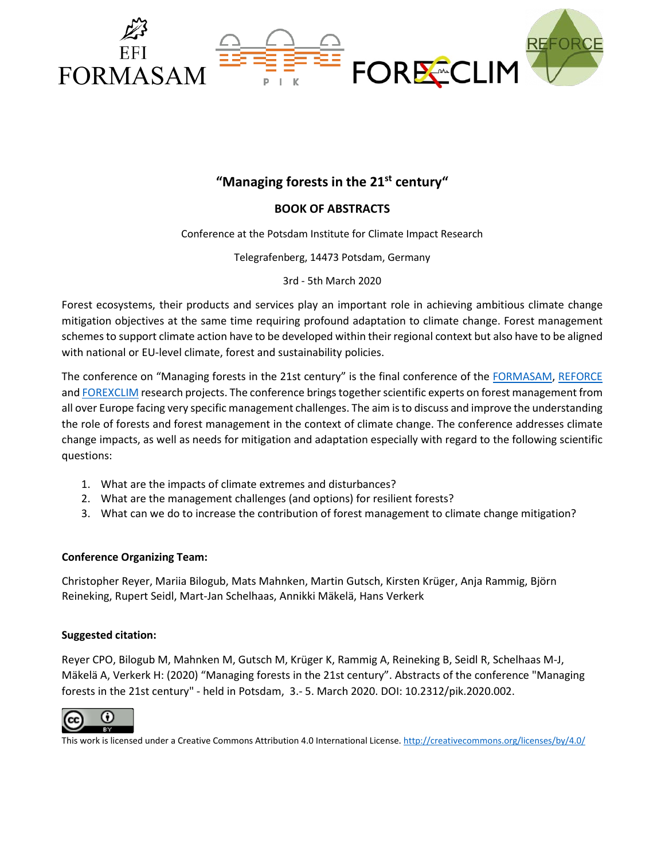



## **BOOK OF ABSTRACTS**

Conference at the Potsdam Institute for Climate Impact Research

Telegrafenberg, 14473 Potsdam, Germany

3rd - 5th March 2020

Forest ecosystems, their products and services play an important role in achieving ambitious climate change mitigation objectives at the same time requiring profound adaptation to climate change. Forest management schemes to support climate action have to be developed within their regional context but also have to be aligned with national or EU-level climate, forest and sustainability policies.

The conference on "Managing forests in the 21st century" is the final conference of the [FORMASAM,](https://www.pik-potsdam.de/research/climate-resilience/projects/project-pages/formasam/about/forest-management-scenarios-for-adaptation-and-mitigation-formasam) [REFORCE](https://www.reforce-project.eu/) and [FOREXCLIM](https://forexclim.eu/) research projects. The conference brings together scientific experts on forest management from all over Europe facing very specific management challenges. The aim isto discuss and improve the understanding the role of forests and forest management in the context of climate change. The conference addresses climate change impacts, as well as needs for mitigation and adaptation especially with regard to the following scientific questions:

- 1. What are the impacts of climate extremes and disturbances?
- 2. What are the management challenges (and options) for resilient forests?
- 3. What can we do to increase the contribution of forest management to climate change mitigation?

#### **Conference Organizing Team:**

Christopher Reyer, Mariia Bilogub, Mats Mahnken, Martin Gutsch, Kirsten Krüger, Anja Rammig, Björn Reineking, Rupert Seidl, Mart-Jan Schelhaas, Annikki Mäkelä, Hans Verkerk

#### **Suggested citation:**

Reyer CPO, Bilogub M, Mahnken M, Gutsch M, Krüger K, Rammig A, Reineking B, Seidl R, Schelhaas M-J, Mäkelä A, Verkerk H: (2020) "Managing forests in the 21st century". Abstracts of the conference "Managing forests in the 21st century" - held in Potsdam, 3.- 5. March 2020. DOI: 10.2312/pik.2020.002.



This work is licensed under a Creative Commons Attribution 4.0 International License.<http://creativecommons.org/licenses/by/4.0/>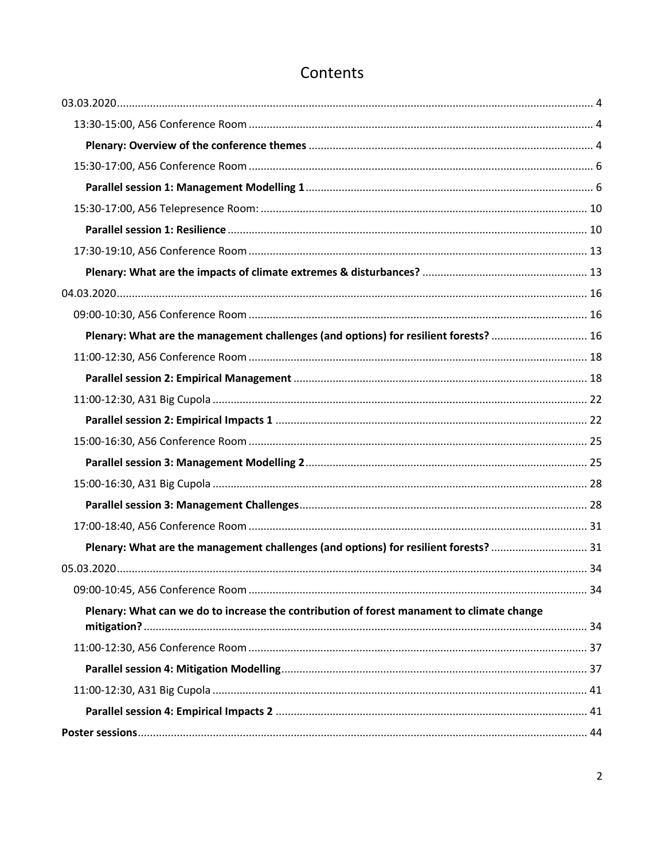| Plenary: What are the management challenges (and options) for resilient forests?  16      |  |
|-------------------------------------------------------------------------------------------|--|
|                                                                                           |  |
|                                                                                           |  |
|                                                                                           |  |
|                                                                                           |  |
|                                                                                           |  |
|                                                                                           |  |
|                                                                                           |  |
|                                                                                           |  |
|                                                                                           |  |
| Plenary: What are the management challenges (and options) for resilient forests?  31      |  |
|                                                                                           |  |
|                                                                                           |  |
| Plenary: What can we do to increase the contribution of forest manament to climate change |  |
|                                                                                           |  |
|                                                                                           |  |
|                                                                                           |  |
|                                                                                           |  |
|                                                                                           |  |

## Contents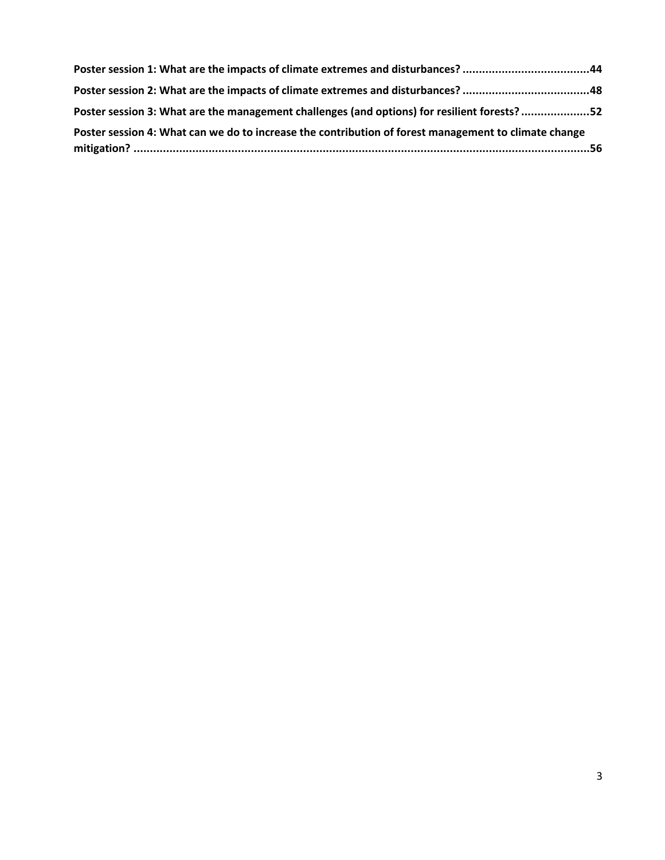| Poster session 1: What are the impacts of climate extremes and disturbances? 44                      |  |
|------------------------------------------------------------------------------------------------------|--|
| Poster session 2: What are the impacts of climate extremes and disturbances? 48                      |  |
| Poster session 3: What are the management challenges (and options) for resilient forests?52          |  |
| Poster session 4: What can we do to increase the contribution of forest management to climate change |  |
|                                                                                                      |  |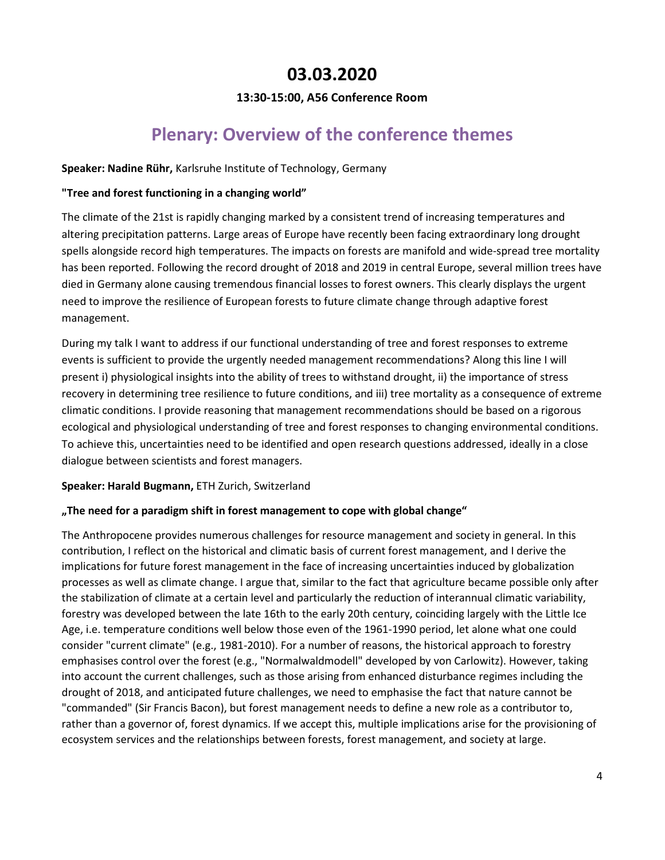## **03.03.2020**

## **13:30-15:00, A56 Conference Room**

## **Plenary: Overview of the conference themes**

### <span id="page-3-2"></span><span id="page-3-1"></span><span id="page-3-0"></span>**Speaker: Nadine Rühr,** Karlsruhe Institute of Technology, Germany

### **"Tree and forest functioning in a changing world"**

The climate of the 21st is rapidly changing marked by a consistent trend of increasing temperatures and altering precipitation patterns. Large areas of Europe have recently been facing extraordinary long drought spells alongside record high temperatures. The impacts on forests are manifold and wide-spread tree mortality has been reported. Following the record drought of 2018 and 2019 in central Europe, several million trees have died in Germany alone causing tremendous financial losses to forest owners. This clearly displays the urgent need to improve the resilience of European forests to future climate change through adaptive forest management.

During my talk I want to address if our functional understanding of tree and forest responses to extreme events is sufficient to provide the urgently needed management recommendations? Along this line I will present i) physiological insights into the ability of trees to withstand drought, ii) the importance of stress recovery in determining tree resilience to future conditions, and iii) tree mortality as a consequence of extreme climatic conditions. I provide reasoning that management recommendations should be based on a rigorous ecological and physiological understanding of tree and forest responses to changing environmental conditions. To achieve this, uncertainties need to be identified and open research questions addressed, ideally in a close dialogue between scientists and forest managers.

## **Speaker: Harald Bugmann,** ETH Zurich, Switzerland

## **"The need for a paradigm shift in forest management to cope with global change"**

The Anthropocene provides numerous challenges for resource management and society in general. In this contribution, I reflect on the historical and climatic basis of current forest management, and I derive the implications for future forest management in the face of increasing uncertainties induced by globalization processes as well as climate change. I argue that, similar to the fact that agriculture became possible only after the stabilization of climate at a certain level and particularly the reduction of interannual climatic variability, forestry was developed between the late 16th to the early 20th century, coinciding largely with the Little Ice Age, i.e. temperature conditions well below those even of the 1961-1990 period, let alone what one could consider "current climate" (e.g., 1981-2010). For a number of reasons, the historical approach to forestry emphasises control over the forest (e.g., "Normalwaldmodell" developed by von Carlowitz). However, taking into account the current challenges, such as those arising from enhanced disturbance regimes including the drought of 2018, and anticipated future challenges, we need to emphasise the fact that nature cannot be "commanded" (Sir Francis Bacon), but forest management needs to define a new role as a contributor to, rather than a governor of, forest dynamics. If we accept this, multiple implications arise for the provisioning of ecosystem services and the relationships between forests, forest management, and society at large.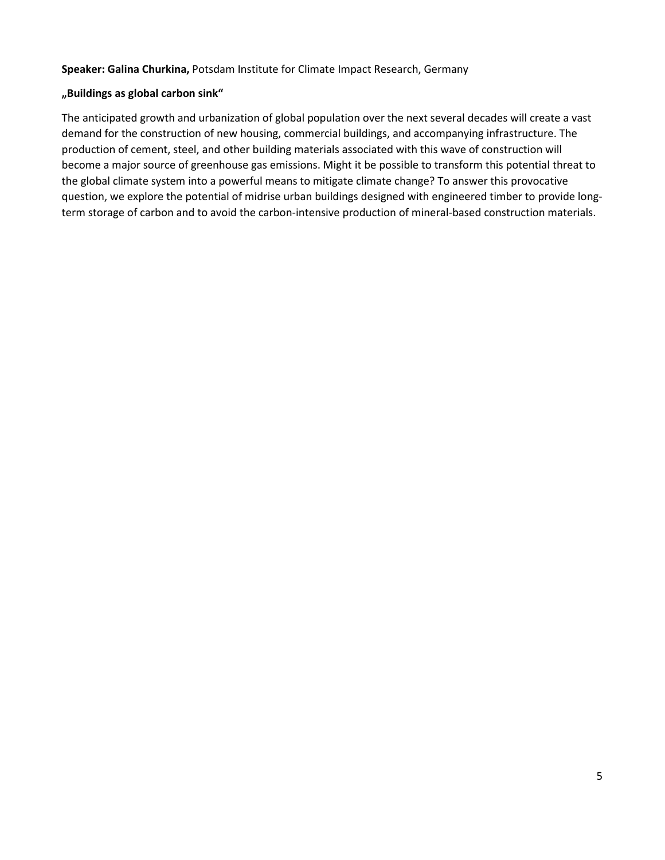#### **Speaker: Galina Churkina,** Potsdam Institute for Climate Impact Research, Germany

#### **"Buildings as global carbon sink"**

The anticipated growth and urbanization of global population over the next several decades will create a vast demand for the construction of new housing, commercial buildings, and accompanying infrastructure. The production of cement, steel, and other building materials associated with this wave of construction will become a major source of greenhouse gas emissions. Might it be possible to transform this potential threat to the global climate system into a powerful means to mitigate climate change? To answer this provocative question, we explore the potential of midrise urban buildings designed with engineered timber to provide longterm storage of carbon and to avoid the carbon-intensive production of mineral-based construction materials.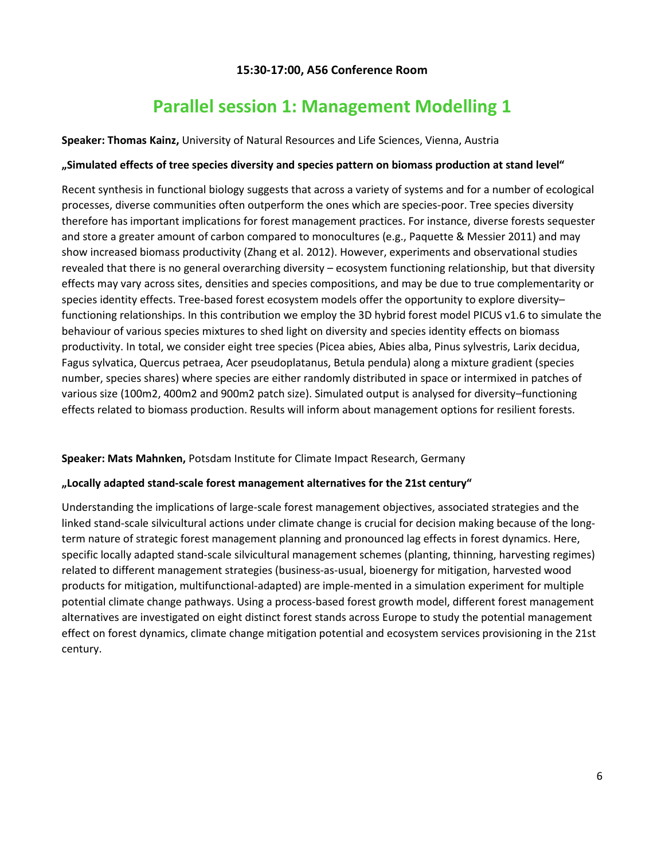## **15:30-17:00, A56 Conference Room**

## **Parallel session 1: Management Modelling 1**

<span id="page-5-1"></span><span id="page-5-0"></span>**Speaker: Thomas Kainz,** University of Natural Resources and Life Sciences, Vienna, Austria

### **"Simulated effects of tree species diversity and species pattern on biomass production at stand level"**

Recent synthesis in functional biology suggests that across a variety of systems and for a number of ecological processes, diverse communities often outperform the ones which are species-poor. Tree species diversity therefore has important implications for forest management practices. For instance, diverse forests sequester and store a greater amount of carbon compared to monocultures (e.g., Paquette & Messier 2011) and may show increased biomass productivity (Zhang et al. 2012). However, experiments and observational studies revealed that there is no general overarching diversity – ecosystem functioning relationship, but that diversity effects may vary across sites, densities and species compositions, and may be due to true complementarity or species identity effects. Tree-based forest ecosystem models offer the opportunity to explore diversity– functioning relationships. In this contribution we employ the 3D hybrid forest model PICUS v1.6 to simulate the behaviour of various species mixtures to shed light on diversity and species identity effects on biomass productivity. In total, we consider eight tree species (Picea abies, Abies alba, Pinus sylvestris, Larix decidua, Fagus sylvatica, Quercus petraea, Acer pseudoplatanus, Betula pendula) along a mixture gradient (species number, species shares) where species are either randomly distributed in space or intermixed in patches of various size (100m2, 400m2 and 900m2 patch size). Simulated output is analysed for diversity–functioning effects related to biomass production. Results will inform about management options for resilient forests.

#### **Speaker: Mats Mahnken,** Potsdam Institute for Climate Impact Research, Germany

#### **"Locally adapted stand-scale forest management alternatives for the 21st century"**

Understanding the implications of large-scale forest management objectives, associated strategies and the linked stand-scale silvicultural actions under climate change is crucial for decision making because of the longterm nature of strategic forest management planning and pronounced lag effects in forest dynamics. Here, specific locally adapted stand-scale silvicultural management schemes (planting, thinning, harvesting regimes) related to different management strategies (business-as-usual, bioenergy for mitigation, harvested wood products for mitigation, multifunctional-adapted) are imple-mented in a simulation experiment for multiple potential climate change pathways. Using a process-based forest growth model, different forest management alternatives are investigated on eight distinct forest stands across Europe to study the potential management effect on forest dynamics, climate change mitigation potential and ecosystem services provisioning in the 21st century.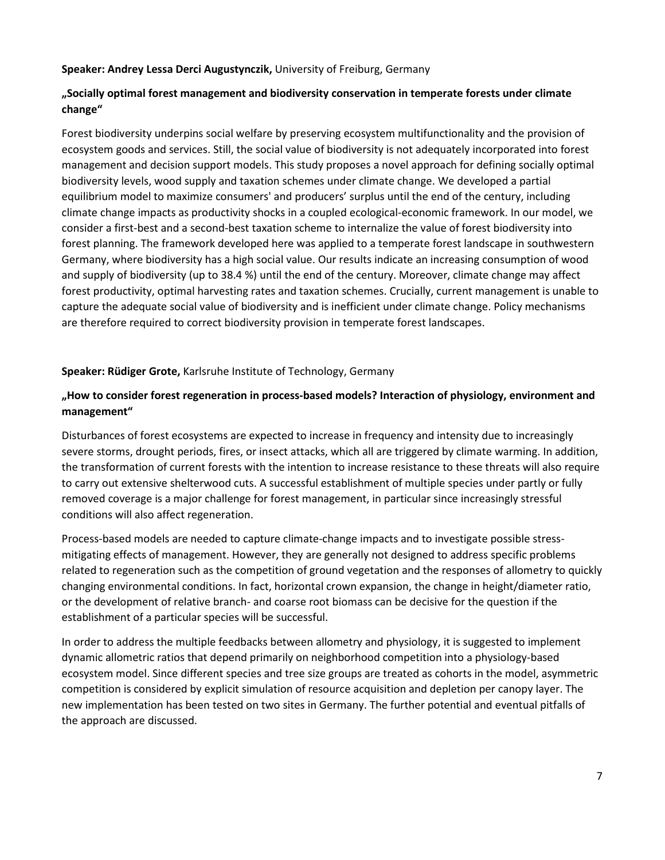#### **Speaker: Andrey Lessa Derci Augustynczik,** University of Freiburg, Germany

### **"Socially optimal forest management and biodiversity conservation in temperate forests under climate change"**

Forest biodiversity underpins social welfare by preserving ecosystem multifunctionality and the provision of ecosystem goods and services. Still, the social value of biodiversity is not adequately incorporated into forest management and decision support models. This study proposes a novel approach for defining socially optimal biodiversity levels, wood supply and taxation schemes under climate change. We developed a partial equilibrium model to maximize consumers' and producers' surplus until the end of the century, including climate change impacts as productivity shocks in a coupled ecological-economic framework. In our model, we consider a first-best and a second-best taxation scheme to internalize the value of forest biodiversity into forest planning. The framework developed here was applied to a temperate forest landscape in southwestern Germany, where biodiversity has a high social value. Our results indicate an increasing consumption of wood and supply of biodiversity (up to 38.4 %) until the end of the century. Moreover, climate change may affect forest productivity, optimal harvesting rates and taxation schemes. Crucially, current management is unable to capture the adequate social value of biodiversity and is inefficient under climate change. Policy mechanisms are therefore required to correct biodiversity provision in temperate forest landscapes.

#### **Speaker: Rüdiger Grote,** Karlsruhe Institute of Technology, Germany

### **"How to consider forest regeneration in process-based models? Interaction of physiology, environment and management"**

Disturbances of forest ecosystems are expected to increase in frequency and intensity due to increasingly severe storms, drought periods, fires, or insect attacks, which all are triggered by climate warming. In addition, the transformation of current forests with the intention to increase resistance to these threats will also require to carry out extensive shelterwood cuts. A successful establishment of multiple species under partly or fully removed coverage is a major challenge for forest management, in particular since increasingly stressful conditions will also affect regeneration.

Process-based models are needed to capture climate-change impacts and to investigate possible stressmitigating effects of management. However, they are generally not designed to address specific problems related to regeneration such as the competition of ground vegetation and the responses of allometry to quickly changing environmental conditions. In fact, horizontal crown expansion, the change in height/diameter ratio, or the development of relative branch- and coarse root biomass can be decisive for the question if the establishment of a particular species will be successful.

In order to address the multiple feedbacks between allometry and physiology, it is suggested to implement dynamic allometric ratios that depend primarily on neighborhood competition into a physiology-based ecosystem model. Since different species and tree size groups are treated as cohorts in the model, asymmetric competition is considered by explicit simulation of resource acquisition and depletion per canopy layer. The new implementation has been tested on two sites in Germany. The further potential and eventual pitfalls of the approach are discussed.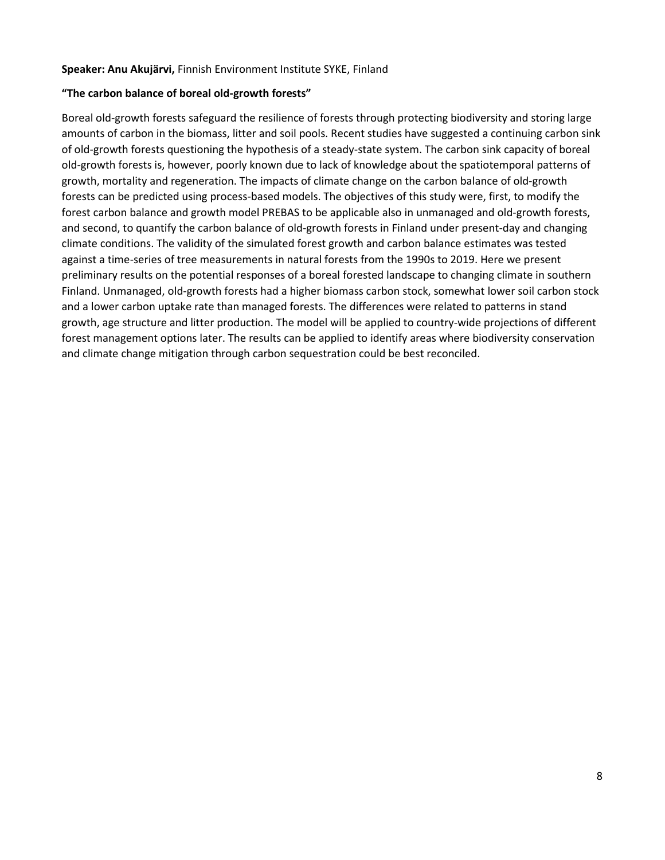#### **Speaker: Anu Akujärvi,** Finnish Environment Institute SYKE, Finland

#### **"The carbon balance of boreal old-growth forests"**

Boreal old-growth forests safeguard the resilience of forests through protecting biodiversity and storing large amounts of carbon in the biomass, litter and soil pools. Recent studies have suggested a continuing carbon sink of old-growth forests questioning the hypothesis of a steady-state system. The carbon sink capacity of boreal old-growth forests is, however, poorly known due to lack of knowledge about the spatiotemporal patterns of growth, mortality and regeneration. The impacts of climate change on the carbon balance of old-growth forests can be predicted using process-based models. The objectives of this study were, first, to modify the forest carbon balance and growth model PREBAS to be applicable also in unmanaged and old-growth forests, and second, to quantify the carbon balance of old-growth forests in Finland under present-day and changing climate conditions. The validity of the simulated forest growth and carbon balance estimates was tested against a time-series of tree measurements in natural forests from the 1990s to 2019. Here we present preliminary results on the potential responses of a boreal forested landscape to changing climate in southern Finland. Unmanaged, old-growth forests had a higher biomass carbon stock, somewhat lower soil carbon stock and a lower carbon uptake rate than managed forests. The differences were related to patterns in stand growth, age structure and litter production. The model will be applied to country-wide projections of different forest management options later. The results can be applied to identify areas where biodiversity conservation and climate change mitigation through carbon sequestration could be best reconciled.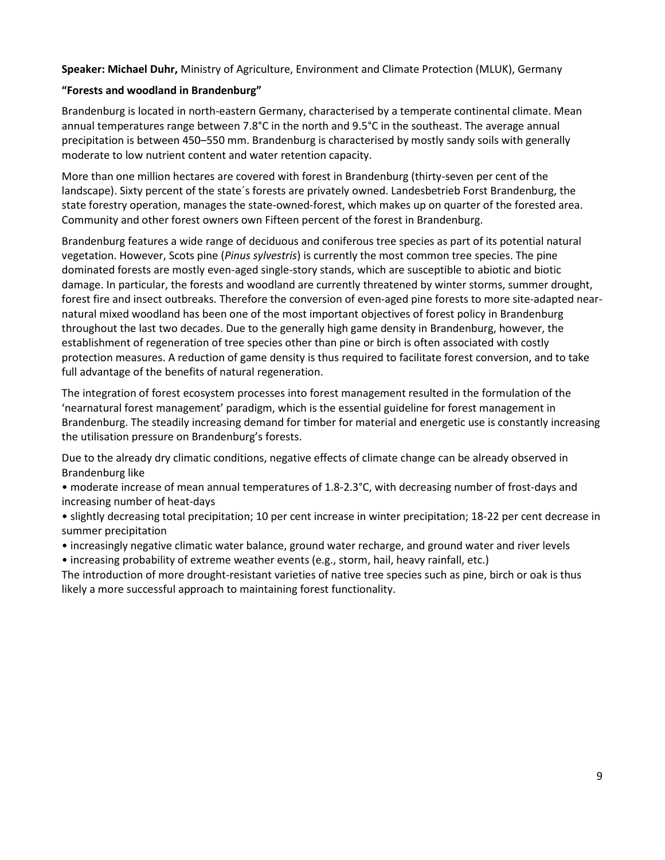## **Speaker: Michael Duhr,** Ministry of Agriculture, Environment and Climate Protection (MLUK), Germany

#### **"Forests and woodland in Brandenburg"**

Brandenburg is located in north-eastern Germany, characterised by a temperate continental climate. Mean annual temperatures range between 7.8°C in the north and 9.5°C in the southeast. The average annual precipitation is between 450–550 mm. Brandenburg is characterised by mostly sandy soils with generally moderate to low nutrient content and water retention capacity.

More than one million hectares are covered with forest in Brandenburg (thirty-seven per cent of the landscape). Sixty percent of the state´s forests are privately owned. Landesbetrieb Forst Brandenburg, the state forestry operation, manages the state-owned-forest, which makes up on quarter of the forested area. Community and other forest owners own Fifteen percent of the forest in Brandenburg.

Brandenburg features a wide range of deciduous and coniferous tree species as part of its potential natural vegetation. However, Scots pine (*Pinus sylvestris*) is currently the most common tree species. The pine dominated forests are mostly even-aged single-story stands, which are susceptible to abiotic and biotic damage. In particular, the forests and woodland are currently threatened by winter storms, summer drought, forest fire and insect outbreaks. Therefore the conversion of even-aged pine forests to more site-adapted nearnatural mixed woodland has been one of the most important objectives of forest policy in Brandenburg throughout the last two decades. Due to the generally high game density in Brandenburg, however, the establishment of regeneration of tree species other than pine or birch is often associated with costly protection measures. A reduction of game density is thus required to facilitate forest conversion, and to take full advantage of the benefits of natural regeneration.

The integration of forest ecosystem processes into forest management resulted in the formulation of the 'nearnatural forest management' paradigm, which is the essential guideline for forest management in Brandenburg. The steadily increasing demand for timber for material and energetic use is constantly increasing the utilisation pressure on Brandenburg's forests.

Due to the already dry climatic conditions, negative effects of climate change can be already observed in Brandenburg like

• moderate increase of mean annual temperatures of 1.8-2.3°C, with decreasing number of frost-days and increasing number of heat-days

• slightly decreasing total precipitation; 10 per cent increase in winter precipitation; 18-22 per cent decrease in summer precipitation

• increasingly negative climatic water balance, ground water recharge, and ground water and river levels

• increasing probability of extreme weather events (e.g., storm, hail, heavy rainfall, etc.)

The introduction of more drought-resistant varieties of native tree species such as pine, birch or oak is thus likely a more successful approach to maintaining forest functionality.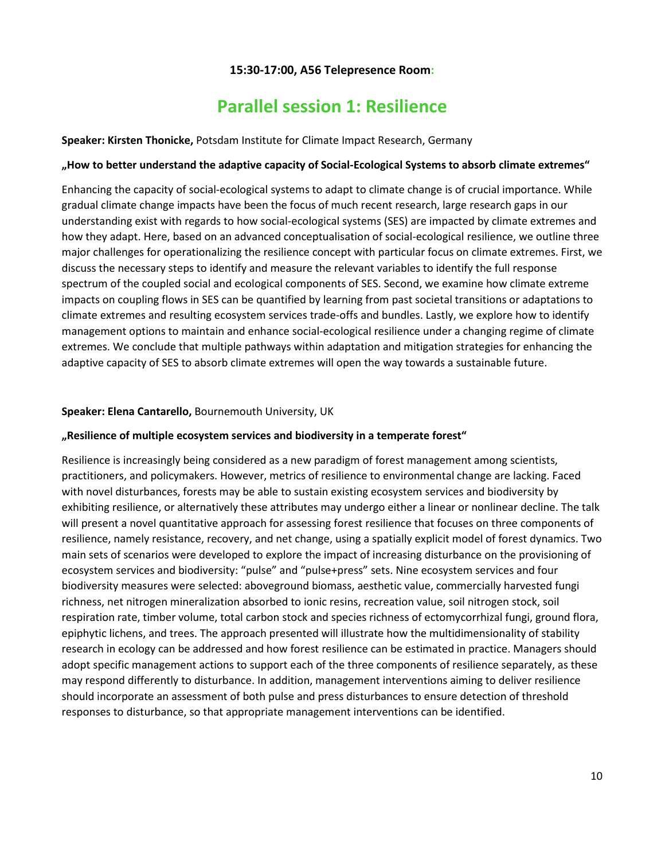## **15:30-17:00, A56 Telepresence Room:**

## **Parallel session 1: Resilience**

<span id="page-9-1"></span><span id="page-9-0"></span>**Speaker: Kirsten Thonicke,** Potsdam Institute for Climate Impact Research, Germany

#### **"How to better understand the adaptive capacity of Social-Ecological Systems to absorb climate extremes"**

Enhancing the capacity of social-ecological systems to adapt to climate change is of crucial importance. While gradual climate change impacts have been the focus of much recent research, large research gaps in our understanding exist with regards to how social-ecological systems (SES) are impacted by climate extremes and how they adapt. Here, based on an advanced conceptualisation of social-ecological resilience, we outline three major challenges for operationalizing the resilience concept with particular focus on climate extremes. First, we discuss the necessary steps to identify and measure the relevant variables to identify the full response spectrum of the coupled social and ecological components of SES. Second, we examine how climate extreme impacts on coupling flows in SES can be quantified by learning from past societal transitions or adaptations to climate extremes and resulting ecosystem services trade-offs and bundles. Lastly, we explore how to identify management options to maintain and enhance social-ecological resilience under a changing regime of climate extremes. We conclude that multiple pathways within adaptation and mitigation strategies for enhancing the adaptive capacity of SES to absorb climate extremes will open the way towards a sustainable future.

#### **Speaker: Elena Cantarello,** Bournemouth University, UK

#### **"Resilience of multiple ecosystem services and biodiversity in a temperate forest"**

Resilience is increasingly being considered as a new paradigm of forest management among scientists, practitioners, and policymakers. However, metrics of resilience to environmental change are lacking. Faced with novel disturbances, forests may be able to sustain existing ecosystem services and biodiversity by exhibiting resilience, or alternatively these attributes may undergo either a linear or nonlinear decline. The talk will present a novel quantitative approach for assessing forest resilience that focuses on three components of resilience, namely resistance, recovery, and net change, using a spatially explicit model of forest dynamics. Two main sets of scenarios were developed to explore the impact of increasing disturbance on the provisioning of ecosystem services and biodiversity: "pulse" and "pulse+press" sets. Nine ecosystem services and four biodiversity measures were selected: aboveground biomass, aesthetic value, commercially harvested fungi richness, net nitrogen mineralization absorbed to ionic resins, recreation value, soil nitrogen stock, soil respiration rate, timber volume, total carbon stock and species richness of ectomycorrhizal fungi, ground flora, epiphytic lichens, and trees. The approach presented will illustrate how the multidimensionality of stability research in ecology can be addressed and how forest resilience can be estimated in practice. Managers should adopt specific management actions to support each of the three components of resilience separately, as these may respond differently to disturbance. In addition, management interventions aiming to deliver resilience should incorporate an assessment of both pulse and press disturbances to ensure detection of threshold responses to disturbance, so that appropriate management interventions can be identified.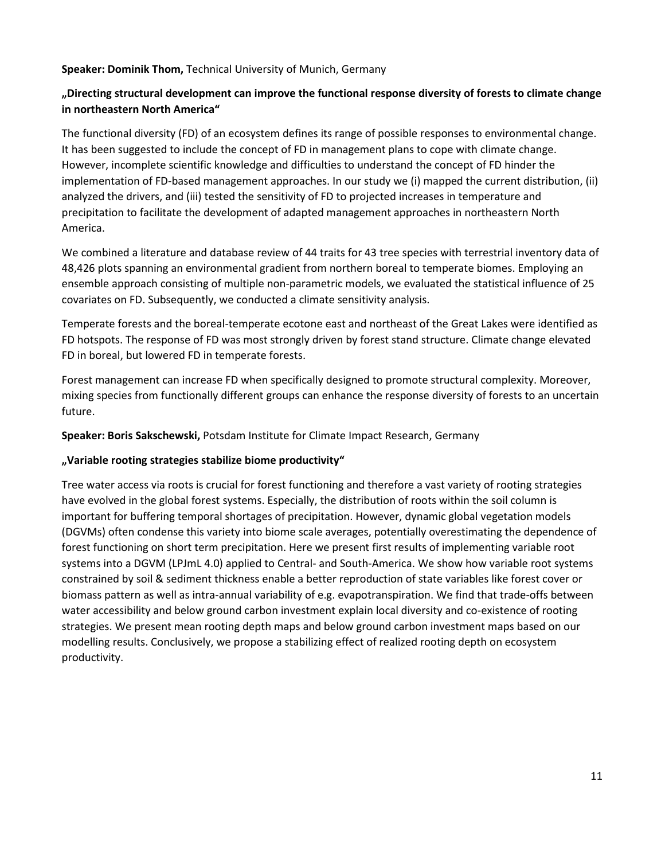### **Speaker: Dominik Thom,** Technical University of Munich, Germany

## **"Directing structural development can improve the functional response diversity of forests to climate change in northeastern North America"**

The functional diversity (FD) of an ecosystem defines its range of possible responses to environmental change. It has been suggested to include the concept of FD in management plans to cope with climate change. However, incomplete scientific knowledge and difficulties to understand the concept of FD hinder the implementation of FD-based management approaches. In our study we (i) mapped the current distribution, (ii) analyzed the drivers, and (iii) tested the sensitivity of FD to projected increases in temperature and precipitation to facilitate the development of adapted management approaches in northeastern North America.

We combined a literature and database review of 44 traits for 43 tree species with terrestrial inventory data of 48,426 plots spanning an environmental gradient from northern boreal to temperate biomes. Employing an ensemble approach consisting of multiple non-parametric models, we evaluated the statistical influence of 25 covariates on FD. Subsequently, we conducted a climate sensitivity analysis.

Temperate forests and the boreal-temperate ecotone east and northeast of the Great Lakes were identified as FD hotspots. The response of FD was most strongly driven by forest stand structure. Climate change elevated FD in boreal, but lowered FD in temperate forests.

Forest management can increase FD when specifically designed to promote structural complexity. Moreover, mixing species from functionally different groups can enhance the response diversity of forests to an uncertain future.

**Speaker: Boris Sakschewski,** Potsdam Institute for Climate Impact Research, Germany

## **"Variable rooting strategies stabilize biome productivity"**

Tree water access via roots is crucial for forest functioning and therefore a vast variety of rooting strategies have evolved in the global forest systems. Especially, the distribution of roots within the soil column is important for buffering temporal shortages of precipitation. However, dynamic global vegetation models (DGVMs) often condense this variety into biome scale averages, potentially overestimating the dependence of forest functioning on short term precipitation. Here we present first results of implementing variable root systems into a DGVM (LPJmL 4.0) applied to Central- and South-America. We show how variable root systems constrained by soil & sediment thickness enable a better reproduction of state variables like forest cover or biomass pattern as well as intra-annual variability of e.g. evapotranspiration. We find that trade-offs between water accessibility and below ground carbon investment explain local diversity and co-existence of rooting strategies. We present mean rooting depth maps and below ground carbon investment maps based on our modelling results. Conclusively, we propose a stabilizing effect of realized rooting depth on ecosystem productivity.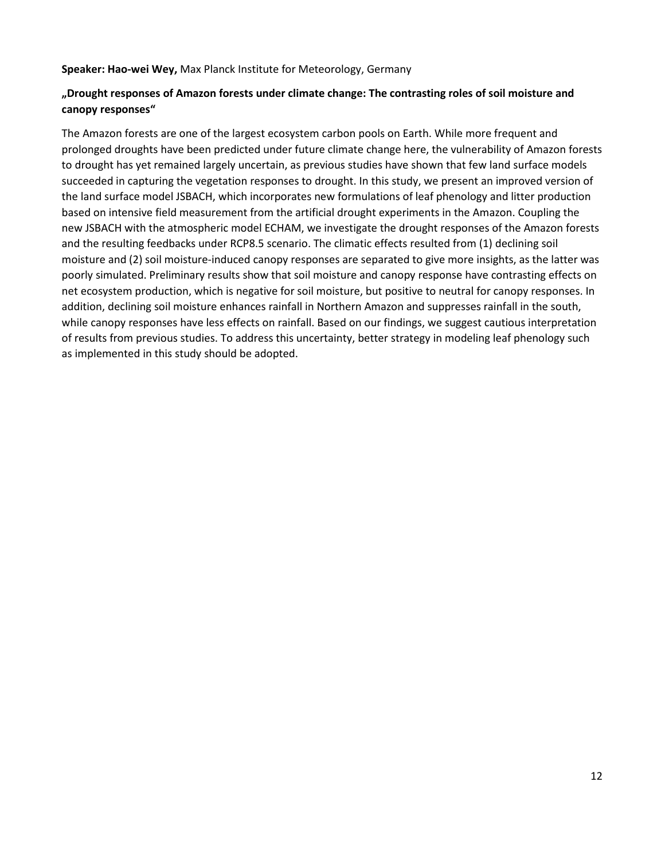**Speaker: Hao-wei Wey,** Max Planck Institute for Meteorology, Germany

## **"Drought responses of Amazon forests under climate change: The contrasting roles of soil moisture and canopy responses"**

The Amazon forests are one of the largest ecosystem carbon pools on Earth. While more frequent and prolonged droughts have been predicted under future climate change here, the vulnerability of Amazon forests to drought has yet remained largely uncertain, as previous studies have shown that few land surface models succeeded in capturing the vegetation responses to drought. In this study, we present an improved version of the land surface model JSBACH, which incorporates new formulations of leaf phenology and litter production based on intensive field measurement from the artificial drought experiments in the Amazon. Coupling the new JSBACH with the atmospheric model ECHAM, we investigate the drought responses of the Amazon forests and the resulting feedbacks under RCP8.5 scenario. The climatic effects resulted from (1) declining soil moisture and (2) soil moisture-induced canopy responses are separated to give more insights, as the latter was poorly simulated. Preliminary results show that soil moisture and canopy response have contrasting effects on net ecosystem production, which is negative for soil moisture, but positive to neutral for canopy responses. In addition, declining soil moisture enhances rainfall in Northern Amazon and suppresses rainfall in the south, while canopy responses have less effects on rainfall. Based on our findings, we suggest cautious interpretation of results from previous studies. To address this uncertainty, better strategy in modeling leaf phenology such as implemented in this study should be adopted.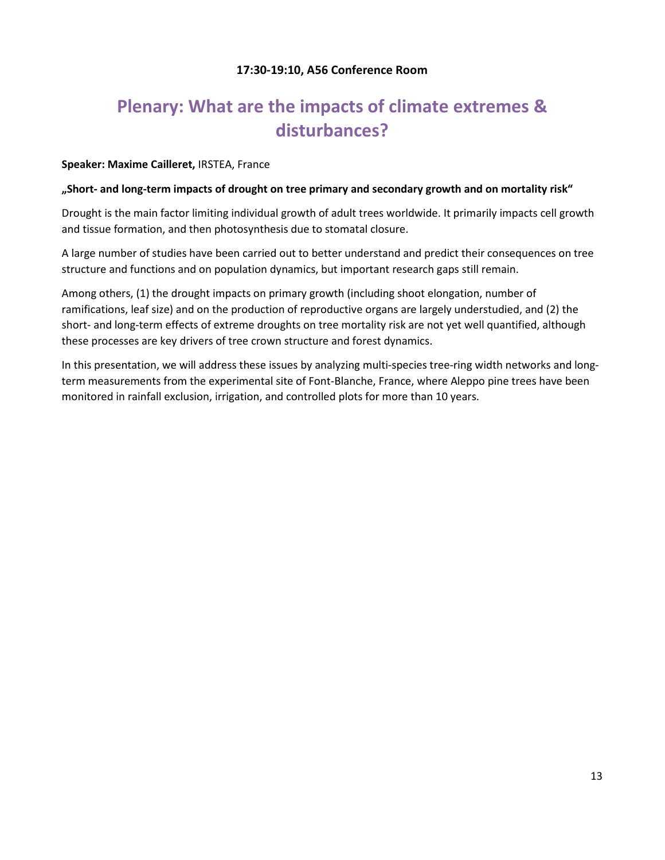## **17:30-19:10, A56 Conference Room**

## <span id="page-12-1"></span><span id="page-12-0"></span>**Plenary: What are the impacts of climate extremes & disturbances?**

#### **Speaker: Maxime Cailleret,** IRSTEA, France

#### **"Short- and long-term impacts of drought on tree primary and secondary growth and on mortality risk"**

Drought is the main factor limiting individual growth of adult trees worldwide. It primarily impacts cell growth and tissue formation, and then photosynthesis due to stomatal closure.

A large number of studies have been carried out to better understand and predict their consequences on tree structure and functions and on population dynamics, but important research gaps still remain.

Among others, (1) the drought impacts on primary growth (including shoot elongation, number of ramifications, leaf size) and on the production of reproductive organs are largely understudied, and (2) the short- and long-term effects of extreme droughts on tree mortality risk are not yet well quantified, although these processes are key drivers of tree crown structure and forest dynamics.

In this presentation, we will address these issues by analyzing multi-species tree-ring width networks and longterm measurements from the experimental site of Font-Blanche, France, where Aleppo pine trees have been monitored in rainfall exclusion, irrigation, and controlled plots for more than 10 years.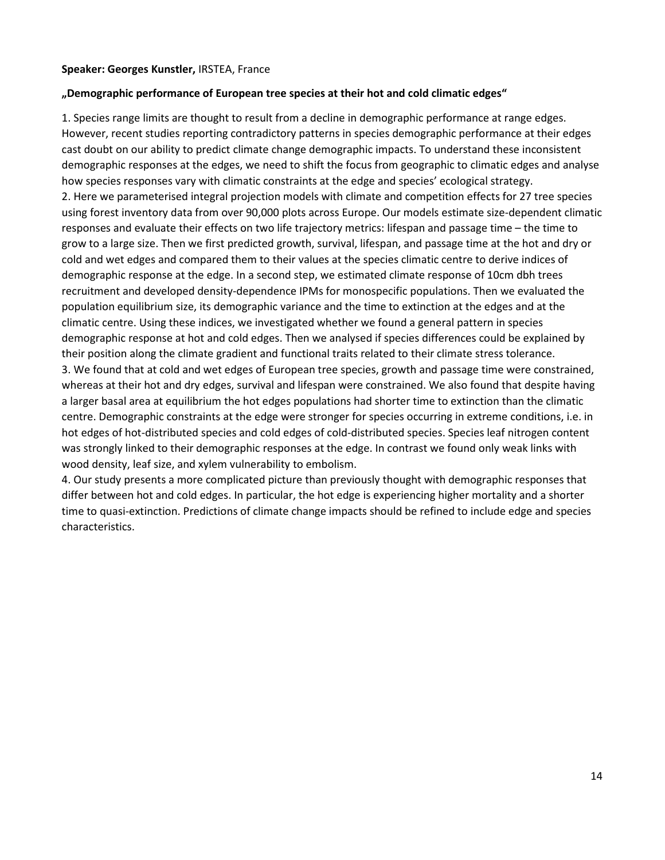#### **Speaker: Georges Kunstler,** IRSTEA, France

#### **"Demographic performance of European tree species at their hot and cold climatic edges"**

1. Species range limits are thought to result from a decline in demographic performance at range edges. However, recent studies reporting contradictory patterns in species demographic performance at their edges cast doubt on our ability to predict climate change demographic impacts. To understand these inconsistent demographic responses at the edges, we need to shift the focus from geographic to climatic edges and analyse how species responses vary with climatic constraints at the edge and species' ecological strategy. 2. Here we parameterised integral projection models with climate and competition effects for 27 tree species using forest inventory data from over 90,000 plots across Europe. Our models estimate size-dependent climatic responses and evaluate their effects on two life trajectory metrics: lifespan and passage time – the time to grow to a large size. Then we first predicted growth, survival, lifespan, and passage time at the hot and dry or cold and wet edges and compared them to their values at the species climatic centre to derive indices of demographic response at the edge. In a second step, we estimated climate response of 10cm dbh trees recruitment and developed density-dependence IPMs for monospecific populations. Then we evaluated the population equilibrium size, its demographic variance and the time to extinction at the edges and at the climatic centre. Using these indices, we investigated whether we found a general pattern in species demographic response at hot and cold edges. Then we analysed if species differences could be explained by their position along the climate gradient and functional traits related to their climate stress tolerance. 3. We found that at cold and wet edges of European tree species, growth and passage time were constrained,

whereas at their hot and dry edges, survival and lifespan were constrained. We also found that despite having a larger basal area at equilibrium the hot edges populations had shorter time to extinction than the climatic centre. Demographic constraints at the edge were stronger for species occurring in extreme conditions, i.e. in hot edges of hot-distributed species and cold edges of cold-distributed species. Species leaf nitrogen content was strongly linked to their demographic responses at the edge. In contrast we found only weak links with wood density, leaf size, and xylem vulnerability to embolism.

4. Our study presents a more complicated picture than previously thought with demographic responses that differ between hot and cold edges. In particular, the hot edge is experiencing higher mortality and a shorter time to quasi-extinction. Predictions of climate change impacts should be refined to include edge and species characteristics.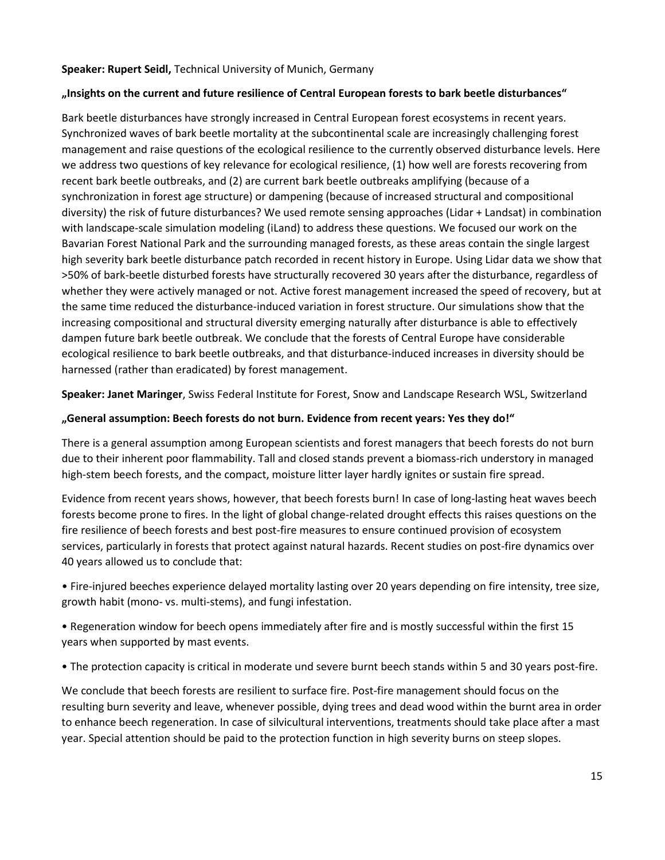#### **Speaker: Rupert Seidl,** Technical University of Munich, Germany

### **"Insights on the current and future resilience of Central European forests to bark beetle disturbances"**

Bark beetle disturbances have strongly increased in Central European forest ecosystems in recent years. Synchronized waves of bark beetle mortality at the subcontinental scale are increasingly challenging forest management and raise questions of the ecological resilience to the currently observed disturbance levels. Here we address two questions of key relevance for ecological resilience, (1) how well are forests recovering from recent bark beetle outbreaks, and (2) are current bark beetle outbreaks amplifying (because of a synchronization in forest age structure) or dampening (because of increased structural and compositional diversity) the risk of future disturbances? We used remote sensing approaches (Lidar + Landsat) in combination with landscape-scale simulation modeling (iLand) to address these questions. We focused our work on the Bavarian Forest National Park and the surrounding managed forests, as these areas contain the single largest high severity bark beetle disturbance patch recorded in recent history in Europe. Using Lidar data we show that >50% of bark-beetle disturbed forests have structurally recovered 30 years after the disturbance, regardless of whether they were actively managed or not. Active forest management increased the speed of recovery, but at the same time reduced the disturbance-induced variation in forest structure. Our simulations show that the increasing compositional and structural diversity emerging naturally after disturbance is able to effectively dampen future bark beetle outbreak. We conclude that the forests of Central Europe have considerable ecological resilience to bark beetle outbreaks, and that disturbance-induced increases in diversity should be harnessed (rather than eradicated) by forest management.

**Speaker: Janet Maringer**, Swiss Federal Institute for Forest, Snow and Landscape Research WSL, Switzerland

### **"General assumption: Beech forests do not burn. Evidence from recent years: Yes they do!"**

There is a general assumption among European scientists and forest managers that beech forests do not burn due to their inherent poor flammability. Tall and closed stands prevent a biomass-rich understory in managed high-stem beech forests, and the compact, moisture litter layer hardly ignites or sustain fire spread.

Evidence from recent years shows, however, that beech forests burn! In case of long-lasting heat waves beech forests become prone to fires. In the light of global change-related drought effects this raises questions on the fire resilience of beech forests and best post-fire measures to ensure continued provision of ecosystem services, particularly in forests that protect against natural hazards. Recent studies on post-fire dynamics over 40 years allowed us to conclude that:

• Fire-injured beeches experience delayed mortality lasting over 20 years depending on fire intensity, tree size, growth habit (mono- vs. multi-stems), and fungi infestation.

• Regeneration window for beech opens immediately after fire and is mostly successful within the first 15 years when supported by mast events.

• The protection capacity is critical in moderate und severe burnt beech stands within 5 and 30 years post-fire.

We conclude that beech forests are resilient to surface fire. Post-fire management should focus on the resulting burn severity and leave, whenever possible, dying trees and dead wood within the burnt area in order to enhance beech regeneration. In case of silvicultural interventions, treatments should take place after a mast year. Special attention should be paid to the protection function in high severity burns on steep slopes.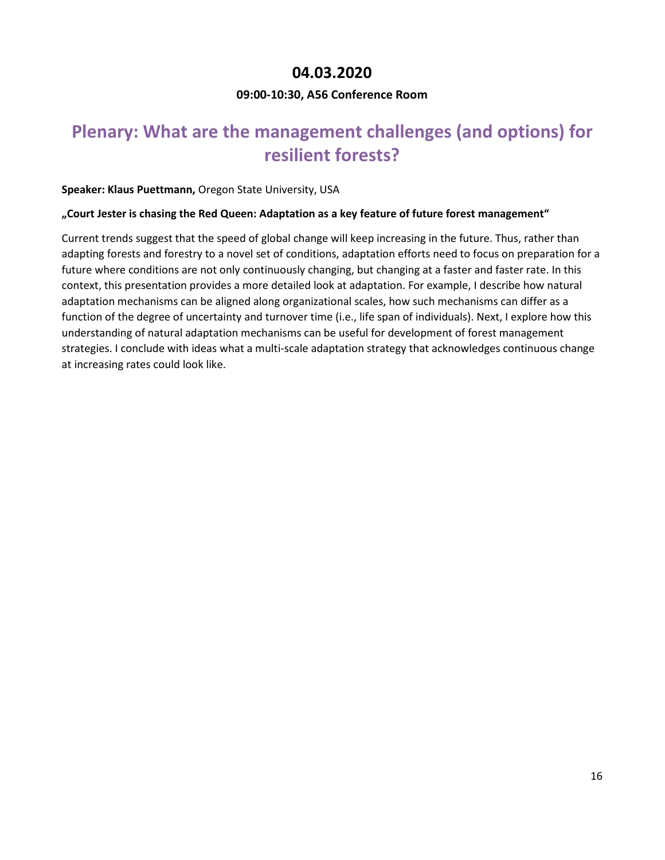## **04.03.2020**

## **09:00-10:30, A56 Conference Room**

## <span id="page-15-2"></span><span id="page-15-1"></span><span id="page-15-0"></span>**Plenary: What are the management challenges (and options) for resilient forests?**

### **Speaker: Klaus Puettmann,** Oregon State University, USA

### **"Court Jester is chasing the Red Queen: Adaptation as a key feature of future forest management"**

Current trends suggest that the speed of global change will keep increasing in the future. Thus, rather than adapting forests and forestry to a novel set of conditions, adaptation efforts need to focus on preparation for a future where conditions are not only continuously changing, but changing at a faster and faster rate. In this context, this presentation provides a more detailed look at adaptation. For example, I describe how natural adaptation mechanisms can be aligned along organizational scales, how such mechanisms can differ as a function of the degree of uncertainty and turnover time (i.e., life span of individuals). Next, I explore how this understanding of natural adaptation mechanisms can be useful for development of forest management strategies. I conclude with ideas what a multi-scale adaptation strategy that acknowledges continuous change at increasing rates could look like.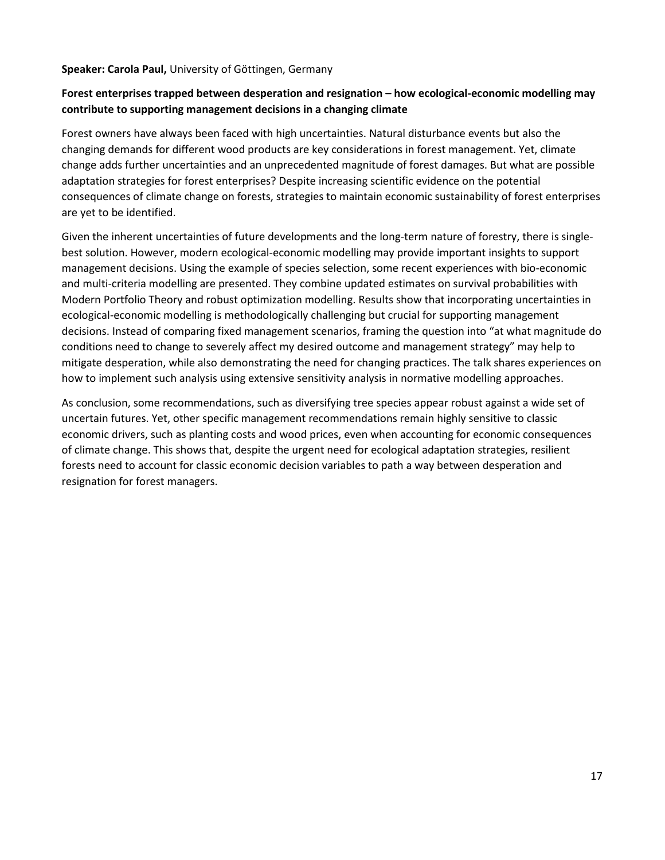#### **Speaker: Carola Paul,** University of Göttingen, Germany

## **Forest enterprises trapped between desperation and resignation – how ecological-economic modelling may contribute to supporting management decisions in a changing climate**

Forest owners have always been faced with high uncertainties. Natural disturbance events but also the changing demands for different wood products are key considerations in forest management. Yet, climate change adds further uncertainties and an unprecedented magnitude of forest damages. But what are possible adaptation strategies for forest enterprises? Despite increasing scientific evidence on the potential consequences of climate change on forests, strategies to maintain economic sustainability of forest enterprises are yet to be identified.

Given the inherent uncertainties of future developments and the long-term nature of forestry, there is singlebest solution. However, modern ecological-economic modelling may provide important insights to support management decisions. Using the example of species selection, some recent experiences with bio-economic and multi-criteria modelling are presented. They combine updated estimates on survival probabilities with Modern Portfolio Theory and robust optimization modelling. Results show that incorporating uncertainties in ecological-economic modelling is methodologically challenging but crucial for supporting management decisions. Instead of comparing fixed management scenarios, framing the question into "at what magnitude do conditions need to change to severely affect my desired outcome and management strategy" may help to mitigate desperation, while also demonstrating the need for changing practices. The talk shares experiences on how to implement such analysis using extensive sensitivity analysis in normative modelling approaches.

As conclusion, some recommendations, such as diversifying tree species appear robust against a wide set of uncertain futures. Yet, other specific management recommendations remain highly sensitive to classic economic drivers, such as planting costs and wood prices, even when accounting for economic consequences of climate change. This shows that, despite the urgent need for ecological adaptation strategies, resilient forests need to account for classic economic decision variables to path a way between desperation and resignation for forest managers.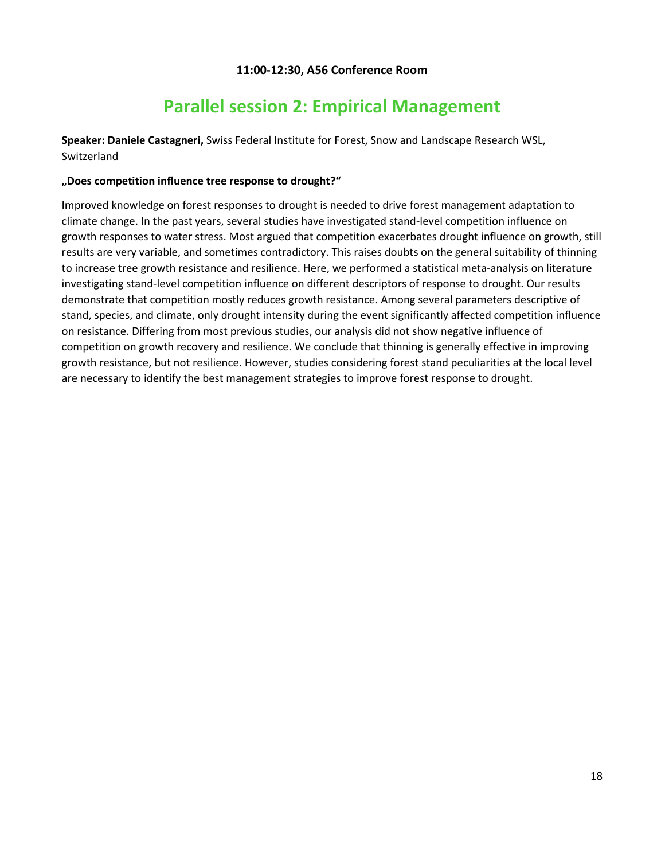### **11:00-12:30, A56 Conference Room**

## **Parallel session 2: Empirical Management**

<span id="page-17-1"></span><span id="page-17-0"></span>**Speaker: Daniele Castagneri,** Swiss Federal Institute for Forest, Snow and Landscape Research WSL, Switzerland

#### **"Does competition influence tree response to drought?"**

Improved knowledge on forest responses to drought is needed to drive forest management adaptation to climate change. In the past years, several studies have investigated stand-level competition influence on growth responses to water stress. Most argued that competition exacerbates drought influence on growth, still results are very variable, and sometimes contradictory. This raises doubts on the general suitability of thinning to increase tree growth resistance and resilience. Here, we performed a statistical meta-analysis on literature investigating stand-level competition influence on different descriptors of response to drought. Our results demonstrate that competition mostly reduces growth resistance. Among several parameters descriptive of stand, species, and climate, only drought intensity during the event significantly affected competition influence on resistance. Differing from most previous studies, our analysis did not show negative influence of competition on growth recovery and resilience. We conclude that thinning is generally effective in improving growth resistance, but not resilience. However, studies considering forest stand peculiarities at the local level are necessary to identify the best management strategies to improve forest response to drought.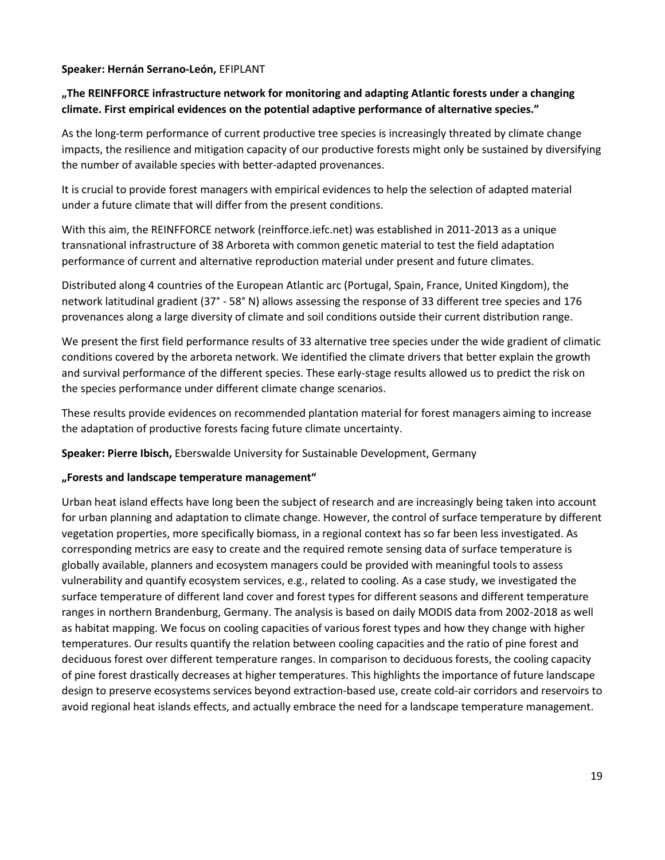#### **Speaker: Hernán Serrano-León,** EFIPLANT

## **"The REINFFORCE infrastructure network for monitoring and adapting Atlantic forests under a changing climate. First empirical evidences on the potential adaptive performance of alternative species."**

As the long-term performance of current productive tree species is increasingly threated by climate change impacts, the resilience and mitigation capacity of our productive forests might only be sustained by diversifying the number of available species with better-adapted provenances.

It is crucial to provide forest managers with empirical evidences to help the selection of adapted material under a future climate that will differ from the present conditions.

With this aim, the REINFFORCE network (reinfforce.iefc.net) was established in 2011-2013 as a unique transnational infrastructure of 38 Arboreta with common genetic material to test the field adaptation performance of current and alternative reproduction material under present and future climates.

Distributed along 4 countries of the European Atlantic arc (Portugal, Spain, France, United Kingdom), the network latitudinal gradient (37° - 58° N) allows assessing the response of 33 different tree species and 176 provenances along a large diversity of climate and soil conditions outside their current distribution range.

We present the first field performance results of 33 alternative tree species under the wide gradient of climatic conditions covered by the arboreta network. We identified the climate drivers that better explain the growth and survival performance of the different species. These early-stage results allowed us to predict the risk on the species performance under different climate change scenarios.

These results provide evidences on recommended plantation material for forest managers aiming to increase the adaptation of productive forests facing future climate uncertainty.

**Speaker: Pierre Ibisch,** Eberswalde University for Sustainable Development, Germany

#### **"Forests and landscape temperature management"**

Urban heat island effects have long been the subject of research and are increasingly being taken into account for urban planning and adaptation to climate change. However, the control of surface temperature by different vegetation properties, more specifically biomass, in a regional context has so far been less investigated. As corresponding metrics are easy to create and the required remote sensing data of surface temperature is globally available, planners and ecosystem managers could be provided with meaningful tools to assess vulnerability and quantify ecosystem services, e.g., related to cooling. As a case study, we investigated the surface temperature of different land cover and forest types for different seasons and different temperature ranges in northern Brandenburg, Germany. The analysis is based on daily MODIS data from 2002-2018 as well as habitat mapping. We focus on cooling capacities of various forest types and how they change with higher temperatures. Our results quantify the relation between cooling capacities and the ratio of pine forest and deciduous forest over different temperature ranges. In comparison to deciduous forests, the cooling capacity of pine forest drastically decreases at higher temperatures. This highlights the importance of future landscape design to preserve ecosystems services beyond extraction-based use, create cold-air corridors and reservoirs to avoid regional heat islands effects, and actually embrace the need for a landscape temperature management.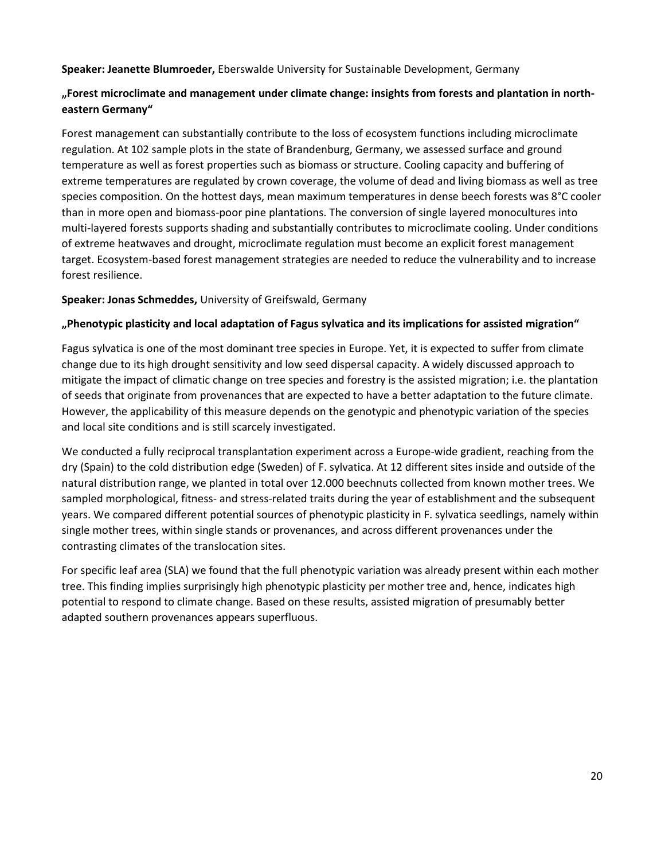**Speaker: Jeanette Blumroeder,** Eberswalde University for Sustainable Development, Germany

## **"Forest microclimate and management under climate change: insights from forests and plantation in northeastern Germany"**

Forest management can substantially contribute to the loss of ecosystem functions including microclimate regulation. At 102 sample plots in the state of Brandenburg, Germany, we assessed surface and ground temperature as well as forest properties such as biomass or structure. Cooling capacity and buffering of extreme temperatures are regulated by crown coverage, the volume of dead and living biomass as well as tree species composition. On the hottest days, mean maximum temperatures in dense beech forests was 8°C cooler than in more open and biomass-poor pine plantations. The conversion of single layered monocultures into multi-layered forests supports shading and substantially contributes to microclimate cooling. Under conditions of extreme heatwaves and drought, microclimate regulation must become an explicit forest management target. Ecosystem-based forest management strategies are needed to reduce the vulnerability and to increase forest resilience.

## **Speaker: Jonas Schmeddes,** University of Greifswald, Germany

## **"Phenotypic plasticity and local adaptation of Fagus sylvatica and its implications for assisted migration"**

Fagus sylvatica is one of the most dominant tree species in Europe. Yet, it is expected to suffer from climate change due to its high drought sensitivity and low seed dispersal capacity. A widely discussed approach to mitigate the impact of climatic change on tree species and forestry is the assisted migration; i.e. the plantation of seeds that originate from provenances that are expected to have a better adaptation to the future climate. However, the applicability of this measure depends on the genotypic and phenotypic variation of the species and local site conditions and is still scarcely investigated.

We conducted a fully reciprocal transplantation experiment across a Europe-wide gradient, reaching from the dry (Spain) to the cold distribution edge (Sweden) of F. sylvatica. At 12 different sites inside and outside of the natural distribution range, we planted in total over 12.000 beechnuts collected from known mother trees. We sampled morphological, fitness- and stress-related traits during the year of establishment and the subsequent years. We compared different potential sources of phenotypic plasticity in F. sylvatica seedlings, namely within single mother trees, within single stands or provenances, and across different provenances under the contrasting climates of the translocation sites.

For specific leaf area (SLA) we found that the full phenotypic variation was already present within each mother tree. This finding implies surprisingly high phenotypic plasticity per mother tree and, hence, indicates high potential to respond to climate change. Based on these results, assisted migration of presumably better adapted southern provenances appears superfluous.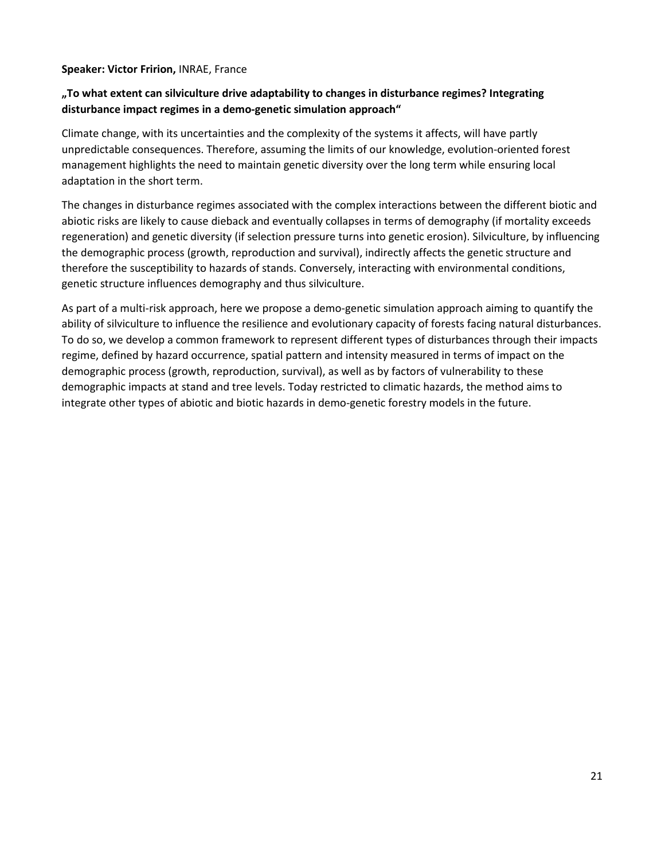#### **Speaker: Victor Fririon,** INRAE, France

## **"To what extent can silviculture drive adaptability to changes in disturbance regimes? Integrating disturbance impact regimes in a demo-genetic simulation approach"**

Climate change, with its uncertainties and the complexity of the systems it affects, will have partly unpredictable consequences. Therefore, assuming the limits of our knowledge, evolution-oriented forest management highlights the need to maintain genetic diversity over the long term while ensuring local adaptation in the short term.

The changes in disturbance regimes associated with the complex interactions between the different biotic and abiotic risks are likely to cause dieback and eventually collapses in terms of demography (if mortality exceeds regeneration) and genetic diversity (if selection pressure turns into genetic erosion). Silviculture, by influencing the demographic process (growth, reproduction and survival), indirectly affects the genetic structure and therefore the susceptibility to hazards of stands. Conversely, interacting with environmental conditions, genetic structure influences demography and thus silviculture.

As part of a multi-risk approach, here we propose a demo-genetic simulation approach aiming to quantify the ability of silviculture to influence the resilience and evolutionary capacity of forests facing natural disturbances. To do so, we develop a common framework to represent different types of disturbances through their impacts regime, defined by hazard occurrence, spatial pattern and intensity measured in terms of impact on the demographic process (growth, reproduction, survival), as well as by factors of vulnerability to these demographic impacts at stand and tree levels. Today restricted to climatic hazards, the method aims to integrate other types of abiotic and biotic hazards in demo-genetic forestry models in the future.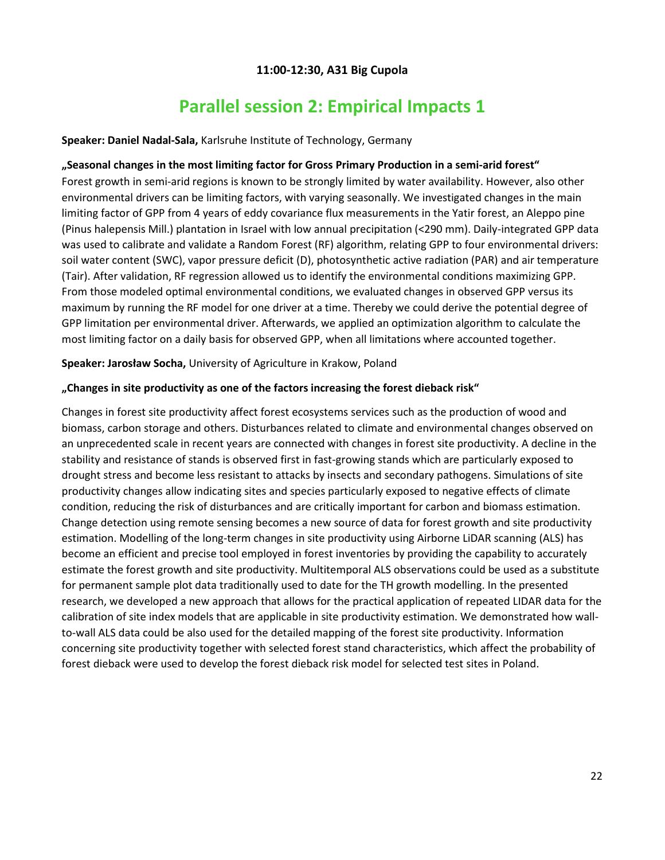## **11:00-12:30, A31 Big Cupola**

## **Parallel session 2: Empirical Impacts 1**

#### <span id="page-21-1"></span><span id="page-21-0"></span>**Speaker: Daniel Nadal-Sala,** Karlsruhe Institute of Technology, Germany

### **"Seasonal changes in the most limiting factor for Gross Primary Production in a semi-arid forest"**

Forest growth in semi-arid regions is known to be strongly limited by water availability. However, also other environmental drivers can be limiting factors, with varying seasonally. We investigated changes in the main limiting factor of GPP from 4 years of eddy covariance flux measurements in the Yatir forest, an Aleppo pine (Pinus halepensis Mill.) plantation in Israel with low annual precipitation (<290 mm). Daily-integrated GPP data was used to calibrate and validate a Random Forest (RF) algorithm, relating GPP to four environmental drivers: soil water content (SWC), vapor pressure deficit (D), photosynthetic active radiation (PAR) and air temperature (Tair). After validation, RF regression allowed us to identify the environmental conditions maximizing GPP. From those modeled optimal environmental conditions, we evaluated changes in observed GPP versus its maximum by running the RF model for one driver at a time. Thereby we could derive the potential degree of GPP limitation per environmental driver. Afterwards, we applied an optimization algorithm to calculate the most limiting factor on a daily basis for observed GPP, when all limitations where accounted together.

**Speaker: Jarosław Socha,** University of Agriculture in Krakow, Poland

#### **"Changes in site productivity as one of the factors increasing the forest dieback risk"**

Changes in forest site productivity affect forest ecosystems services such as the production of wood and biomass, carbon storage and others. Disturbances related to climate and environmental changes observed on an unprecedented scale in recent years are connected with changes in forest site productivity. A decline in the stability and resistance of stands is observed first in fast-growing stands which are particularly exposed to drought stress and become less resistant to attacks by insects and secondary pathogens. Simulations of site productivity changes allow indicating sites and species particularly exposed to negative effects of climate condition, reducing the risk of disturbances and are critically important for carbon and biomass estimation. Change detection using remote sensing becomes a new source of data for forest growth and site productivity estimation. Modelling of the long-term changes in site productivity using Airborne LiDAR scanning (ALS) has become an efficient and precise tool employed in forest inventories by providing the capability to accurately estimate the forest growth and site productivity. Multitemporal ALS observations could be used as a substitute for permanent sample plot data traditionally used to date for the TH growth modelling. In the presented research, we developed a new approach that allows for the practical application of repeated LIDAR data for the calibration of site index models that are applicable in site productivity estimation. We demonstrated how wallto-wall ALS data could be also used for the detailed mapping of the forest site productivity. Information concerning site productivity together with selected forest stand characteristics, which affect the probability of forest dieback were used to develop the forest dieback risk model for selected test sites in Poland.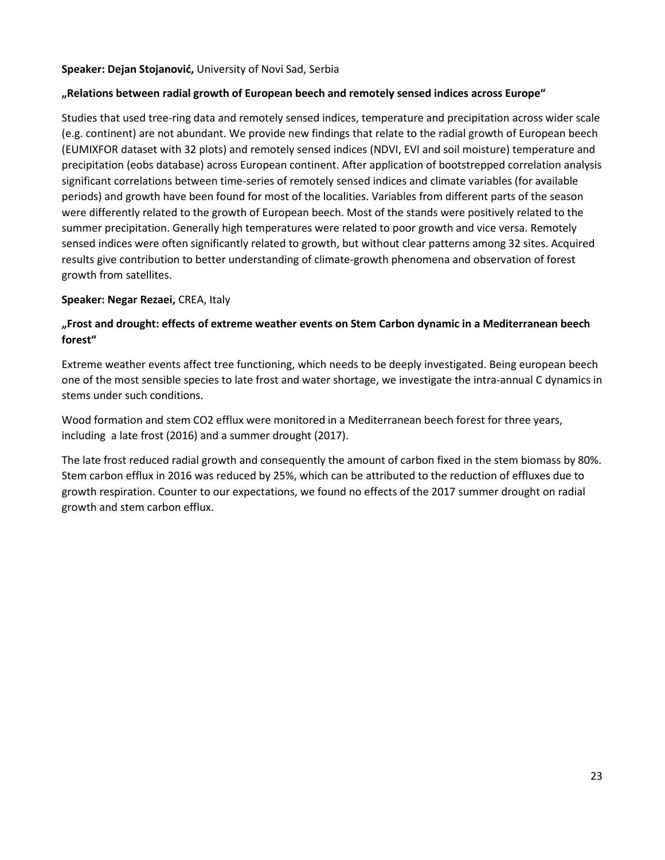#### **Speaker: Dejan Stojanović,** University of Novi Sad, Serbia

### **"Relations between radial growth of European beech and remotely sensed indices across Europe"**

Studies that used tree-ring data and remotely sensed indices, temperature and precipitation across wider scale (e.g. continent) are not abundant. We provide new findings that relate to the radial growth of European beech (EUMIXFOR dataset with 32 plots) and remotely sensed indices (NDVI, EVI and soil moisture) temperature and precipitation (eobs database) across European continent. After application of bootstrepped correlation analysis significant correlations between time-series of remotely sensed indices and climate variables (for available periods) and growth have been found for most of the localities. Variables from different parts of the season were differently related to the growth of European beech. Most of the stands were positively related to the summer precipitation. Generally high temperatures were related to poor growth and vice versa. Remotely sensed indices were often significantly related to growth, but without clear patterns among 32 sites. Acquired results give contribution to better understanding of climate-growth phenomena and observation of forest growth from satellites.

### **Speaker: Negar Rezaei,** CREA, Italy

## **"Frost and drought: effects of extreme weather events on Stem Carbon dynamic in a Mediterranean beech forest"**

Extreme weather events affect tree functioning, which needs to be deeply investigated. Being european beech one of the most sensible species to late frost and water shortage, we investigate the intra-annual C dynamics in stems under such conditions.

Wood formation and stem CO2 efflux were monitored in a Mediterranean beech forest for three years, including a late frost (2016) and a summer drought (2017).

The late frost reduced radial growth and consequently the amount of carbon fixed in the stem biomass by 80%. Stem carbon efflux in 2016 was reduced by 25%, which can be attributed to the reduction of effluxes due to growth respiration. Counter to our expectations, we found no effects of the 2017 summer drought on radial growth and stem carbon efflux.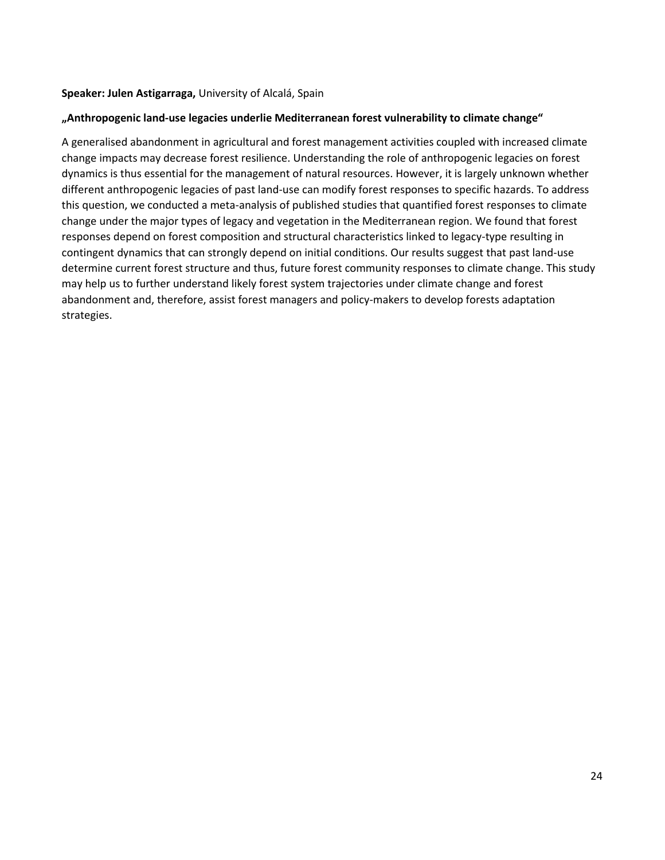#### **Speaker: Julen Astigarraga,** University of Alcalá, Spain

#### **"Anthropogenic land-use legacies underlie Mediterranean forest vulnerability to climate change"**

A generalised abandonment in agricultural and forest management activities coupled with increased climate change impacts may decrease forest resilience. Understanding the role of anthropogenic legacies on forest dynamics is thus essential for the management of natural resources. However, it is largely unknown whether different anthropogenic legacies of past land-use can modify forest responses to specific hazards. To address this question, we conducted a meta-analysis of published studies that quantified forest responses to climate change under the major types of legacy and vegetation in the Mediterranean region. We found that forest responses depend on forest composition and structural characteristics linked to legacy-type resulting in contingent dynamics that can strongly depend on initial conditions. Our results suggest that past land-use determine current forest structure and thus, future forest community responses to climate change. This study may help us to further understand likely forest system trajectories under climate change and forest abandonment and, therefore, assist forest managers and policy-makers to develop forests adaptation strategies.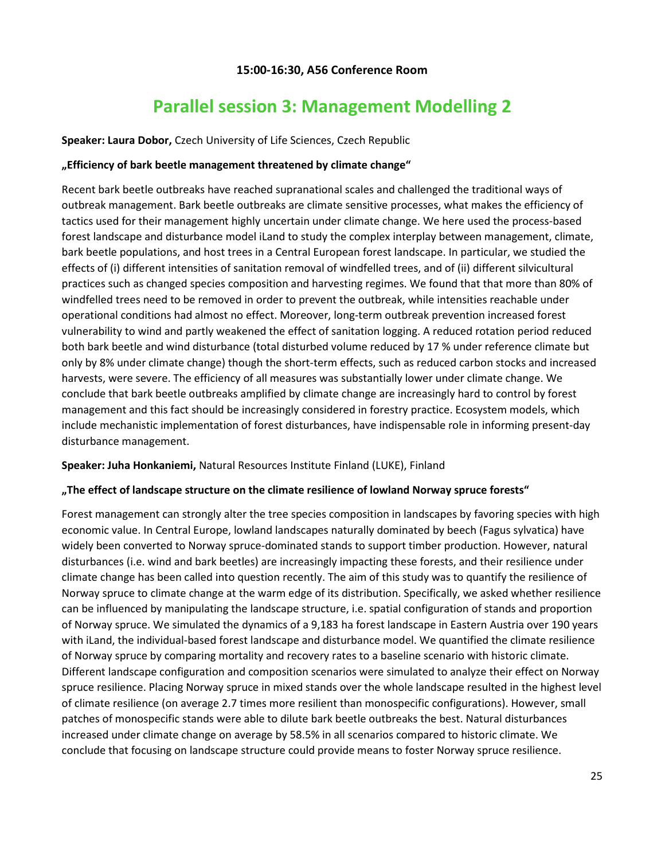### **15:00-16:30, A56 Conference Room**

## **Parallel session 3: Management Modelling 2**

#### <span id="page-24-1"></span><span id="page-24-0"></span>**Speaker: Laura Dobor,** Czech University of Life Sciences, Czech Republic

#### **"Efficiency of bark beetle management threatened by climate change"**

Recent bark beetle outbreaks have reached supranational scales and challenged the traditional ways of outbreak management. Bark beetle outbreaks are climate sensitive processes, what makes the efficiency of tactics used for their management highly uncertain under climate change. We here used the process-based forest landscape and disturbance model iLand to study the complex interplay between management, climate, bark beetle populations, and host trees in a Central European forest landscape. In particular, we studied the effects of (i) different intensities of sanitation removal of windfelled trees, and of (ii) different silvicultural practices such as changed species composition and harvesting regimes. We found that that more than 80% of windfelled trees need to be removed in order to prevent the outbreak, while intensities reachable under operational conditions had almost no effect. Moreover, long-term outbreak prevention increased forest vulnerability to wind and partly weakened the effect of sanitation logging. A reduced rotation period reduced both bark beetle and wind disturbance (total disturbed volume reduced by 17 % under reference climate but only by 8% under climate change) though the short-term effects, such as reduced carbon stocks and increased harvests, were severe. The efficiency of all measures was substantially lower under climate change. We conclude that bark beetle outbreaks amplified by climate change are increasingly hard to control by forest management and this fact should be increasingly considered in forestry practice. Ecosystem models, which include mechanistic implementation of forest disturbances, have indispensable role in informing present-day disturbance management.

#### **Speaker: Juha Honkaniemi,** Natural Resources Institute Finland (LUKE), Finland

#### **"The effect of landscape structure on the climate resilience of lowland Norway spruce forests"**

Forest management can strongly alter the tree species composition in landscapes by favoring species with high economic value. In Central Europe, lowland landscapes naturally dominated by beech (Fagus sylvatica) have widely been converted to Norway spruce-dominated stands to support timber production. However, natural disturbances (i.e. wind and bark beetles) are increasingly impacting these forests, and their resilience under climate change has been called into question recently. The aim of this study was to quantify the resilience of Norway spruce to climate change at the warm edge of its distribution. Specifically, we asked whether resilience can be influenced by manipulating the landscape structure, i.e. spatial configuration of stands and proportion of Norway spruce. We simulated the dynamics of a 9,183 ha forest landscape in Eastern Austria over 190 years with iLand, the individual-based forest landscape and disturbance model. We quantified the climate resilience of Norway spruce by comparing mortality and recovery rates to a baseline scenario with historic climate. Different landscape configuration and composition scenarios were simulated to analyze their effect on Norway spruce resilience. Placing Norway spruce in mixed stands over the whole landscape resulted in the highest level of climate resilience (on average 2.7 times more resilient than monospecific configurations). However, small patches of monospecific stands were able to dilute bark beetle outbreaks the best. Natural disturbances increased under climate change on average by 58.5% in all scenarios compared to historic climate. We conclude that focusing on landscape structure could provide means to foster Norway spruce resilience.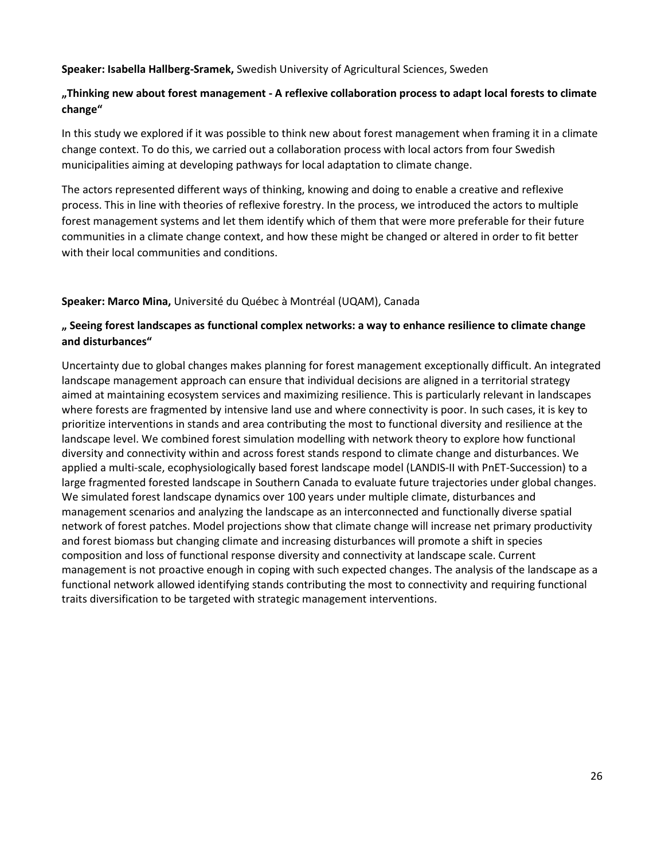#### **Speaker: Isabella Hallberg-Sramek,** Swedish University of Agricultural Sciences, Sweden

### **"Thinking new about forest management - A reflexive collaboration process to adapt local forests to climate change"**

In this study we explored if it was possible to think new about forest management when framing it in a climate change context. To do this, we carried out a collaboration process with local actors from four Swedish municipalities aiming at developing pathways for local adaptation to climate change.

The actors represented different ways of thinking, knowing and doing to enable a creative and reflexive process. This in line with theories of reflexive forestry. In the process, we introduced the actors to multiple forest management systems and let them identify which of them that were more preferable for their future communities in a climate change context, and how these might be changed or altered in order to fit better with their local communities and conditions.

#### **Speaker: Marco Mina,** Université du Québec à Montréal (UQAM), Canada

## **" Seeing forest landscapes as functional complex networks: a way to enhance resilience to climate change and disturbances"**

Uncertainty due to global changes makes planning for forest management exceptionally difficult. An integrated landscape management approach can ensure that individual decisions are aligned in a territorial strategy aimed at maintaining ecosystem services and maximizing resilience. This is particularly relevant in landscapes where forests are fragmented by intensive land use and where connectivity is poor. In such cases, it is key to prioritize interventions in stands and area contributing the most to functional diversity and resilience at the landscape level. We combined forest simulation modelling with network theory to explore how functional diversity and connectivity within and across forest stands respond to climate change and disturbances. We applied a multi-scale, ecophysiologically based forest landscape model (LANDIS-II with PnET-Succession) to a large fragmented forested landscape in Southern Canada to evaluate future trajectories under global changes. We simulated forest landscape dynamics over 100 years under multiple climate, disturbances and management scenarios and analyzing the landscape as an interconnected and functionally diverse spatial network of forest patches. Model projections show that climate change will increase net primary productivity and forest biomass but changing climate and increasing disturbances will promote a shift in species composition and loss of functional response diversity and connectivity at landscape scale. Current management is not proactive enough in coping with such expected changes. The analysis of the landscape as a functional network allowed identifying stands contributing the most to connectivity and requiring functional traits diversification to be targeted with strategic management interventions.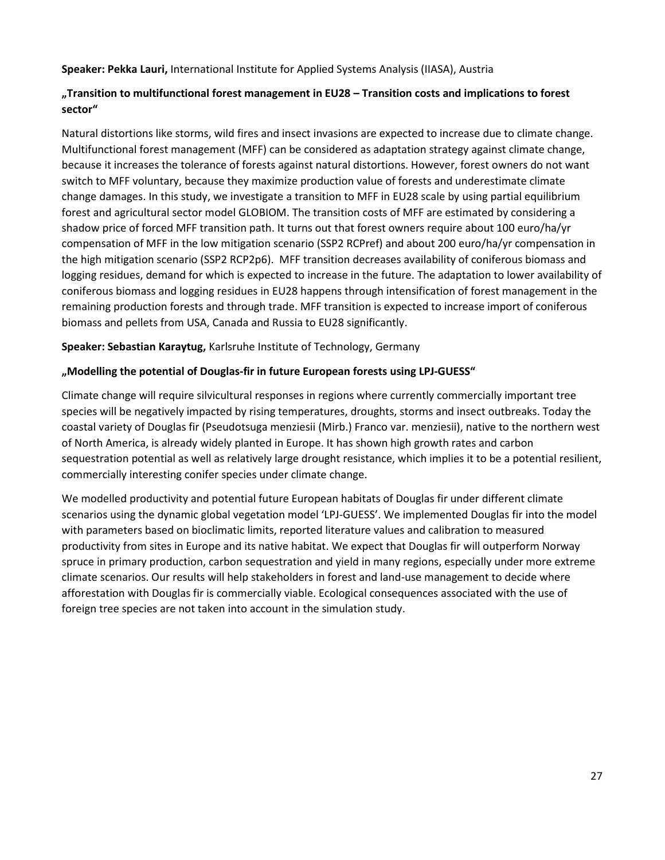**Speaker: Pekka Lauri,** International Institute for Applied Systems Analysis (IIASA), Austria

## **"Transition to multifunctional forest management in EU28 – Transition costs and implications to forest sector"**

Natural distortions like storms, wild fires and insect invasions are expected to increase due to climate change. Multifunctional forest management (MFF) can be considered as adaptation strategy against climate change, because it increases the tolerance of forests against natural distortions. However, forest owners do not want switch to MFF voluntary, because they maximize production value of forests and underestimate climate change damages. In this study, we investigate a transition to MFF in EU28 scale by using partial equilibrium forest and agricultural sector model GLOBIOM. The transition costs of MFF are estimated by considering a shadow price of forced MFF transition path. It turns out that forest owners require about 100 euro/ha/yr compensation of MFF in the low mitigation scenario (SSP2 RCPref) and about 200 euro/ha/yr compensation in the high mitigation scenario (SSP2 RCP2p6). MFF transition decreases availability of coniferous biomass and logging residues, demand for which is expected to increase in the future. The adaptation to lower availability of coniferous biomass and logging residues in EU28 happens through intensification of forest management in the remaining production forests and through trade. MFF transition is expected to increase import of coniferous biomass and pellets from USA, Canada and Russia to EU28 significantly.

**Speaker: Sebastian Karaytug,** Karlsruhe Institute of Technology, Germany

## **"Modelling the potential of Douglas-fir in future European forests using LPJ-GUESS"**

Climate change will require silvicultural responses in regions where currently commercially important tree species will be negatively impacted by rising temperatures, droughts, storms and insect outbreaks. Today the coastal variety of Douglas fir (Pseudotsuga menziesii (Mirb.) Franco var. menziesii), native to the northern west of North America, is already widely planted in Europe. It has shown high growth rates and carbon sequestration potential as well as relatively large drought resistance, which implies it to be a potential resilient, commercially interesting conifer species under climate change.

We modelled productivity and potential future European habitats of Douglas fir under different climate scenarios using the dynamic global vegetation model 'LPJ-GUESS'. We implemented Douglas fir into the model with parameters based on bioclimatic limits, reported literature values and calibration to measured productivity from sites in Europe and its native habitat. We expect that Douglas fir will outperform Norway spruce in primary production, carbon sequestration and yield in many regions, especially under more extreme climate scenarios. Our results will help stakeholders in forest and land-use management to decide where afforestation with Douglas fir is commercially viable. Ecological consequences associated with the use of foreign tree species are not taken into account in the simulation study.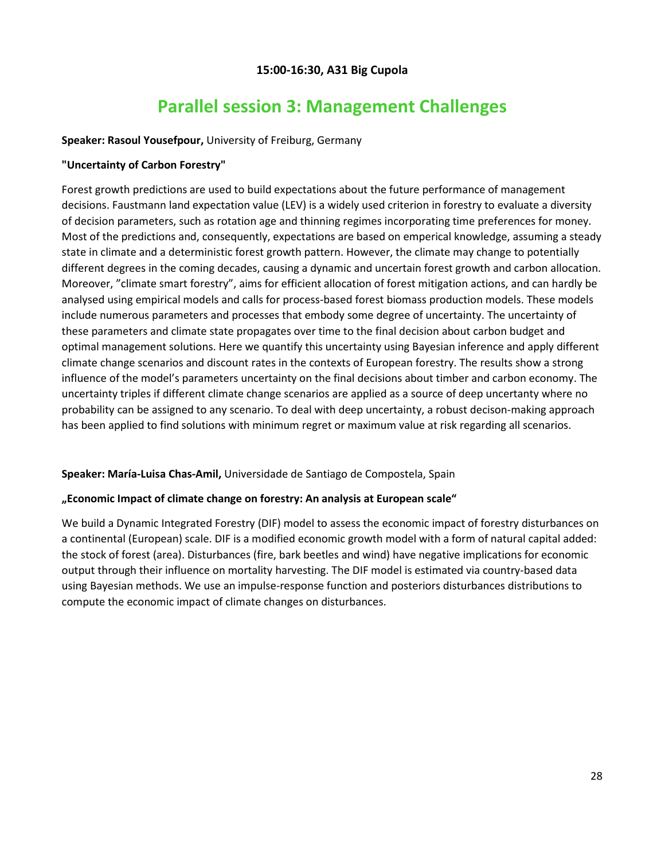## **15:00-16:30, A31 Big Cupola**

## **Parallel session 3: Management Challenges**

### <span id="page-27-1"></span><span id="page-27-0"></span>**Speaker: Rasoul Yousefpour,** University of Freiburg, Germany

### **"Uncertainty of Carbon Forestry"**

Forest growth predictions are used to build expectations about the future performance of management decisions. Faustmann land expectation value (LEV) is a widely used criterion in forestry to evaluate a diversity of decision parameters, such as rotation age and thinning regimes incorporating time preferences for money. Most of the predictions and, consequently, expectations are based on emperical knowledge, assuming a steady state in climate and a deterministic forest growth pattern. However, the climate may change to potentially different degrees in the coming decades, causing a dynamic and uncertain forest growth and carbon allocation. Moreover, "climate smart forestry", aims for efficient allocation of forest mitigation actions, and can hardly be analysed using empirical models and calls for process-based forest biomass production models. These models include numerous parameters and processes that embody some degree of uncertainty. The uncertainty of these parameters and climate state propagates over time to the final decision about carbon budget and optimal management solutions. Here we quantify this uncertainty using Bayesian inference and apply different climate change scenarios and discount rates in the contexts of European forestry. The results show a strong influence of the model's parameters uncertainty on the final decisions about timber and carbon economy. The uncertainty triples if different climate change scenarios are applied as a source of deep uncertanty where no probability can be assigned to any scenario. To deal with deep uncertainty, a robust decison-making approach has been applied to find solutions with minimum regret or maximum value at risk regarding all scenarios.

## **Speaker: María-Luisa Chas-Amil,** Universidade de Santiago de Compostela, Spain

#### **"Economic Impact of climate change on forestry: An analysis at European scale"**

We build a Dynamic Integrated Forestry (DIF) model to assess the economic impact of forestry disturbances on a continental (European) scale. DIF is a modified economic growth model with a form of natural capital added: the stock of forest (area). Disturbances (fire, bark beetles and wind) have negative implications for economic output through their influence on mortality harvesting. The DIF model is estimated via country-based data using Bayesian methods. We use an impulse-response function and posteriors disturbances distributions to compute the economic impact of climate changes on disturbances.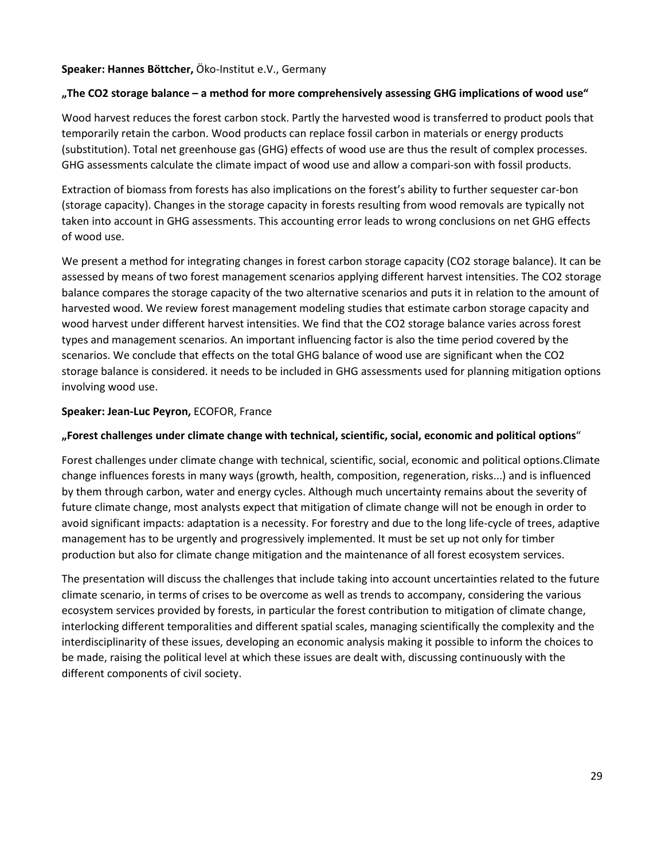#### **Speaker: Hannes Böttcher,** Öko-Institut e.V., Germany

#### **"The CO2 storage balance – a method for more comprehensively assessing GHG implications of wood use"**

Wood harvest reduces the forest carbon stock. Partly the harvested wood is transferred to product pools that temporarily retain the carbon. Wood products can replace fossil carbon in materials or energy products (substitution). Total net greenhouse gas (GHG) effects of wood use are thus the result of complex processes. GHG assessments calculate the climate impact of wood use and allow a compari-son with fossil products.

Extraction of biomass from forests has also implications on the forest's ability to further sequester car-bon (storage capacity). Changes in the storage capacity in forests resulting from wood removals are typically not taken into account in GHG assessments. This accounting error leads to wrong conclusions on net GHG effects of wood use.

We present a method for integrating changes in forest carbon storage capacity (CO2 storage balance). It can be assessed by means of two forest management scenarios applying different harvest intensities. The CO2 storage balance compares the storage capacity of the two alternative scenarios and puts it in relation to the amount of harvested wood. We review forest management modeling studies that estimate carbon storage capacity and wood harvest under different harvest intensities. We find that the CO2 storage balance varies across forest types and management scenarios. An important influencing factor is also the time period covered by the scenarios. We conclude that effects on the total GHG balance of wood use are significant when the CO2 storage balance is considered. it needs to be included in GHG assessments used for planning mitigation options involving wood use.

#### **Speaker: Jean-Luc Peyron,** ECOFOR, France

### **"Forest challenges under climate change with technical, scientific, social, economic and political options**"

Forest challenges under climate change with technical, scientific, social, economic and political options.Climate change influences forests in many ways (growth, health, composition, regeneration, risks...) and is influenced by them through carbon, water and energy cycles. Although much uncertainty remains about the severity of future climate change, most analysts expect that mitigation of climate change will not be enough in order to avoid significant impacts: adaptation is a necessity. For forestry and due to the long life-cycle of trees, adaptive management has to be urgently and progressively implemented. It must be set up not only for timber production but also for climate change mitigation and the maintenance of all forest ecosystem services.

The presentation will discuss the challenges that include taking into account uncertainties related to the future climate scenario, in terms of crises to be overcome as well as trends to accompany, considering the various ecosystem services provided by forests, in particular the forest contribution to mitigation of climate change, interlocking different temporalities and different spatial scales, managing scientifically the complexity and the interdisciplinarity of these issues, developing an economic analysis making it possible to inform the choices to be made, raising the political level at which these issues are dealt with, discussing continuously with the different components of civil society.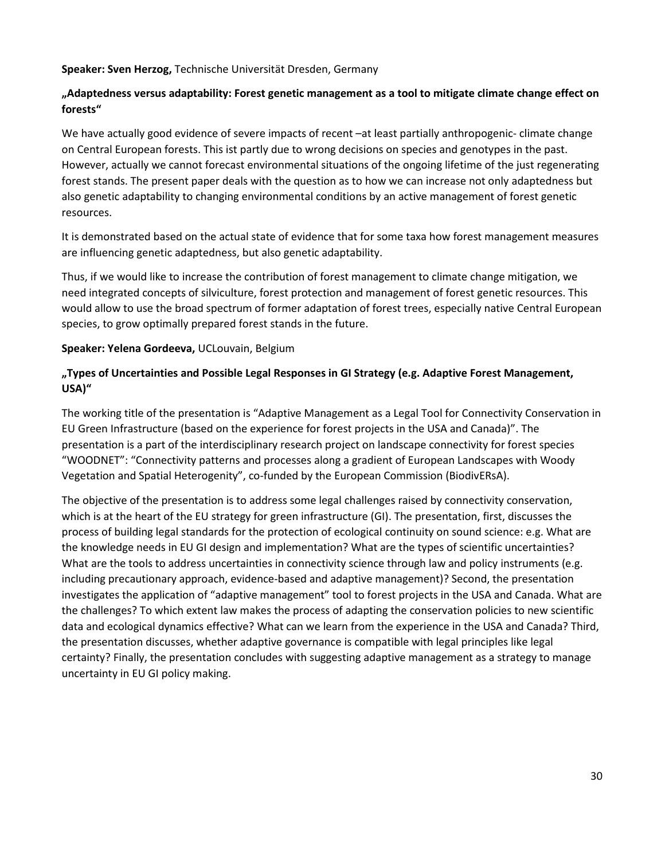**Speaker: Sven Herzog,** Technische Universität Dresden, Germany

## **"Adaptedness versus adaptability: Forest genetic management as a tool to mitigate climate change effect on forests"**

We have actually good evidence of severe impacts of recent –at least partially anthropogenic- climate change on Central European forests. This ist partly due to wrong decisions on species and genotypes in the past. However, actually we cannot forecast environmental situations of the ongoing lifetime of the just regenerating forest stands. The present paper deals with the question as to how we can increase not only adaptedness but also genetic adaptability to changing environmental conditions by an active management of forest genetic resources.

It is demonstrated based on the actual state of evidence that for some taxa how forest management measures are influencing genetic adaptedness, but also genetic adaptability.

Thus, if we would like to increase the contribution of forest management to climate change mitigation, we need integrated concepts of silviculture, forest protection and management of forest genetic resources. This would allow to use the broad spectrum of former adaptation of forest trees, especially native Central European species, to grow optimally prepared forest stands in the future.

### **Speaker: Yelena Gordeeva,** UCLouvain, Belgium

## **"Types of Uncertainties and Possible Legal Responses in GI Strategy (e.g. Adaptive Forest Management, USA)"**

The working title of the presentation is "Adaptive Management as a Legal Tool for Connectivity Conservation in EU Green Infrastructure (based on the experience for forest projects in the USA and Canada)". The presentation is a part of the interdisciplinary research project on landscape connectivity for forest species "WOODNET": "Connectivity patterns and processes along a gradient of European Landscapes with Woody Vegetation and Spatial Heterogenity", co-funded by the European Commission (BiodivERsA).

The objective of the presentation is to address some legal challenges raised by connectivity conservation, which is at the heart of the EU strategy for green infrastructure (GI). The presentation, first, discusses the process of building legal standards for the protection of ecological continuity on sound science: e.g. What are the knowledge needs in EU GI design and implementation? What are the types of scientific uncertainties? What are the tools to address uncertainties in connectivity science through law and policy instruments (e.g. including precautionary approach, evidence-based and adaptive management)? Second, the presentation investigates the application of "adaptive management" tool to forest projects in the USA and Canada. What are the challenges? To which extent law makes the process of adapting the conservation policies to new scientific data and ecological dynamics effective? What can we learn from the experience in the USA and Canada? Third, the presentation discusses, whether adaptive governance is compatible with legal principles like legal certainty? Finally, the presentation concludes with suggesting adaptive management as a strategy to manage uncertainty in EU GI policy making.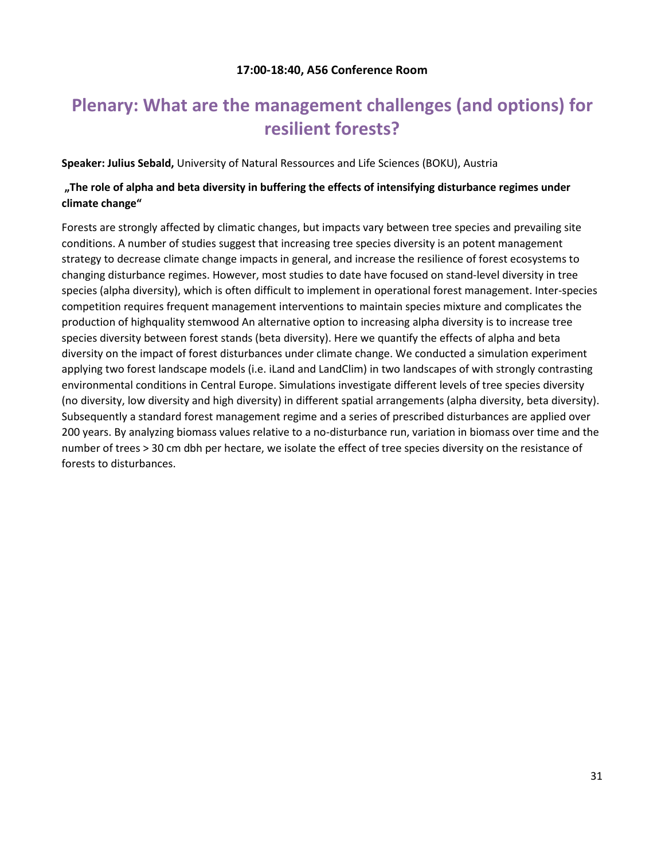## **17:00-18:40, A56 Conference Room**

## <span id="page-30-1"></span><span id="page-30-0"></span>**Plenary: What are the management challenges (and options) for resilient forests?**

**Speaker: Julius Sebald,** University of Natural Ressources and Life Sciences (BOKU), Austria

## **"The role of alpha and beta diversity in buffering the effects of intensifying disturbance regimes under climate change"**

Forests are strongly affected by climatic changes, but impacts vary between tree species and prevailing site conditions. A number of studies suggest that increasing tree species diversity is an potent management strategy to decrease climate change impacts in general, and increase the resilience of forest ecosystems to changing disturbance regimes. However, most studies to date have focused on stand-level diversity in tree species (alpha diversity), which is often difficult to implement in operational forest management. Inter-species competition requires frequent management interventions to maintain species mixture and complicates the production of highquality stemwood An alternative option to increasing alpha diversity is to increase tree species diversity between forest stands (beta diversity). Here we quantify the effects of alpha and beta diversity on the impact of forest disturbances under climate change. We conducted a simulation experiment applying two forest landscape models (i.e. iLand and LandClim) in two landscapes of with strongly contrasting environmental conditions in Central Europe. Simulations investigate different levels of tree species diversity (no diversity, low diversity and high diversity) in different spatial arrangements (alpha diversity, beta diversity). Subsequently a standard forest management regime and a series of prescribed disturbances are applied over 200 years. By analyzing biomass values relative to a no-disturbance run, variation in biomass over time and the number of trees > 30 cm dbh per hectare, we isolate the effect of tree species diversity on the resistance of forests to disturbances.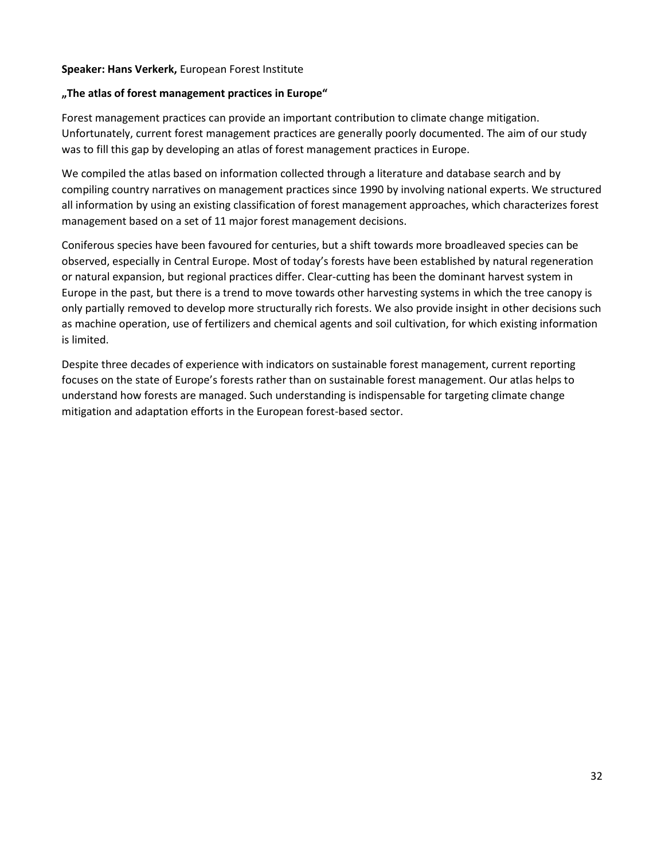#### **Speaker: Hans Verkerk,** European Forest Institute

#### **"The atlas of forest management practices in Europe"**

Forest management practices can provide an important contribution to climate change mitigation. Unfortunately, current forest management practices are generally poorly documented. The aim of our study was to fill this gap by developing an atlas of forest management practices in Europe.

We compiled the atlas based on information collected through a literature and database search and by compiling country narratives on management practices since 1990 by involving national experts. We structured all information by using an existing classification of forest management approaches, which characterizes forest management based on a set of 11 major forest management decisions.

Coniferous species have been favoured for centuries, but a shift towards more broadleaved species can be observed, especially in Central Europe. Most of today's forests have been established by natural regeneration or natural expansion, but regional practices differ. Clear-cutting has been the dominant harvest system in Europe in the past, but there is a trend to move towards other harvesting systems in which the tree canopy is only partially removed to develop more structurally rich forests. We also provide insight in other decisions such as machine operation, use of fertilizers and chemical agents and soil cultivation, for which existing information is limited.

Despite three decades of experience with indicators on sustainable forest management, current reporting focuses on the state of Europe's forests rather than on sustainable forest management. Our atlas helps to understand how forests are managed. Such understanding is indispensable for targeting climate change mitigation and adaptation efforts in the European forest-based sector.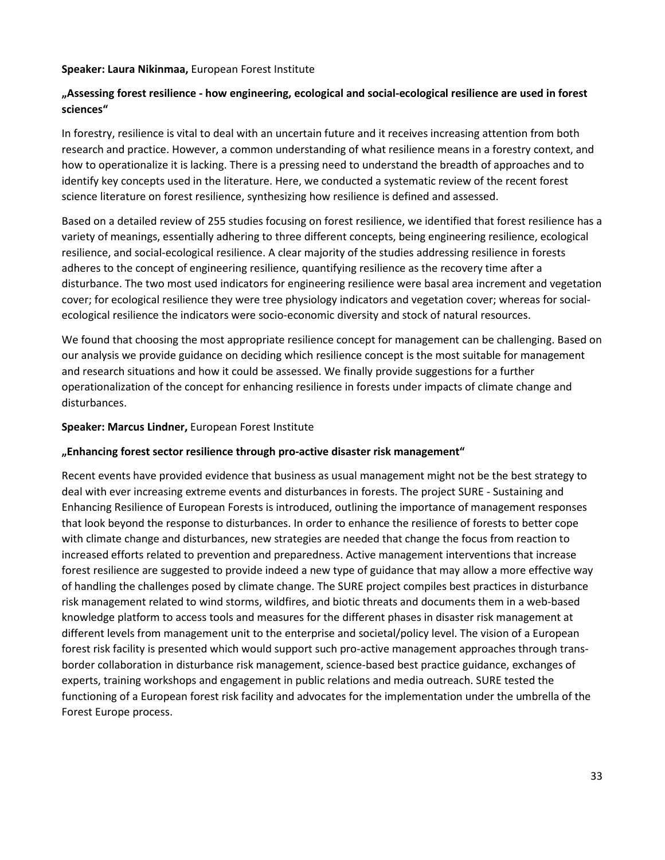#### **Speaker: Laura Nikinmaa,** European Forest Institute

## **"Assessing forest resilience - how engineering, ecological and social-ecological resilience are used in forest sciences"**

In forestry, resilience is vital to deal with an uncertain future and it receives increasing attention from both research and practice. However, a common understanding of what resilience means in a forestry context, and how to operationalize it is lacking. There is a pressing need to understand the breadth of approaches and to identify key concepts used in the literature. Here, we conducted a systematic review of the recent forest science literature on forest resilience, synthesizing how resilience is defined and assessed.

Based on a detailed review of 255 studies focusing on forest resilience, we identified that forest resilience has a variety of meanings, essentially adhering to three different concepts, being engineering resilience, ecological resilience, and social-ecological resilience. A clear majority of the studies addressing resilience in forests adheres to the concept of engineering resilience, quantifying resilience as the recovery time after a disturbance. The two most used indicators for engineering resilience were basal area increment and vegetation cover; for ecological resilience they were tree physiology indicators and vegetation cover; whereas for socialecological resilience the indicators were socio-economic diversity and stock of natural resources.

We found that choosing the most appropriate resilience concept for management can be challenging. Based on our analysis we provide guidance on deciding which resilience concept is the most suitable for management and research situations and how it could be assessed. We finally provide suggestions for a further operationalization of the concept for enhancing resilience in forests under impacts of climate change and disturbances.

#### **Speaker: Marcus Lindner,** European Forest Institute

#### **"Enhancing forest sector resilience through pro-active disaster risk management"**

Recent events have provided evidence that business as usual management might not be the best strategy to deal with ever increasing extreme events and disturbances in forests. The project SURE - Sustaining and Enhancing Resilience of European Forests is introduced, outlining the importance of management responses that look beyond the response to disturbances. In order to enhance the resilience of forests to better cope with climate change and disturbances, new strategies are needed that change the focus from reaction to increased efforts related to prevention and preparedness. Active management interventions that increase forest resilience are suggested to provide indeed a new type of guidance that may allow a more effective way of handling the challenges posed by climate change. The SURE project compiles best practices in disturbance risk management related to wind storms, wildfires, and biotic threats and documents them in a web-based knowledge platform to access tools and measures for the different phases in disaster risk management at different levels from management unit to the enterprise and societal/policy level. The vision of a European forest risk facility is presented which would support such pro-active management approaches through transborder collaboration in disturbance risk management, science-based best practice guidance, exchanges of experts, training workshops and engagement in public relations and media outreach. SURE tested the functioning of a European forest risk facility and advocates for the implementation under the umbrella of the Forest Europe process.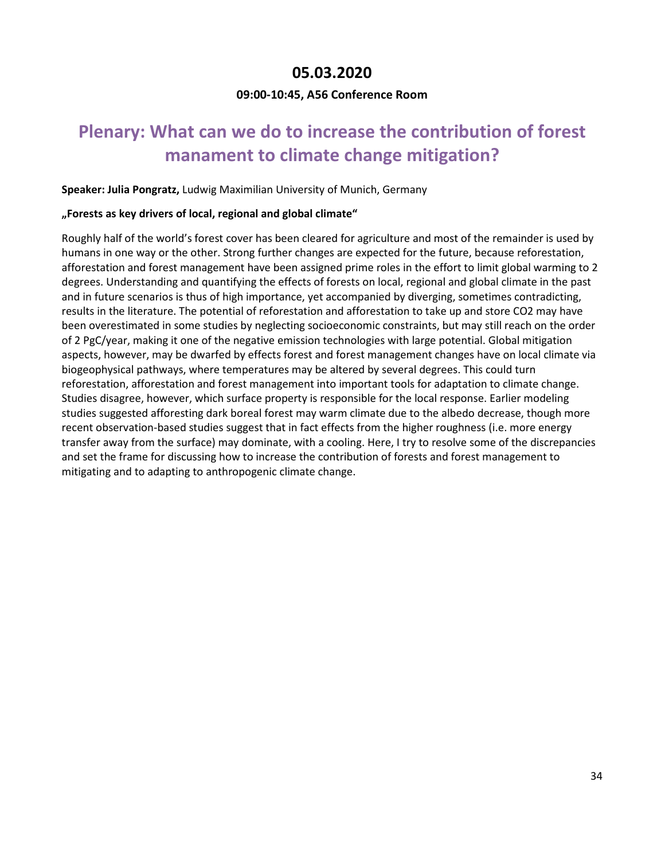## **05.03.2020**

## **09:00-10:45, A56 Conference Room**

## <span id="page-33-2"></span><span id="page-33-1"></span><span id="page-33-0"></span>**Plenary: What can we do to increase the contribution of forest manament to climate change mitigation?**

#### **Speaker: Julia Pongratz,** Ludwig Maximilian University of Munich, Germany

#### **"Forests as key drivers of local, regional and global climate"**

Roughly half of the world's forest cover has been cleared for agriculture and most of the remainder is used by humans in one way or the other. Strong further changes are expected for the future, because reforestation, afforestation and forest management have been assigned prime roles in the effort to limit global warming to 2 degrees. Understanding and quantifying the effects of forests on local, regional and global climate in the past and in future scenarios is thus of high importance, yet accompanied by diverging, sometimes contradicting, results in the literature. The potential of reforestation and afforestation to take up and store CO2 may have been overestimated in some studies by neglecting socioeconomic constraints, but may still reach on the order of 2 PgC/year, making it one of the negative emission technologies with large potential. Global mitigation aspects, however, may be dwarfed by effects forest and forest management changes have on local climate via biogeophysical pathways, where temperatures may be altered by several degrees. This could turn reforestation, afforestation and forest management into important tools for adaptation to climate change. Studies disagree, however, which surface property is responsible for the local response. Earlier modeling studies suggested afforesting dark boreal forest may warm climate due to the albedo decrease, though more recent observation-based studies suggest that in fact effects from the higher roughness (i.e. more energy transfer away from the surface) may dominate, with a cooling. Here, I try to resolve some of the discrepancies and set the frame for discussing how to increase the contribution of forests and forest management to mitigating and to adapting to anthropogenic climate change.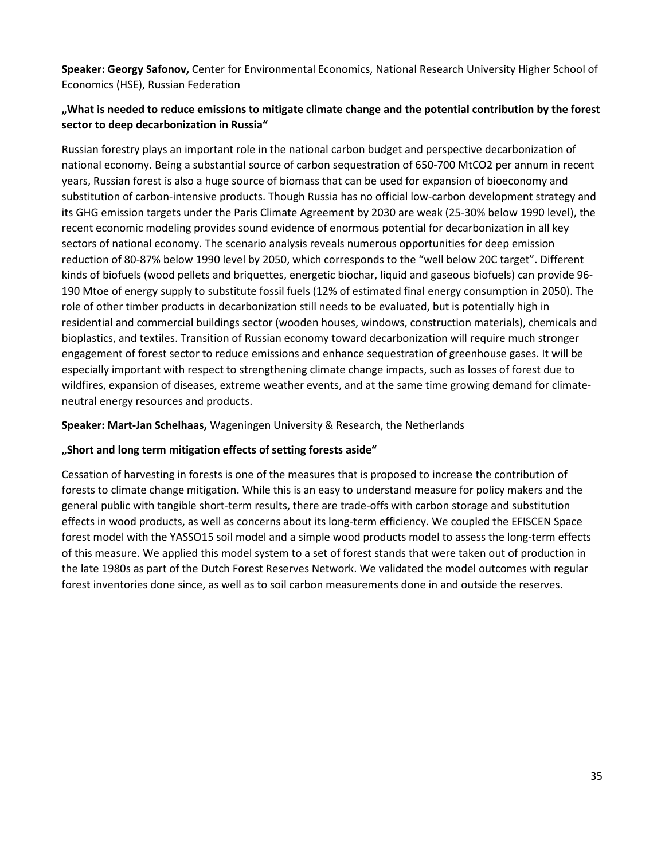**Speaker: Georgy Safonov,** Center for Environmental Economics, National Research University Higher School of Economics (HSE), Russian Federation

## **"What is needed to reduce emissions to mitigate climate change and the potential contribution by the forest sector to deep decarbonization in Russia"**

Russian forestry plays an important role in the national carbon budget and perspective decarbonization of national economy. Being a substantial source of carbon sequestration of 650-700 MtCO2 per annum in recent years, Russian forest is also a huge source of biomass that can be used for expansion of bioeconomy and substitution of carbon-intensive products. Though Russia has no official low-carbon development strategy and its GHG emission targets under the Paris Climate Agreement by 2030 are weak (25-30% below 1990 level), the recent economic modeling provides sound evidence of enormous potential for decarbonization in all key sectors of national economy. The scenario analysis reveals numerous opportunities for deep emission reduction of 80-87% below 1990 level by 2050, which corresponds to the "well below 20C target". Different kinds of biofuels (wood pellets and briquettes, energetic biochar, liquid and gaseous biofuels) can provide 96- 190 Mtoe of energy supply to substitute fossil fuels (12% of estimated final energy consumption in 2050). The role of other timber products in decarbonization still needs to be evaluated, but is potentially high in residential and commercial buildings sector (wooden houses, windows, construction materials), chemicals and bioplastics, and textiles. Transition of Russian economy toward decarbonization will require much stronger engagement of forest sector to reduce emissions and enhance sequestration of greenhouse gases. It will be especially important with respect to strengthening climate change impacts, such as losses of forest due to wildfires, expansion of diseases, extreme weather events, and at the same time growing demand for climateneutral energy resources and products.

**Speaker: Mart-Jan Schelhaas,** Wageningen University & Research, the Netherlands

#### **"Short and long term mitigation effects of setting forests aside"**

Cessation of harvesting in forests is one of the measures that is proposed to increase the contribution of forests to climate change mitigation. While this is an easy to understand measure for policy makers and the general public with tangible short-term results, there are trade-offs with carbon storage and substitution effects in wood products, as well as concerns about its long-term efficiency. We coupled the EFISCEN Space forest model with the YASSO15 soil model and a simple wood products model to assess the long-term effects of this measure. We applied this model system to a set of forest stands that were taken out of production in the late 1980s as part of the Dutch Forest Reserves Network. We validated the model outcomes with regular forest inventories done since, as well as to soil carbon measurements done in and outside the reserves.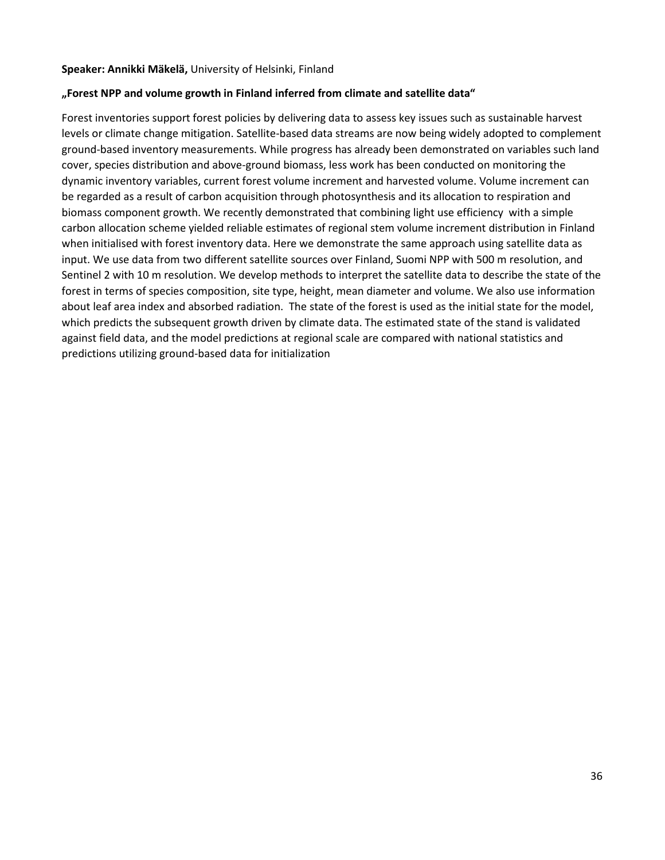#### **Speaker: Annikki Mäkelä,** University of Helsinki, Finland

#### **"Forest NPP and volume growth in Finland inferred from climate and satellite data"**

Forest inventories support forest policies by delivering data to assess key issues such as sustainable harvest levels or climate change mitigation. Satellite-based data streams are now being widely adopted to complement ground-based inventory measurements. While progress has already been demonstrated on variables such land cover, species distribution and above-ground biomass, less work has been conducted on monitoring the dynamic inventory variables, current forest volume increment and harvested volume. Volume increment can be regarded as a result of carbon acquisition through photosynthesis and its allocation to respiration and biomass component growth. We recently demonstrated that combining light use efficiency with a simple carbon allocation scheme yielded reliable estimates of regional stem volume increment distribution in Finland when initialised with forest inventory data. Here we demonstrate the same approach using satellite data as input. We use data from two different satellite sources over Finland, Suomi NPP with 500 m resolution, and Sentinel 2 with 10 m resolution. We develop methods to interpret the satellite data to describe the state of the forest in terms of species composition, site type, height, mean diameter and volume. We also use information about leaf area index and absorbed radiation. The state of the forest is used as the initial state for the model, which predicts the subsequent growth driven by climate data. The estimated state of the stand is validated against field data, and the model predictions at regional scale are compared with national statistics and predictions utilizing ground-based data for initialization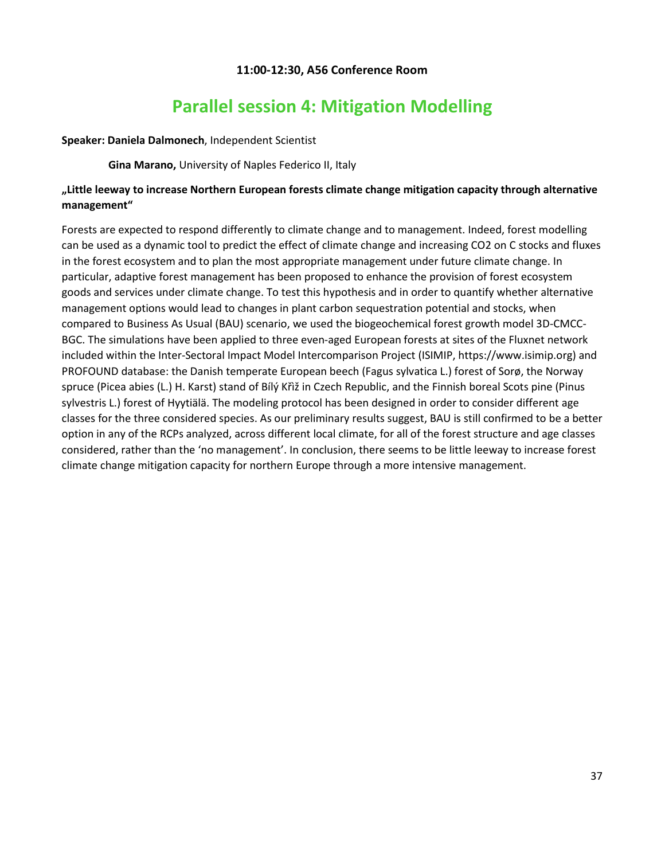## **11:00-12:30, A56 Conference Room**

## **Parallel session 4: Mitigation Modelling**

#### <span id="page-36-1"></span><span id="page-36-0"></span>**Speaker: Daniela Dalmonech**, Independent Scientist

**Gina Marano,** University of Naples Federico II, Italy

## **"Little leeway to increase Northern European forests climate change mitigation capacity through alternative management"**

Forests are expected to respond differently to climate change and to management. Indeed, forest modelling can be used as a dynamic tool to predict the effect of climate change and increasing CO2 on C stocks and fluxes in the forest ecosystem and to plan the most appropriate management under future climate change. In particular, adaptive forest management has been proposed to enhance the provision of forest ecosystem goods and services under climate change. To test this hypothesis and in order to quantify whether alternative management options would lead to changes in plant carbon sequestration potential and stocks, when compared to Business As Usual (BAU) scenario, we used the biogeochemical forest growth model 3D-CMCC-BGC. The simulations have been applied to three even-aged European forests at sites of the Fluxnet network included within the Inter-Sectoral Impact Model Intercomparison Project (ISIMIP, https://www.isimip.org) and PROFOUND database: the Danish temperate European beech (Fagus sylvatica L.) forest of Sorø, the Norway spruce (Picea abies (L.) H. Karst) stand of Bílý Křìž in Czech Republic, and the Finnish boreal Scots pine (Pinus sylvestris L.) forest of Hyytiälä. The modeling protocol has been designed in order to consider different age classes for the three considered species. As our preliminary results suggest, BAU is still confirmed to be a better option in any of the RCPs analyzed, across different local climate, for all of the forest structure and age classes considered, rather than the 'no management'. In conclusion, there seems to be little leeway to increase forest climate change mitigation capacity for northern Europe through a more intensive management.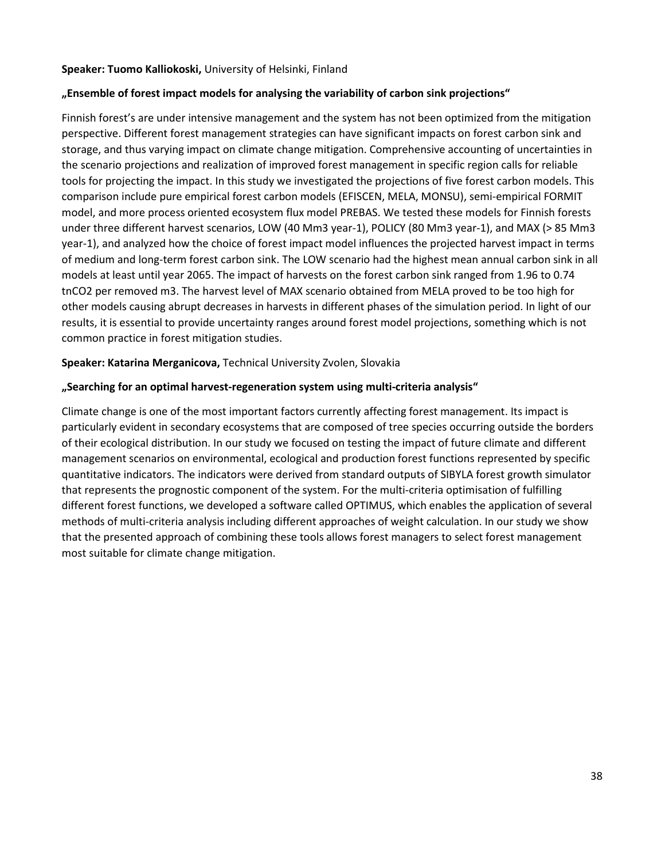#### **Speaker: Tuomo Kalliokoski,** University of Helsinki, Finland

#### **"Ensemble of forest impact models for analysing the variability of carbon sink projections"**

Finnish forest's are under intensive management and the system has not been optimized from the mitigation perspective. Different forest management strategies can have significant impacts on forest carbon sink and storage, and thus varying impact on climate change mitigation. Comprehensive accounting of uncertainties in the scenario projections and realization of improved forest management in specific region calls for reliable tools for projecting the impact. In this study we investigated the projections of five forest carbon models. This comparison include pure empirical forest carbon models (EFISCEN, MELA, MONSU), semi-empirical FORMIT model, and more process oriented ecosystem flux model PREBAS. We tested these models for Finnish forests under three different harvest scenarios, LOW (40 Mm3 year-1), POLICY (80 Mm3 year-1), and MAX (> 85 Mm3 year-1), and analyzed how the choice of forest impact model influences the projected harvest impact in terms of medium and long-term forest carbon sink. The LOW scenario had the highest mean annual carbon sink in all models at least until year 2065. The impact of harvests on the forest carbon sink ranged from 1.96 to 0.74 tnCO2 per removed m3. The harvest level of MAX scenario obtained from MELA proved to be too high for other models causing abrupt decreases in harvests in different phases of the simulation period. In light of our results, it is essential to provide uncertainty ranges around forest model projections, something which is not common practice in forest mitigation studies.

#### **Speaker: Katarina Merganicova,** Technical University Zvolen, Slovakia

#### **"Searching for an optimal harvest-regeneration system using multi-criteria analysis"**

Climate change is one of the most important factors currently affecting forest management. Its impact is particularly evident in secondary ecosystems that are composed of tree species occurring outside the borders of their ecological distribution. In our study we focused on testing the impact of future climate and different management scenarios on environmental, ecological and production forest functions represented by specific quantitative indicators. The indicators were derived from standard outputs of SIBYLA forest growth simulator that represents the prognostic component of the system. For the multi-criteria optimisation of fulfilling different forest functions, we developed a software called OPTIMUS, which enables the application of several methods of multi-criteria analysis including different approaches of weight calculation. In our study we show that the presented approach of combining these tools allows forest managers to select forest management most suitable for climate change mitigation.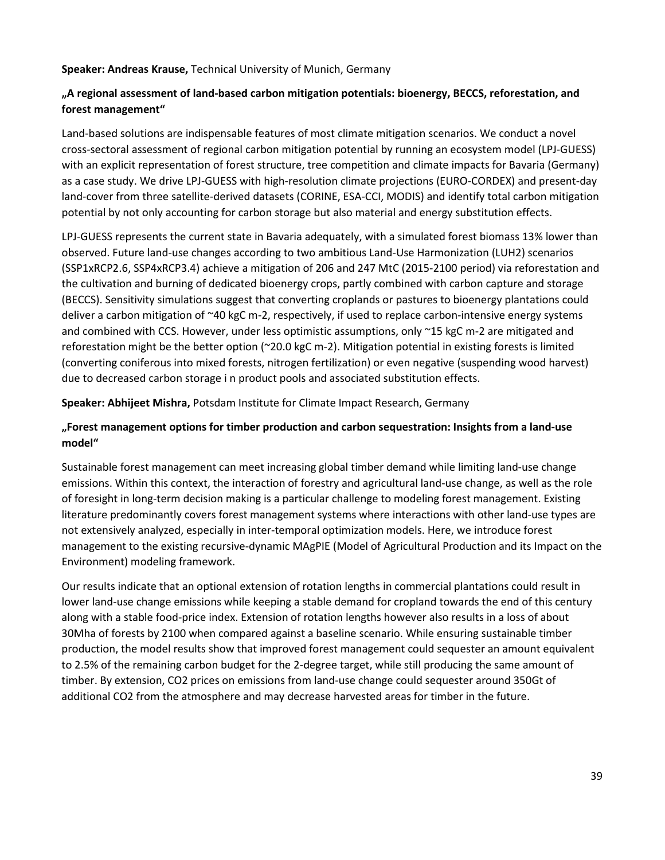**Speaker: Andreas Krause,** Technical University of Munich, Germany

## **"A regional assessment of land-based carbon mitigation potentials: bioenergy, BECCS, reforestation, and forest management"**

Land-based solutions are indispensable features of most climate mitigation scenarios. We conduct a novel cross-sectoral assessment of regional carbon mitigation potential by running an ecosystem model (LPJ-GUESS) with an explicit representation of forest structure, tree competition and climate impacts for Bavaria (Germany) as a case study. We drive LPJ-GUESS with high-resolution climate projections (EURO-CORDEX) and present-day land-cover from three satellite-derived datasets (CORINE, ESA-CCI, MODIS) and identify total carbon mitigation potential by not only accounting for carbon storage but also material and energy substitution effects.

LPJ-GUESS represents the current state in Bavaria adequately, with a simulated forest biomass 13% lower than observed. Future land-use changes according to two ambitious Land-Use Harmonization (LUH2) scenarios (SSP1xRCP2.6, SSP4xRCP3.4) achieve a mitigation of 206 and 247 MtC (2015-2100 period) via reforestation and the cultivation and burning of dedicated bioenergy crops, partly combined with carbon capture and storage (BECCS). Sensitivity simulations suggest that converting croplands or pastures to bioenergy plantations could deliver a carbon mitigation of ~40 kgC m-2, respectively, if used to replace carbon-intensive energy systems and combined with CCS. However, under less optimistic assumptions, only  $\gamma$ 15 kgC m-2 are mitigated and reforestation might be the better option (~20.0 kgC m-2). Mitigation potential in existing forests is limited (converting coniferous into mixed forests, nitrogen fertilization) or even negative (suspending wood harvest) due to decreased carbon storage i n product pools and associated substitution effects.

**Speaker: Abhijeet Mishra,** Potsdam Institute for Climate Impact Research, Germany

## **"Forest management options for timber production and carbon sequestration: Insights from a land-use model"**

Sustainable forest management can meet increasing global timber demand while limiting land-use change emissions. Within this context, the interaction of forestry and agricultural land-use change, as well as the role of foresight in long-term decision making is a particular challenge to modeling forest management. Existing literature predominantly covers forest management systems where interactions with other land-use types are not extensively analyzed, especially in inter-temporal optimization models. Here, we introduce forest management to the existing recursive-dynamic MAgPIE (Model of Agricultural Production and its Impact on the Environment) modeling framework.

Our results indicate that an optional extension of rotation lengths in commercial plantations could result in lower land-use change emissions while keeping a stable demand for cropland towards the end of this century along with a stable food-price index. Extension of rotation lengths however also results in a loss of about 30Mha of forests by 2100 when compared against a baseline scenario. While ensuring sustainable timber production, the model results show that improved forest management could sequester an amount equivalent to 2.5% of the remaining carbon budget for the 2-degree target, while still producing the same amount of timber. By extension, CO2 prices on emissions from land-use change could sequester around 350Gt of additional CO2 from the atmosphere and may decrease harvested areas for timber in the future.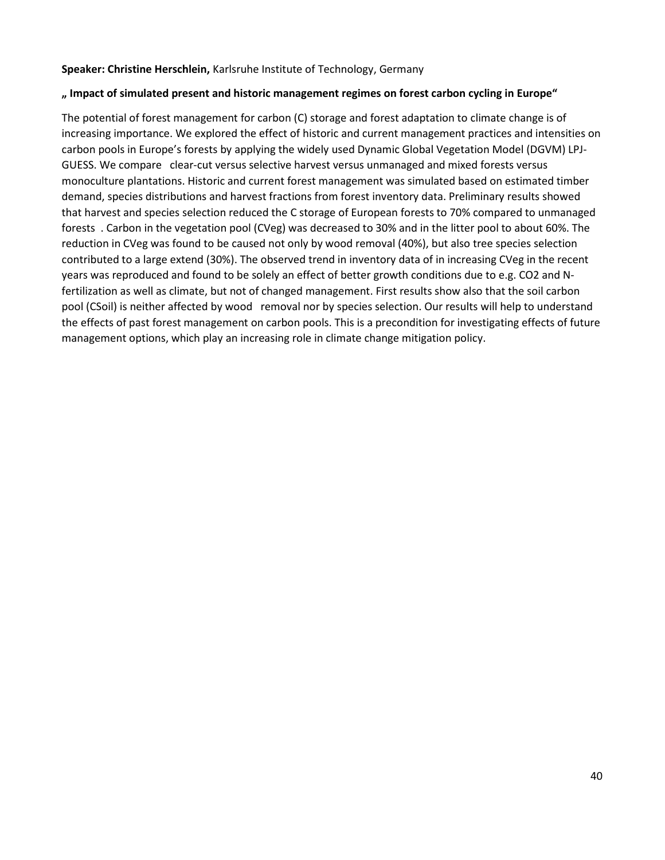#### **Speaker: Christine Herschlein,** Karlsruhe Institute of Technology, Germany

#### **" Impact of simulated present and historic management regimes on forest carbon cycling in Europe"**

The potential of forest management for carbon (C) storage and forest adaptation to climate change is of increasing importance. We explored the effect of historic and current management practices and intensities on carbon pools in Europe's forests by applying the widely used Dynamic Global Vegetation Model (DGVM) LPJ-GUESS. We compare clear-cut versus selective harvest versus unmanaged and mixed forests versus monoculture plantations. Historic and current forest management was simulated based on estimated timber demand, species distributions and harvest fractions from forest inventory data. Preliminary results showed that harvest and species selection reduced the C storage of European forests to 70% compared to unmanaged forests . Carbon in the vegetation pool (CVeg) was decreased to 30% and in the litter pool to about 60%. The reduction in CVeg was found to be caused not only by wood removal (40%), but also tree species selection contributed to a large extend (30%). The observed trend in inventory data of in increasing CVeg in the recent years was reproduced and found to be solely an effect of better growth conditions due to e.g. CO2 and Nfertilization as well as climate, but not of changed management. First results show also that the soil carbon pool (CSoil) is neither affected by wood removal nor by species selection. Our results will help to understand the effects of past forest management on carbon pools. This is a precondition for investigating effects of future management options, which play an increasing role in climate change mitigation policy.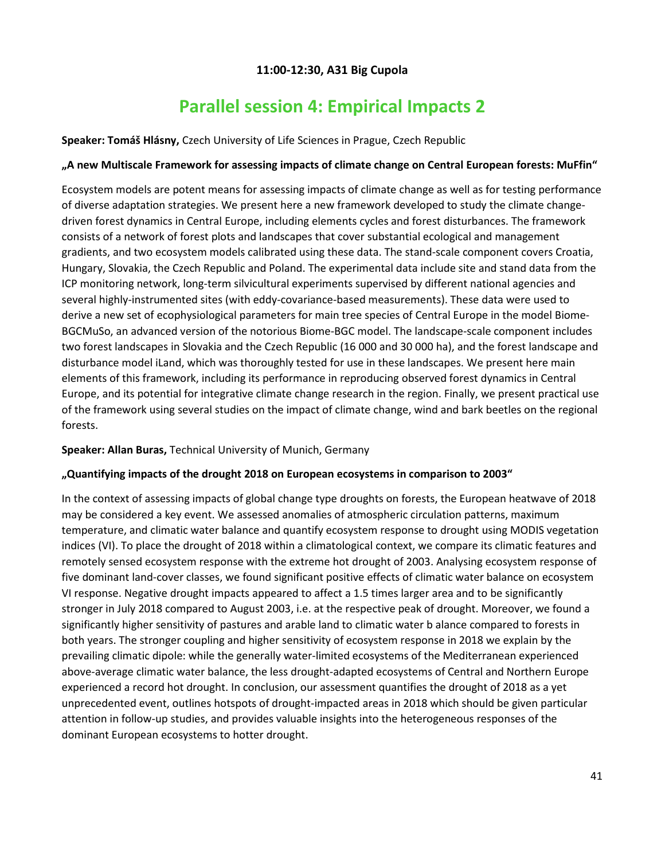## **11:00-12:30, A31 Big Cupola**

## **Parallel session 4: Empirical Impacts 2**

<span id="page-40-1"></span><span id="page-40-0"></span>**Speaker: Tomáš Hlásny,** Czech University of Life Sciences in Prague, Czech Republic

### **"A new Multiscale Framework for assessing impacts of climate change on Central European forests: MuFfin"**

Ecosystem models are potent means for assessing impacts of climate change as well as for testing performance of diverse adaptation strategies. We present here a new framework developed to study the climate changedriven forest dynamics in Central Europe, including elements cycles and forest disturbances. The framework consists of a network of forest plots and landscapes that cover substantial ecological and management gradients, and two ecosystem models calibrated using these data. The stand-scale component covers Croatia, Hungary, Slovakia, the Czech Republic and Poland. The experimental data include site and stand data from the ICP monitoring network, long-term silvicultural experiments supervised by different national agencies and several highly-instrumented sites (with eddy-covariance-based measurements). These data were used to derive a new set of ecophysiological parameters for main tree species of Central Europe in the model Biome-BGCMuSo, an advanced version of the notorious Biome-BGC model. The landscape-scale component includes two forest landscapes in Slovakia and the Czech Republic (16 000 and 30 000 ha), and the forest landscape and disturbance model iLand, which was thoroughly tested for use in these landscapes. We present here main elements of this framework, including its performance in reproducing observed forest dynamics in Central Europe, and its potential for integrative climate change research in the region. Finally, we present practical use of the framework using several studies on the impact of climate change, wind and bark beetles on the regional forests.

## **Speaker: Allan Buras,** Technical University of Munich, Germany

#### **"Quantifying impacts of the drought 2018 on European ecosystems in comparison to 2003"**

In the context of assessing impacts of global change type droughts on forests, the European heatwave of 2018 may be considered a key event. We assessed anomalies of atmospheric circulation patterns, maximum temperature, and climatic water balance and quantify ecosystem response to drought using MODIS vegetation indices (VI). To place the drought of 2018 within a climatological context, we compare its climatic features and remotely sensed ecosystem response with the extreme hot drought of 2003. Analysing ecosystem response of five dominant land-cover classes, we found significant positive effects of climatic water balance on ecosystem VI response. Negative drought impacts appeared to affect a 1.5 times larger area and to be significantly stronger in July 2018 compared to August 2003, i.e. at the respective peak of drought. Moreover, we found a significantly higher sensitivity of pastures and arable land to climatic water b alance compared to forests in both years. The stronger coupling and higher sensitivity of ecosystem response in 2018 we explain by the prevailing climatic dipole: while the generally water-limited ecosystems of the Mediterranean experienced above-average climatic water balance, the less drought-adapted ecosystems of Central and Northern Europe experienced a record hot drought. In conclusion, our assessment quantifies the drought of 2018 as a yet unprecedented event, outlines hotspots of drought-impacted areas in 2018 which should be given particular attention in follow-up studies, and provides valuable insights into the heterogeneous responses of the dominant European ecosystems to hotter drought.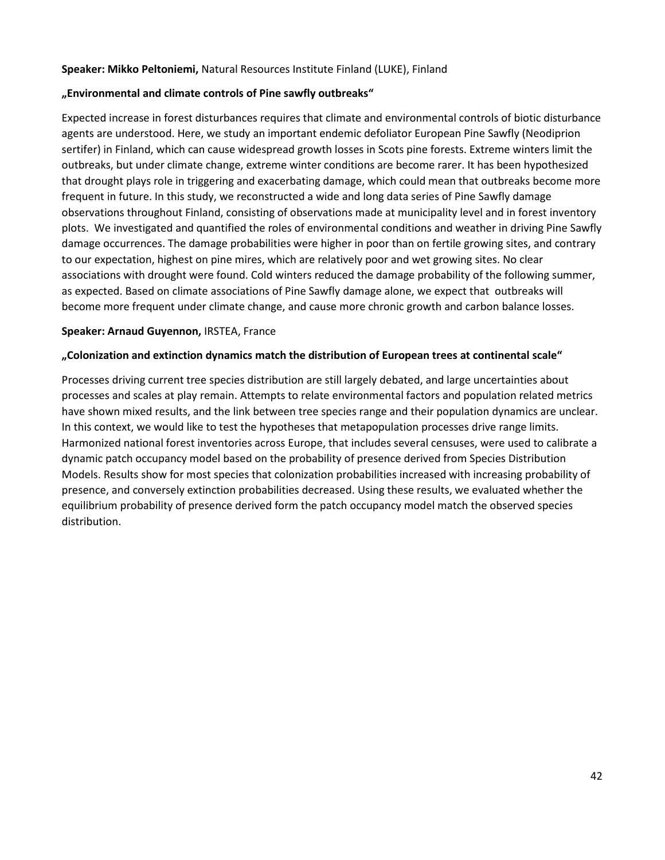#### **Speaker: Mikko Peltoniemi,** Natural Resources Institute Finland (LUKE), Finland

#### **"Environmental and climate controls of Pine sawfly outbreaks"**

Expected increase in forest disturbances requires that climate and environmental controls of biotic disturbance agents are understood. Here, we study an important endemic defoliator European Pine Sawfly (Neodiprion sertifer) in Finland, which can cause widespread growth losses in Scots pine forests. Extreme winters limit the outbreaks, but under climate change, extreme winter conditions are become rarer. It has been hypothesized that drought plays role in triggering and exacerbating damage, which could mean that outbreaks become more frequent in future. In this study, we reconstructed a wide and long data series of Pine Sawfly damage observations throughout Finland, consisting of observations made at municipality level and in forest inventory plots. We investigated and quantified the roles of environmental conditions and weather in driving Pine Sawfly damage occurrences. The damage probabilities were higher in poor than on fertile growing sites, and contrary to our expectation, highest on pine mires, which are relatively poor and wet growing sites. No clear associations with drought were found. Cold winters reduced the damage probability of the following summer, as expected. Based on climate associations of Pine Sawfly damage alone, we expect that outbreaks will become more frequent under climate change, and cause more chronic growth and carbon balance losses.

#### **Speaker: Arnaud Guyennon,** IRSTEA, France

#### **"Colonization and extinction dynamics match the distribution of European trees at continental scale"**

Processes driving current tree species distribution are still largely debated, and large uncertainties about processes and scales at play remain. Attempts to relate environmental factors and population related metrics have shown mixed results, and the link between tree species range and their population dynamics are unclear. In this context, we would like to test the hypotheses that metapopulation processes drive range limits. Harmonized national forest inventories across Europe, that includes several censuses, were used to calibrate a dynamic patch occupancy model based on the probability of presence derived from Species Distribution Models. Results show for most species that colonization probabilities increased with increasing probability of presence, and conversely extinction probabilities decreased. Using these results, we evaluated whether the equilibrium probability of presence derived form the patch occupancy model match the observed species distribution.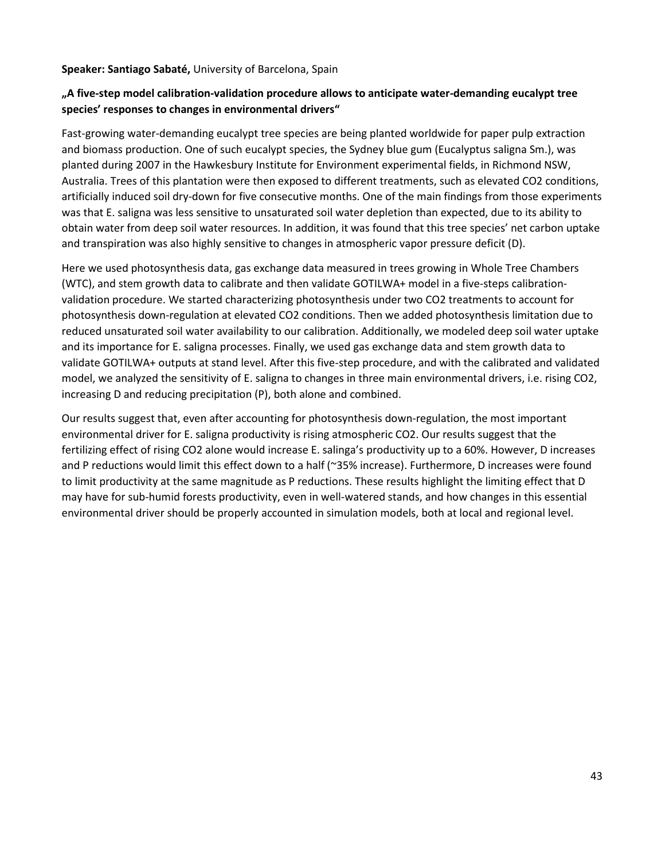**Speaker: Santiago Sabaté,** University of Barcelona, Spain

## **"A five-step model calibration-validation procedure allows to anticipate water-demanding eucalypt tree species' responses to changes in environmental drivers"**

Fast-growing water-demanding eucalypt tree species are being planted worldwide for paper pulp extraction and biomass production. One of such eucalypt species, the Sydney blue gum (Eucalyptus saligna Sm.), was planted during 2007 in the Hawkesbury Institute for Environment experimental fields, in Richmond NSW, Australia. Trees of this plantation were then exposed to different treatments, such as elevated CO2 conditions, artificially induced soil dry-down for five consecutive months. One of the main findings from those experiments was that E. saligna was less sensitive to unsaturated soil water depletion than expected, due to its ability to obtain water from deep soil water resources. In addition, it was found that this tree species' net carbon uptake and transpiration was also highly sensitive to changes in atmospheric vapor pressure deficit (D).

Here we used photosynthesis data, gas exchange data measured in trees growing in Whole Tree Chambers (WTC), and stem growth data to calibrate and then validate GOTILWA+ model in a five-steps calibrationvalidation procedure. We started characterizing photosynthesis under two CO2 treatments to account for photosynthesis down-regulation at elevated CO2 conditions. Then we added photosynthesis limitation due to reduced unsaturated soil water availability to our calibration. Additionally, we modeled deep soil water uptake and its importance for E. saligna processes. Finally, we used gas exchange data and stem growth data to validate GOTILWA+ outputs at stand level. After this five-step procedure, and with the calibrated and validated model, we analyzed the sensitivity of E. saligna to changes in three main environmental drivers, i.e. rising CO2, increasing D and reducing precipitation (P), both alone and combined.

Our results suggest that, even after accounting for photosynthesis down-regulation, the most important environmental driver for E. saligna productivity is rising atmospheric CO2. Our results suggest that the fertilizing effect of rising CO2 alone would increase E. salinga's productivity up to a 60%. However, D increases and P reductions would limit this effect down to a half (~35% increase). Furthermore, D increases were found to limit productivity at the same magnitude as P reductions. These results highlight the limiting effect that D may have for sub-humid forests productivity, even in well-watered stands, and how changes in this essential environmental driver should be properly accounted in simulation models, both at local and regional level.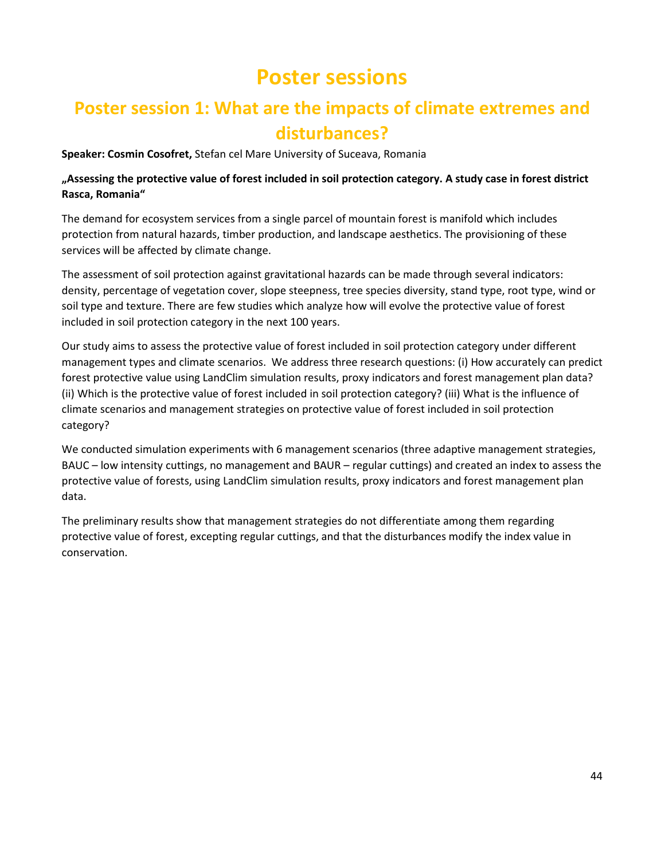# **Poster sessions**

## <span id="page-43-1"></span><span id="page-43-0"></span>**Poster session 1: What are the impacts of climate extremes and disturbances?**

**Speaker: Cosmin Cosofret,** Stefan cel Mare University of Suceava, Romania

## **"Assessing the protective value of forest included in soil protection category. A study case in forest district Rasca, Romania"**

The demand for ecosystem services from a single parcel of mountain forest is manifold which includes protection from natural hazards, timber production, and landscape aesthetics. The provisioning of these services will be affected by climate change.

The assessment of soil protection against gravitational hazards can be made through several indicators: density, percentage of vegetation cover, slope steepness, tree species diversity, stand type, root type, wind or soil type and texture. There are few studies which analyze how will evolve the protective value of forest included in soil protection category in the next 100 years.

Our study aims to assess the protective value of forest included in soil protection category under different management types and climate scenarios. We address three research questions: (i) How accurately can predict forest protective value using LandClim simulation results, proxy indicators and forest management plan data? (ii) Which is the protective value of forest included in soil protection category? (iii) What is the influence of climate scenarios and management strategies on protective value of forest included in soil protection category?

We conducted simulation experiments with 6 management scenarios (three adaptive management strategies, BAUC – low intensity cuttings, no management and BAUR – regular cuttings) and created an index to assess the protective value of forests, using LandClim simulation results, proxy indicators and forest management plan data.

The preliminary results show that management strategies do not differentiate among them regarding protective value of forest, excepting regular cuttings, and that the disturbances modify the index value in conservation.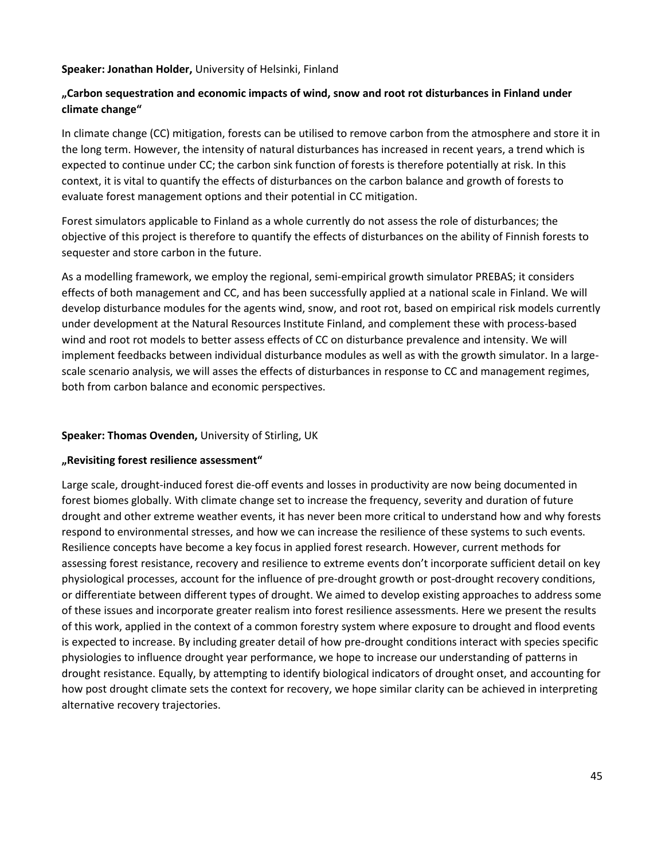#### **Speaker: Jonathan Holder,** University of Helsinki, Finland

## **"Carbon sequestration and economic impacts of wind, snow and root rot disturbances in Finland under climate change"**

In climate change (CC) mitigation, forests can be utilised to remove carbon from the atmosphere and store it in the long term. However, the intensity of natural disturbances has increased in recent years, a trend which is expected to continue under CC; the carbon sink function of forests is therefore potentially at risk. In this context, it is vital to quantify the effects of disturbances on the carbon balance and growth of forests to evaluate forest management options and their potential in CC mitigation.

Forest simulators applicable to Finland as a whole currently do not assess the role of disturbances; the objective of this project is therefore to quantify the effects of disturbances on the ability of Finnish forests to sequester and store carbon in the future.

As a modelling framework, we employ the regional, semi-empirical growth simulator PREBAS; it considers effects of both management and CC, and has been successfully applied at a national scale in Finland. We will develop disturbance modules for the agents wind, snow, and root rot, based on empirical risk models currently under development at the Natural Resources Institute Finland, and complement these with process-based wind and root rot models to better assess effects of CC on disturbance prevalence and intensity. We will implement feedbacks between individual disturbance modules as well as with the growth simulator. In a largescale scenario analysis, we will asses the effects of disturbances in response to CC and management regimes, both from carbon balance and economic perspectives.

#### **Speaker: Thomas Ovenden,** University of Stirling, UK

#### **"Revisiting forest resilience assessment"**

Large scale, drought-induced forest die-off events and losses in productivity are now being documented in forest biomes globally. With climate change set to increase the frequency, severity and duration of future drought and other extreme weather events, it has never been more critical to understand how and why forests respond to environmental stresses, and how we can increase the resilience of these systems to such events. Resilience concepts have become a key focus in applied forest research. However, current methods for assessing forest resistance, recovery and resilience to extreme events don't incorporate sufficient detail on key physiological processes, account for the influence of pre-drought growth or post-drought recovery conditions, or differentiate between different types of drought. We aimed to develop existing approaches to address some of these issues and incorporate greater realism into forest resilience assessments. Here we present the results of this work, applied in the context of a common forestry system where exposure to drought and flood events is expected to increase. By including greater detail of how pre-drought conditions interact with species specific physiologies to influence drought year performance, we hope to increase our understanding of patterns in drought resistance. Equally, by attempting to identify biological indicators of drought onset, and accounting for how post drought climate sets the context for recovery, we hope similar clarity can be achieved in interpreting alternative recovery trajectories.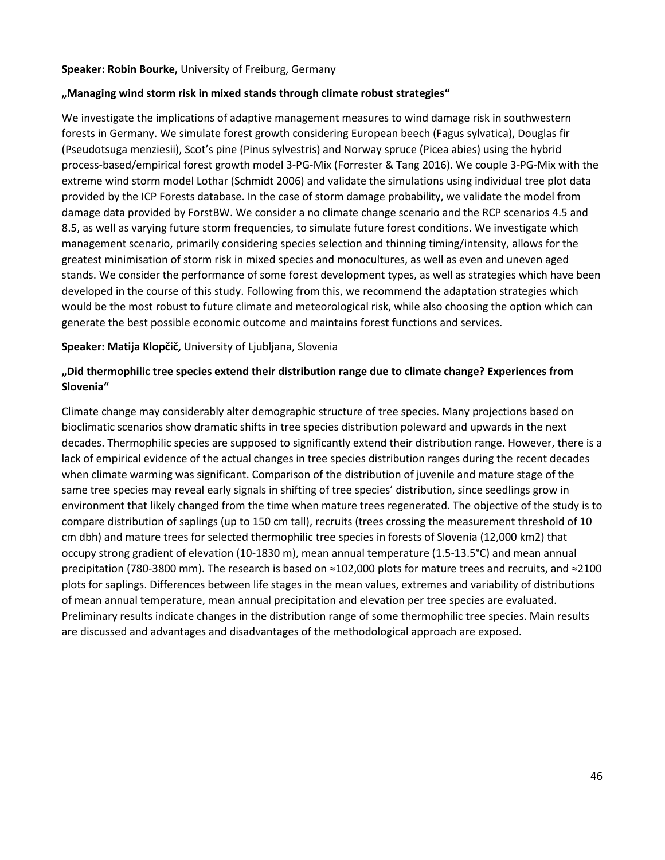#### **Speaker: Robin Bourke,** University of Freiburg, Germany

#### **"Managing wind storm risk in mixed stands through climate robust strategies"**

We investigate the implications of adaptive management measures to wind damage risk in southwestern forests in Germany. We simulate forest growth considering European beech (Fagus sylvatica), Douglas fir (Pseudotsuga menziesii), Scot's pine (Pinus sylvestris) and Norway spruce (Picea abies) using the hybrid process-based/empirical forest growth model 3-PG-Mix (Forrester & Tang 2016). We couple 3-PG-Mix with the extreme wind storm model Lothar (Schmidt 2006) and validate the simulations using individual tree plot data provided by the ICP Forests database. In the case of storm damage probability, we validate the model from damage data provided by ForstBW. We consider a no climate change scenario and the RCP scenarios 4.5 and 8.5, as well as varying future storm frequencies, to simulate future forest conditions. We investigate which management scenario, primarily considering species selection and thinning timing/intensity, allows for the greatest minimisation of storm risk in mixed species and monocultures, as well as even and uneven aged stands. We consider the performance of some forest development types, as well as strategies which have been developed in the course of this study. Following from this, we recommend the adaptation strategies which would be the most robust to future climate and meteorological risk, while also choosing the option which can generate the best possible economic outcome and maintains forest functions and services.

#### **Speaker: Matija Klopčič,** University of Ljubljana, Slovenia

## **"Did thermophilic tree species extend their distribution range due to climate change? Experiences from Slovenia"**

Climate change may considerably alter demographic structure of tree species. Many projections based on bioclimatic scenarios show dramatic shifts in tree species distribution poleward and upwards in the next decades. Thermophilic species are supposed to significantly extend their distribution range. However, there is a lack of empirical evidence of the actual changes in tree species distribution ranges during the recent decades when climate warming was significant. Comparison of the distribution of juvenile and mature stage of the same tree species may reveal early signals in shifting of tree species' distribution, since seedlings grow in environment that likely changed from the time when mature trees regenerated. The objective of the study is to compare distribution of saplings (up to 150 cm tall), recruits (trees crossing the measurement threshold of 10 cm dbh) and mature trees for selected thermophilic tree species in forests of Slovenia (12,000 km2) that occupy strong gradient of elevation (10-1830 m), mean annual temperature (1.5-13.5°C) and mean annual precipitation (780-3800 mm). The research is based on ≈102,000 plots for mature trees and recruits, and ≈2100 plots for saplings. Differences between life stages in the mean values, extremes and variability of distributions of mean annual temperature, mean annual precipitation and elevation per tree species are evaluated. Preliminary results indicate changes in the distribution range of some thermophilic tree species. Main results are discussed and advantages and disadvantages of the methodological approach are exposed.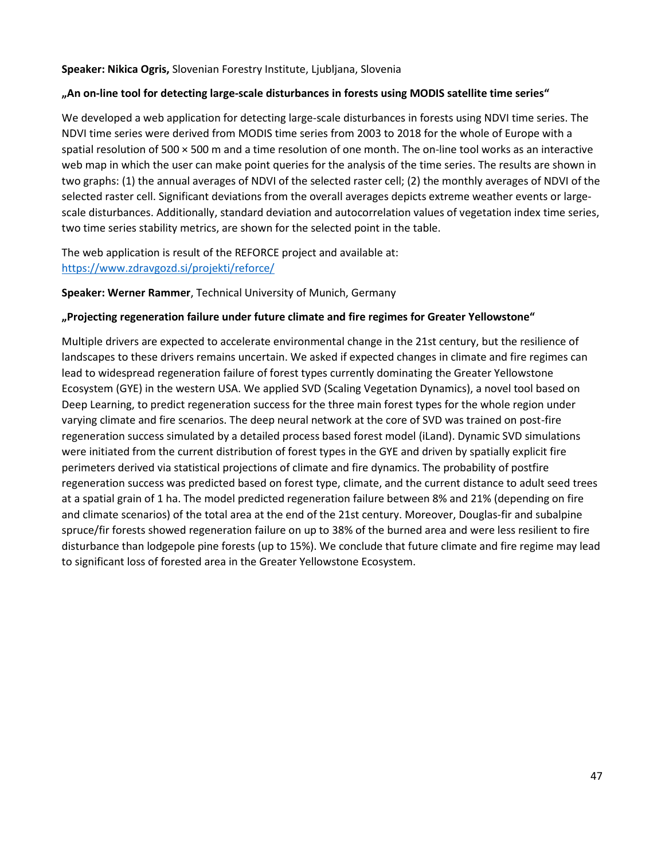#### **Speaker: Nikica Ogris,** Slovenian Forestry Institute, Ljubljana, Slovenia

#### **"An on-line tool for detecting large-scale disturbances in forests using MODIS satellite time series"**

We developed a web application for detecting large-scale disturbances in forests using NDVI time series. The NDVI time series were derived from MODIS time series from 2003 to 2018 for the whole of Europe with a spatial resolution of 500 × 500 m and a time resolution of one month. The on-line tool works as an interactive web map in which the user can make point queries for the analysis of the time series. The results are shown in two graphs: (1) the annual averages of NDVI of the selected raster cell; (2) the monthly averages of NDVI of the selected raster cell. Significant deviations from the overall averages depicts extreme weather events or largescale disturbances. Additionally, standard deviation and autocorrelation values of vegetation index time series, two time series stability metrics, are shown for the selected point in the table.

The web application is result of the REFORCE project and available at: <https://www.zdravgozd.si/projekti/reforce/>

**Speaker: Werner Rammer**, Technical University of Munich, Germany

#### **"Projecting regeneration failure under future climate and fire regimes for Greater Yellowstone"**

Multiple drivers are expected to accelerate environmental change in the 21st century, but the resilience of landscapes to these drivers remains uncertain. We asked if expected changes in climate and fire regimes can lead to widespread regeneration failure of forest types currently dominating the Greater Yellowstone Ecosystem (GYE) in the western USA. We applied SVD (Scaling Vegetation Dynamics), a novel tool based on Deep Learning, to predict regeneration success for the three main forest types for the whole region under varying climate and fire scenarios. The deep neural network at the core of SVD was trained on post-fire regeneration success simulated by a detailed process based forest model (iLand). Dynamic SVD simulations were initiated from the current distribution of forest types in the GYE and driven by spatially explicit fire perimeters derived via statistical projections of climate and fire dynamics. The probability of postfire regeneration success was predicted based on forest type, climate, and the current distance to adult seed trees at a spatial grain of 1 ha. The model predicted regeneration failure between 8% and 21% (depending on fire and climate scenarios) of the total area at the end of the 21st century. Moreover, Douglas-fir and subalpine spruce/fir forests showed regeneration failure on up to 38% of the burned area and were less resilient to fire disturbance than lodgepole pine forests (up to 15%). We conclude that future climate and fire regime may lead to significant loss of forested area in the Greater Yellowstone Ecosystem.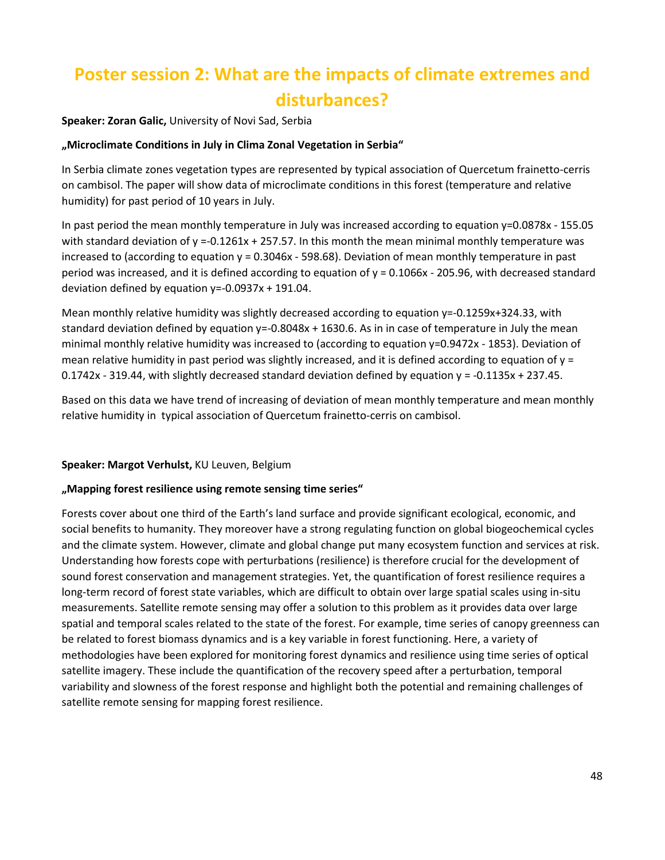## <span id="page-47-0"></span>**Poster session 2: What are the impacts of climate extremes and disturbances?**

**Speaker: Zoran Galic,** University of Novi Sad, Serbia

## **"Microclimate Conditions in July in Clima Zonal Vegetation in Serbia"**

In Serbia climate zones vegetation types are represented by typical association of Quercetum frainetto-cerris on cambisol. The paper will show data of microclimate conditions in this forest (temperature and relative humidity) for past period of 10 years in July.

In past period the mean monthly temperature in July was increased according to equation y=0.0878x - 155.05 with standard deviation of  $y = -0.1261x + 257.57$ . In this month the mean minimal monthly temperature was increased to (according to equation y = 0.3046x - 598.68). Deviation of mean monthly temperature in past period was increased, and it is defined according to equation of y = 0.1066x - 205.96, with decreased standard deviation defined by equation  $y=-0.0937x + 191.04$ .

Mean monthly relative humidity was slightly decreased according to equation y=-0.1259x+324.33, with standard deviation defined by equation y=-0.8048x + 1630.6. As in in case of temperature in July the mean minimal monthly relative humidity was increased to (according to equation y=0.9472x - 1853). Deviation of mean relative humidity in past period was slightly increased, and it is defined according to equation of  $y =$  $0.1742x - 319.44$ , with slightly decreased standard deviation defined by equation  $y = -0.1135x + 237.45$ .

Based on this data we have trend of increasing of deviation of mean monthly temperature and mean monthly relative humidity in typical association of Quercetum frainetto-cerris on cambisol.

## **Speaker: Margot Verhulst,** KU Leuven, Belgium

## **"Mapping forest resilience using remote sensing time series"**

Forests cover about one third of the Earth's land surface and provide significant ecological, economic, and social benefits to humanity. They moreover have a strong regulating function on global biogeochemical cycles and the climate system. However, climate and global change put many ecosystem function and services at risk. Understanding how forests cope with perturbations (resilience) is therefore crucial for the development of sound forest conservation and management strategies. Yet, the quantification of forest resilience requires a long-term record of forest state variables, which are difficult to obtain over large spatial scales using in-situ measurements. Satellite remote sensing may offer a solution to this problem as it provides data over large spatial and temporal scales related to the state of the forest. For example, time series of canopy greenness can be related to forest biomass dynamics and is a key variable in forest functioning. Here, a variety of methodologies have been explored for monitoring forest dynamics and resilience using time series of optical satellite imagery. These include the quantification of the recovery speed after a perturbation, temporal variability and slowness of the forest response and highlight both the potential and remaining challenges of satellite remote sensing for mapping forest resilience.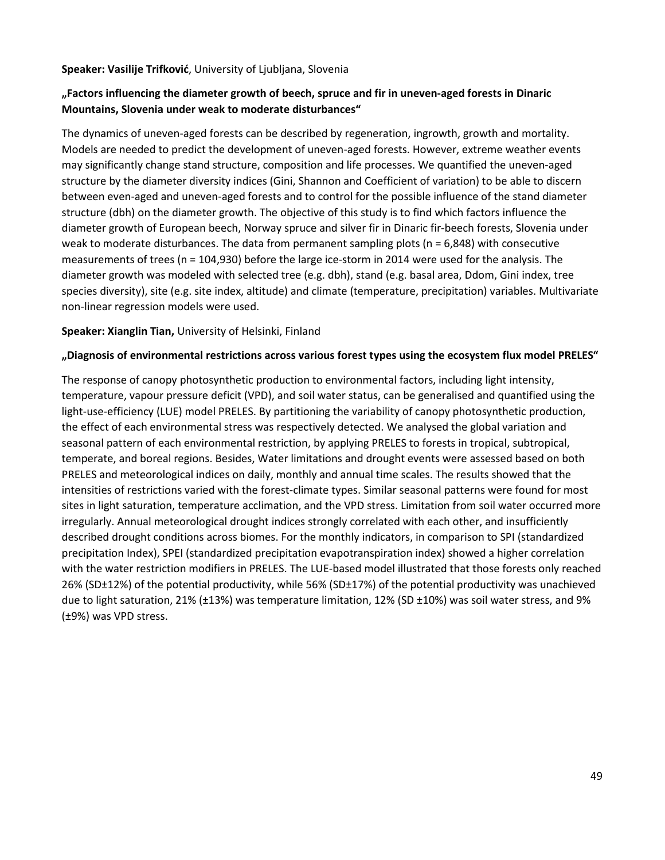#### **Speaker: Vasilije Trifković**, University of Ljubljana, Slovenia

## **"Factors influencing the diameter growth of beech, spruce and fir in uneven-aged forests in Dinaric Mountains, Slovenia under weak to moderate disturbances"**

The dynamics of uneven-aged forests can be described by regeneration, ingrowth, growth and mortality. Models are needed to predict the development of uneven-aged forests. However, extreme weather events may significantly change stand structure, composition and life processes. We quantified the uneven-aged structure by the diameter diversity indices (Gini, Shannon and Coefficient of variation) to be able to discern between even-aged and uneven-aged forests and to control for the possible influence of the stand diameter structure (dbh) on the diameter growth. The objective of this study is to find which factors influence the diameter growth of European beech, Norway spruce and silver fir in Dinaric fir-beech forests, Slovenia under weak to moderate disturbances. The data from permanent sampling plots ( $n = 6,848$ ) with consecutive measurements of trees (n = 104,930) before the large ice-storm in 2014 were used for the analysis. The diameter growth was modeled with selected tree (e.g. dbh), stand (e.g. basal area, Ddom, Gini index, tree species diversity), site (e.g. site index, altitude) and climate (temperature, precipitation) variables. Multivariate non-linear regression models were used.

### **Speaker: Xianglin Tian,** University of Helsinki, Finland

### **"Diagnosis of environmental restrictions across various forest types using the ecosystem flux model PRELES"**

The response of canopy photosynthetic production to environmental factors, including light intensity, temperature, vapour pressure deficit (VPD), and soil water status, can be generalised and quantified using the light-use-efficiency (LUE) model PRELES. By partitioning the variability of canopy photosynthetic production, the effect of each environmental stress was respectively detected. We analysed the global variation and seasonal pattern of each environmental restriction, by applying PRELES to forests in tropical, subtropical, temperate, and boreal regions. Besides, Water limitations and drought events were assessed based on both PRELES and meteorological indices on daily, monthly and annual time scales. The results showed that the intensities of restrictions varied with the forest-climate types. Similar seasonal patterns were found for most sites in light saturation, temperature acclimation, and the VPD stress. Limitation from soil water occurred more irregularly. Annual meteorological drought indices strongly correlated with each other, and insufficiently described drought conditions across biomes. For the monthly indicators, in comparison to SPI (standardized precipitation Index), SPEI (standardized precipitation evapotranspiration index) showed a higher correlation with the water restriction modifiers in PRELES. The LUE-based model illustrated that those forests only reached 26% (SD±12%) of the potential productivity, while 56% (SD±17%) of the potential productivity was unachieved due to light saturation, 21% (±13%) was temperature limitation, 12% (SD ±10%) was soil water stress, and 9% (±9%) was VPD stress.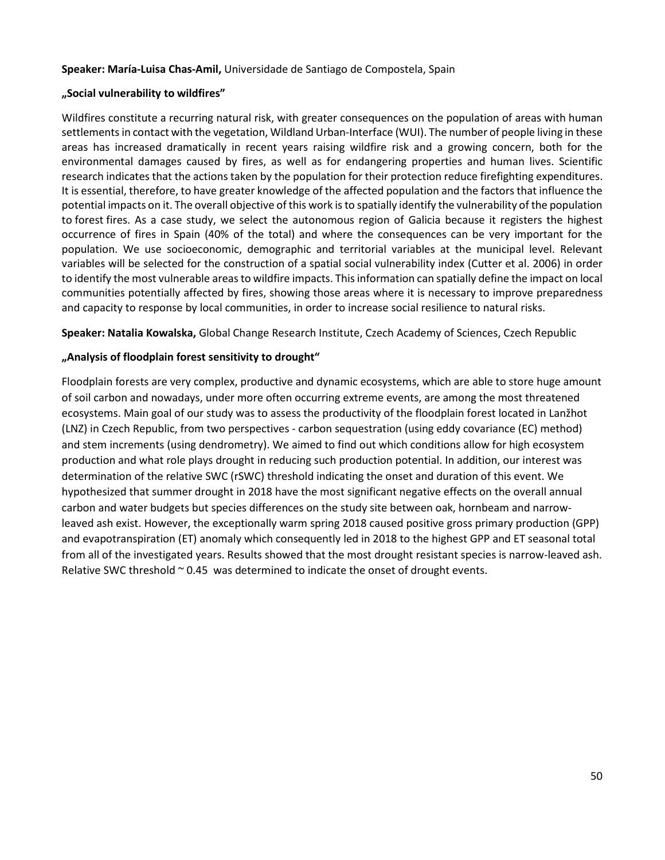#### **Speaker: María-Luisa Chas-Amil,** Universidade de Santiago de Compostela, Spain

#### **"Social vulnerability to wildfires"**

Wildfires constitute a recurring natural risk, with greater consequences on the population of areas with human settlements in contact with the vegetation, Wildland Urban-Interface (WUI). The number of people living in these areas has increased dramatically in recent years raising wildfire risk and a growing concern, both for the environmental damages caused by fires, as well as for endangering properties and human lives. Scientific research indicates that the actions taken by the population for their protection reduce firefighting expenditures. It is essential, therefore, to have greater knowledge of the affected population and the factors that influence the potential impacts on it. The overall objective of this work is to spatially identify the vulnerability of the population to forest fires. As a case study, we select the autonomous region of Galicia because it registers the highest occurrence of fires in Spain (40% of the total) and where the consequences can be very important for the population. We use socioeconomic, demographic and territorial variables at the municipal level. Relevant variables will be selected for the construction of a spatial social vulnerability index (Cutter et al. 2006) in order to identify the most vulnerable areas to wildfire impacts. This information can spatially define the impact on local communities potentially affected by fires, showing those areas where it is necessary to improve preparedness and capacity to response by local communities, in order to increase social resilience to natural risks.

**Speaker: Natalia Kowalska,** Global Change Research Institute, Czech Academy of Sciences, Czech Republic

#### **"Analysis of floodplain forest sensitivity to drought"**

Floodplain forests are very complex, productive and dynamic ecosystems, which are able to store huge amount of soil carbon and nowadays, under more often occurring extreme events, are among the most threatened ecosystems. Main goal of our study was to assess the productivity of the floodplain forest located in Lanžhot (LNZ) in Czech Republic, from two perspectives - carbon sequestration (using eddy covariance (EC) method) and stem increments (using dendrometry). We aimed to find out which conditions allow for high ecosystem production and what role plays drought in reducing such production potential. In addition, our interest was determination of the relative SWC (rSWC) threshold indicating the onset and duration of this event. We hypothesized that summer drought in 2018 have the most significant negative effects on the overall annual carbon and water budgets but species differences on the study site between oak, hornbeam and narrowleaved ash exist. However, the exceptionally warm spring 2018 caused positive gross primary production (GPP) and evapotranspiration (ET) anomaly which consequently led in 2018 to the highest GPP and ET seasonal total from all of the investigated years. Results showed that the most drought resistant species is narrow-leaved ash. Relative SWC threshold  $\sim$  0.45 was determined to indicate the onset of drought events.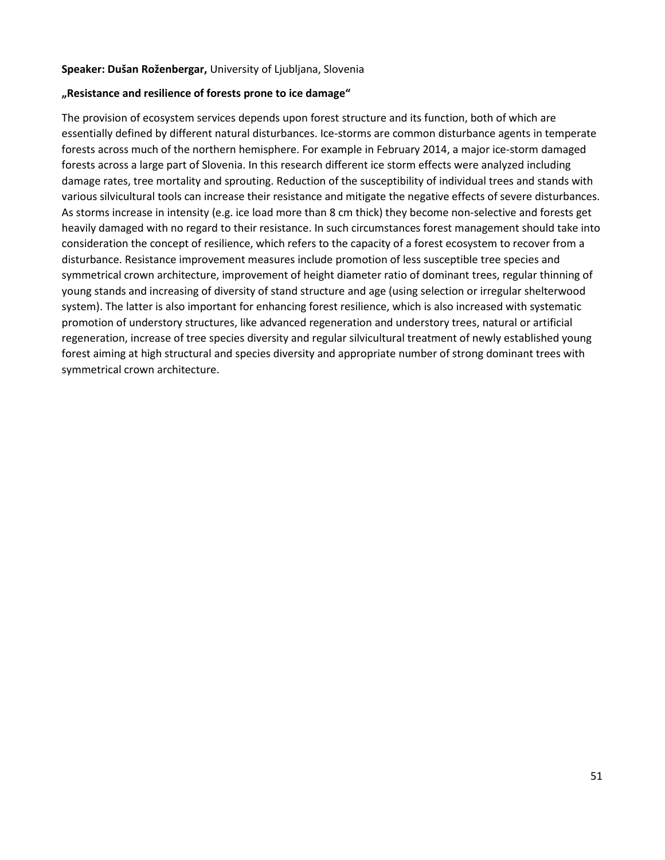#### **Speaker: Dušan Roženbergar,** University of Ljubljana, Slovenia

#### **"Resistance and resilience of forests prone to ice damage"**

The provision of ecosystem services depends upon forest structure and its function, both of which are essentially defined by different natural disturbances. Ice-storms are common disturbance agents in temperate forests across much of the northern hemisphere. For example in February 2014, a major ice-storm damaged forests across a large part of Slovenia. In this research different ice storm effects were analyzed including damage rates, tree mortality and sprouting. Reduction of the susceptibility of individual trees and stands with various silvicultural tools can increase their resistance and mitigate the negative effects of severe disturbances. As storms increase in intensity (e.g. ice load more than 8 cm thick) they become non-selective and forests get heavily damaged with no regard to their resistance. In such circumstances forest management should take into consideration the concept of resilience, which refers to the capacity of a forest ecosystem to recover from a disturbance. Resistance improvement measures include promotion of less susceptible tree species and symmetrical crown architecture, improvement of height diameter ratio of dominant trees, regular thinning of young stands and increasing of diversity of stand structure and age (using selection or irregular shelterwood system). The latter is also important for enhancing forest resilience, which is also increased with systematic promotion of understory structures, like advanced regeneration and understory trees, natural or artificial regeneration, increase of tree species diversity and regular silvicultural treatment of newly established young forest aiming at high structural and species diversity and appropriate number of strong dominant trees with symmetrical crown architecture.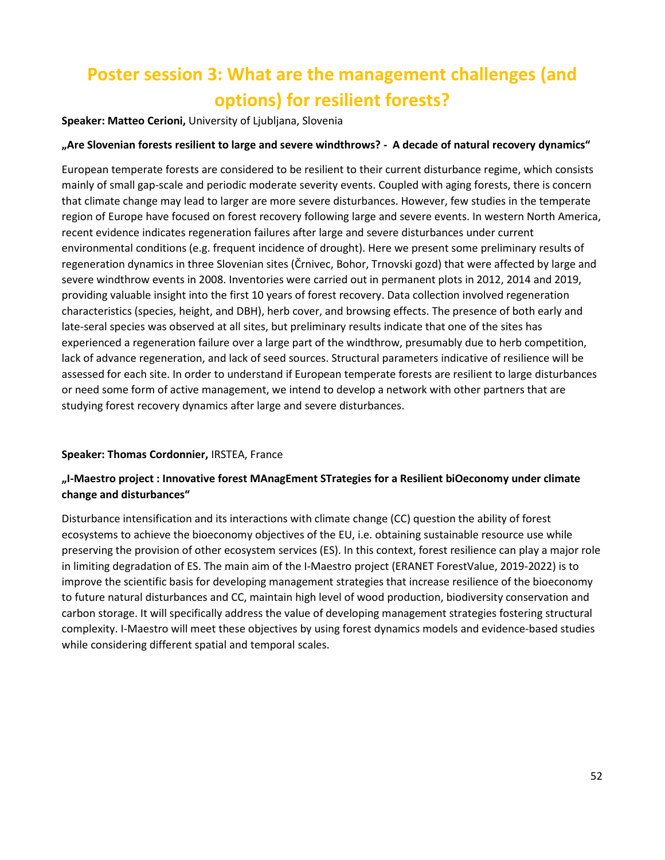## <span id="page-51-0"></span>**Poster session 3: What are the management challenges (and options) for resilient forests?**

**Speaker: Matteo Cerioni,** University of Ljubljana, Slovenia

#### **"Are Slovenian forests resilient to large and severe windthrows? - A decade of natural recovery dynamics"**

European temperate forests are considered to be resilient to their current disturbance regime, which consists mainly of small gap-scale and periodic moderate severity events. Coupled with aging forests, there is concern that climate change may lead to larger are more severe disturbances. However, few studies in the temperate region of Europe have focused on forest recovery following large and severe events. In western North America, recent evidence indicates regeneration failures after large and severe disturbances under current environmental conditions (e.g. frequent incidence of drought). Here we present some preliminary results of regeneration dynamics in three Slovenian sites (Črnivec, Bohor, Trnovski gozd) that were affected by large and severe windthrow events in 2008. Inventories were carried out in permanent plots in 2012, 2014 and 2019, providing valuable insight into the first 10 years of forest recovery. Data collection involved regeneration characteristics (species, height, and DBH), herb cover, and browsing effects. The presence of both early and late-seral species was observed at all sites, but preliminary results indicate that one of the sites has experienced a regeneration failure over a large part of the windthrow, presumably due to herb competition, lack of advance regeneration, and lack of seed sources. Structural parameters indicative of resilience will be assessed for each site. In order to understand if European temperate forests are resilient to large disturbances or need some form of active management, we intend to develop a network with other partners that are studying forest recovery dynamics after large and severe disturbances.

#### **Speaker: Thomas Cordonnier,** IRSTEA, France

## **"I-Maestro project : Innovative forest MAnagEment STrategies for a Resilient biOeconomy under climate change and disturbances"**

Disturbance intensification and its interactions with climate change (CC) question the ability of forest ecosystems to achieve the bioeconomy objectives of the EU, i.e. obtaining sustainable resource use while preserving the provision of other ecosystem services (ES). In this context, forest resilience can play a major role in limiting degradation of ES. The main aim of the I-Maestro project (ERANET ForestValue, 2019-2022) is to improve the scientific basis for developing management strategies that increase resilience of the bioeconomy to future natural disturbances and CC, maintain high level of wood production, biodiversity conservation and carbon storage. It will specifically address the value of developing management strategies fostering structural complexity. I-Maestro will meet these objectives by using forest dynamics models and evidence-based studies while considering different spatial and temporal scales.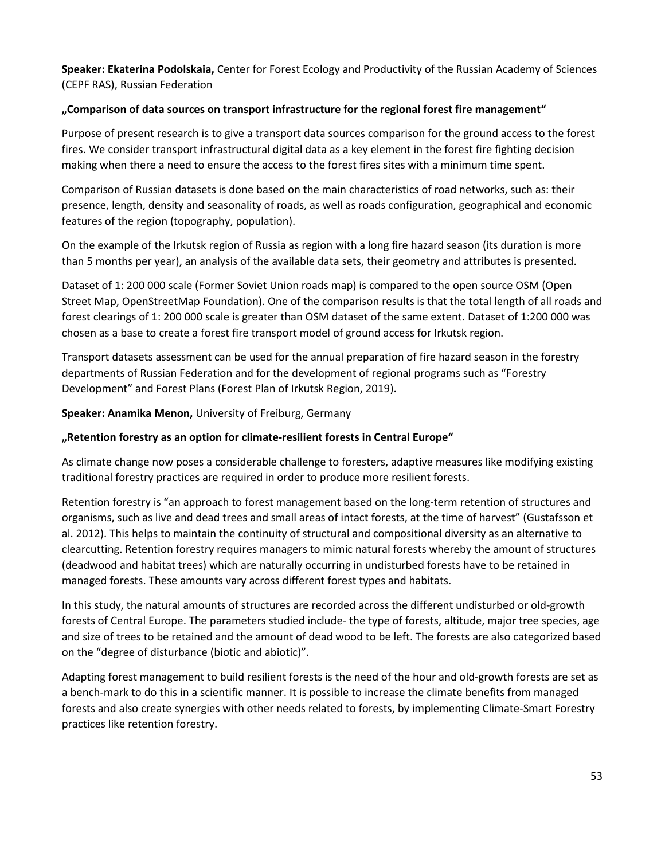**Speaker: Ekaterina Podolskaia,** Center for Forest Ecology and Productivity of the Russian Academy of Sciences (CEPF RAS), Russian Federation

### **"Comparison of data sources on transport infrastructure for the regional forest fire management"**

Purpose of present research is to give a transport data sources comparison for the ground access to the forest fires. We consider transport infrastructural digital data as a key element in the forest fire fighting decision making when there a need to ensure the access to the forest fires sites with a minimum time spent.

Comparison of Russian datasets is done based on the main characteristics of road networks, such as: their presence, length, density and seasonality of roads, as well as roads configuration, geographical and economic features of the region (topography, population).

On the example of the Irkutsk region of Russia as region with a long fire hazard season (its duration is more than 5 months per year), an analysis of the available data sets, their geometry and attributes is presented.

Dataset of 1: 200 000 scale (Former Soviet Union roads map) is compared to the open source OSM (Open Street Map, OpenStreetMap Foundation). One of the comparison results is that the total length of all roads and forest clearings of 1: 200 000 scale is greater than OSM dataset of the same extent. Dataset of 1:200 000 was chosen as a base to create a forest fire transport model of ground access for Irkutsk region.

Transport datasets assessment can be used for the annual preparation of fire hazard season in the forestry departments of Russian Federation and for the development of regional programs such as "Forestry Development" and Forest Plans (Forest Plan of Irkutsk Region, 2019).

**Speaker: Anamika Menon,** University of Freiburg, Germany

## **"Retention forestry as an option for climate-resilient forests in Central Europe"**

As climate change now poses a considerable challenge to foresters, adaptive measures like modifying existing traditional forestry practices are required in order to produce more resilient forests.

Retention forestry is "an approach to forest management based on the long-term retention of structures and organisms, such as live and dead trees and small areas of intact forests, at the time of harvest" (Gustafsson et al. 2012). This helps to maintain the continuity of structural and compositional diversity as an alternative to clearcutting. Retention forestry requires managers to mimic natural forests whereby the amount of structures (deadwood and habitat trees) which are naturally occurring in undisturbed forests have to be retained in managed forests. These amounts vary across different forest types and habitats.

In this study, the natural amounts of structures are recorded across the different undisturbed or old-growth forests of Central Europe. The parameters studied include- the type of forests, altitude, major tree species, age and size of trees to be retained and the amount of dead wood to be left. The forests are also categorized based on the "degree of disturbance (biotic and abiotic)".

Adapting forest management to build resilient forests is the need of the hour and old-growth forests are set as a bench-mark to do this in a scientific manner. It is possible to increase the climate benefits from managed forests and also create synergies with other needs related to forests, by implementing Climate-Smart Forestry practices like retention forestry.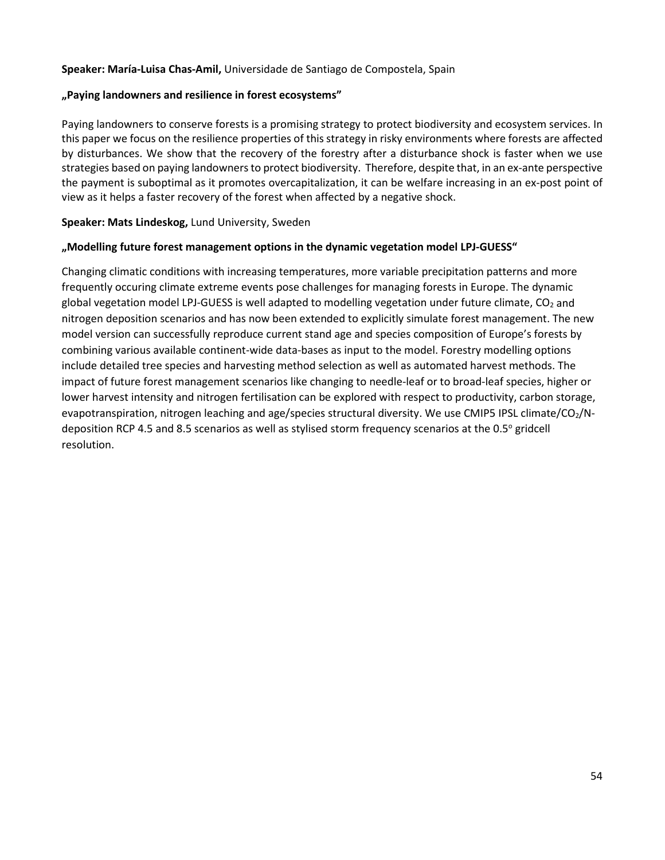#### **Speaker: María-Luisa Chas-Amil,** Universidade de Santiago de Compostela, Spain

#### **"Paying landowners and resilience in forest ecosystems"**

Paying landowners to conserve forests is a promising strategy to protect biodiversity and ecosystem services. In this paper we focus on the resilience properties of this strategy in risky environments where forests are affected by disturbances. We show that the recovery of the forestry after a disturbance shock is faster when we use strategies based on paying landowners to protect biodiversity. Therefore, despite that, in an ex-ante perspective the payment is suboptimal as it promotes overcapitalization, it can be welfare increasing in an ex-post point of view as it helps a faster recovery of the forest when affected by a negative shock.

#### **Speaker: Mats Lindeskog,** Lund University, Sweden

#### **"Modelling future forest management options in the dynamic vegetation model LPJ-GUESS"**

Changing climatic conditions with increasing temperatures, more variable precipitation patterns and more frequently occuring climate extreme events pose challenges for managing forests in Europe. The dynamic global vegetation model LPJ-GUESS is well adapted to modelling vegetation under future climate,  $CO<sub>2</sub>$  and nitrogen deposition scenarios and has now been extended to explicitly simulate forest management. The new model version can successfully reproduce current stand age and species composition of Europe's forests by combining various available continent-wide data-bases as input to the model. Forestry modelling options include detailed tree species and harvesting method selection as well as automated harvest methods. The impact of future forest management scenarios like changing to needle-leaf or to broad-leaf species, higher or lower harvest intensity and nitrogen fertilisation can be explored with respect to productivity, carbon storage, evapotranspiration, nitrogen leaching and age/species structural diversity. We use CMIP5 IPSL climate/CO<sub>2</sub>/Ndeposition RCP 4.5 and 8.5 scenarios as well as stylised storm frequency scenarios at the 0.5° gridcell resolution.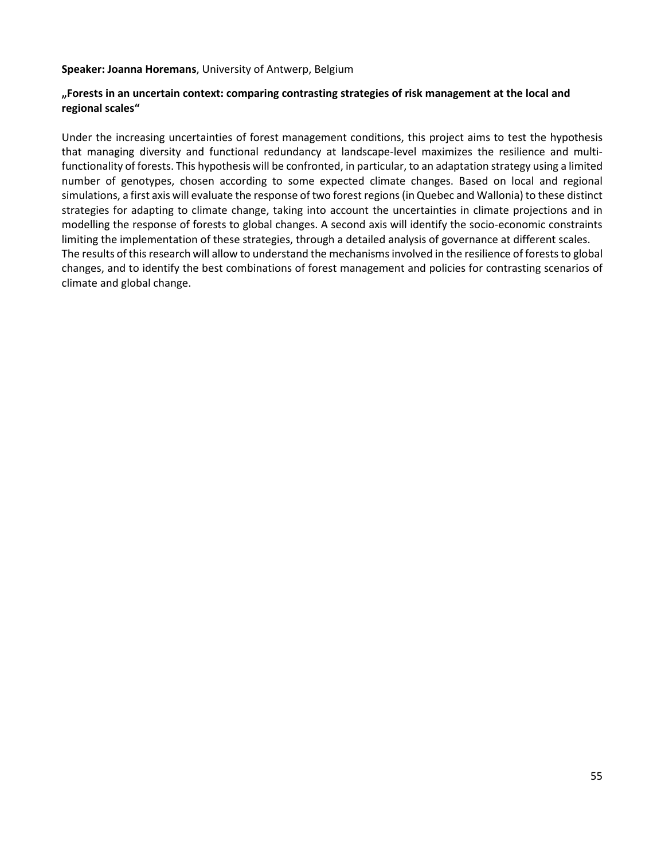**Speaker: Joanna Horemans**, University of Antwerp, Belgium

#### **"Forests in an uncertain context: comparing contrasting strategies of risk management at the local and regional scales"**

Under the increasing uncertainties of forest management conditions, this project aims to test the hypothesis that managing diversity and functional redundancy at landscape-level maximizes the resilience and multifunctionality of forests. This hypothesis will be confronted, in particular, to an adaptation strategy using a limited number of genotypes, chosen according to some expected climate changes. Based on local and regional simulations, a first axis will evaluate the response of two forest regions (in Quebec and Wallonia) to these distinct strategies for adapting to climate change, taking into account the uncertainties in climate projections and in modelling the response of forests to global changes. A second axis will identify the socio-economic constraints limiting the implementation of these strategies, through a detailed analysis of governance at different scales. The results of this research will allow to understand the mechanisms involved in the resilience of forests to global changes, and to identify the best combinations of forest management and policies for contrasting scenarios of climate and global change.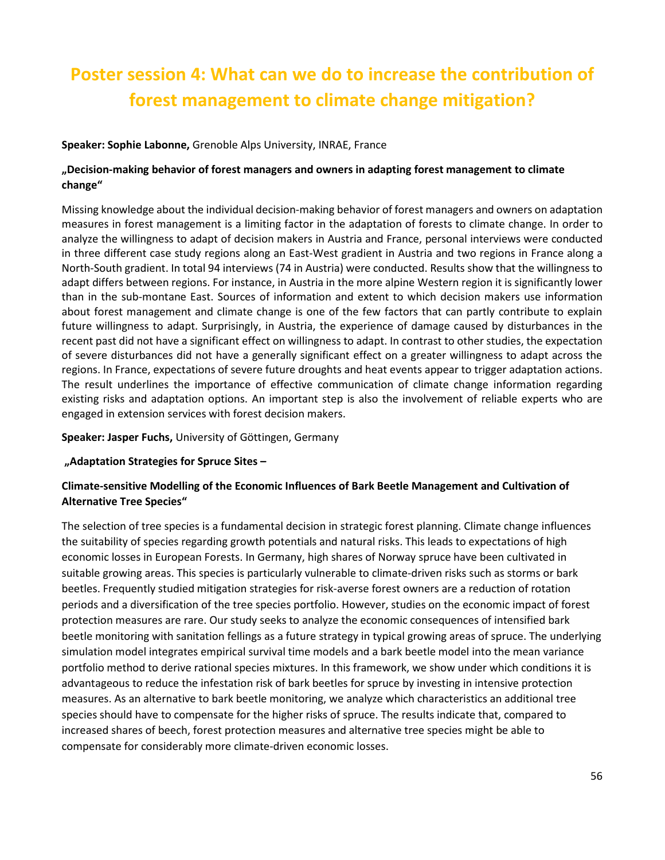# <span id="page-55-0"></span>**Poster session 4: What can we do to increase the contribution of forest management to climate change mitigation?**

### **Speaker: Sophie Labonne,** Grenoble Alps University, INRAE, France

## **"Decision-making behavior of forest managers and owners in adapting forest management to climate change"**

Missing knowledge about the individual decision-making behavior of forest managers and owners on adaptation measures in forest management is a limiting factor in the adaptation of forests to climate change. In order to analyze the willingness to adapt of decision makers in Austria and France, personal interviews were conducted in three different case study regions along an East-West gradient in Austria and two regions in France along a North-South gradient. In total 94 interviews (74 in Austria) were conducted. Results show that the willingness to adapt differs between regions. For instance, in Austria in the more alpine Western region it is significantly lower than in the sub-montane East. Sources of information and extent to which decision makers use information about forest management and climate change is one of the few factors that can partly contribute to explain future willingness to adapt. Surprisingly, in Austria, the experience of damage caused by disturbances in the recent past did not have a significant effect on willingness to adapt. In contrast to other studies, the expectation of severe disturbances did not have a generally significant effect on a greater willingness to adapt across the regions. In France, expectations of severe future droughts and heat events appear to trigger adaptation actions. The result underlines the importance of effective communication of climate change information regarding existing risks and adaptation options. An important step is also the involvement of reliable experts who are engaged in extension services with forest decision makers.

#### **Speaker: Jasper Fuchs,** University of Göttingen, Germany

#### **"Adaptation Strategies for Spruce Sites –**

## **Climate-sensitive Modelling of the Economic Influences of Bark Beetle Management and Cultivation of Alternative Tree Species"**

The selection of tree species is a fundamental decision in strategic forest planning. Climate change influences the suitability of species regarding growth potentials and natural risks. This leads to expectations of high economic losses in European Forests. In Germany, high shares of Norway spruce have been cultivated in suitable growing areas. This species is particularly vulnerable to climate-driven risks such as storms or bark beetles. Frequently studied mitigation strategies for risk-averse forest owners are a reduction of rotation periods and a diversification of the tree species portfolio. However, studies on the economic impact of forest protection measures are rare. Our study seeks to analyze the economic consequences of intensified bark beetle monitoring with sanitation fellings as a future strategy in typical growing areas of spruce. The underlying simulation model integrates empirical survival time models and a bark beetle model into the mean variance portfolio method to derive rational species mixtures. In this framework, we show under which conditions it is advantageous to reduce the infestation risk of bark beetles for spruce by investing in intensive protection measures. As an alternative to bark beetle monitoring, we analyze which characteristics an additional tree species should have to compensate for the higher risks of spruce. The results indicate that, compared to increased shares of beech, forest protection measures and alternative tree species might be able to compensate for considerably more climate-driven economic losses.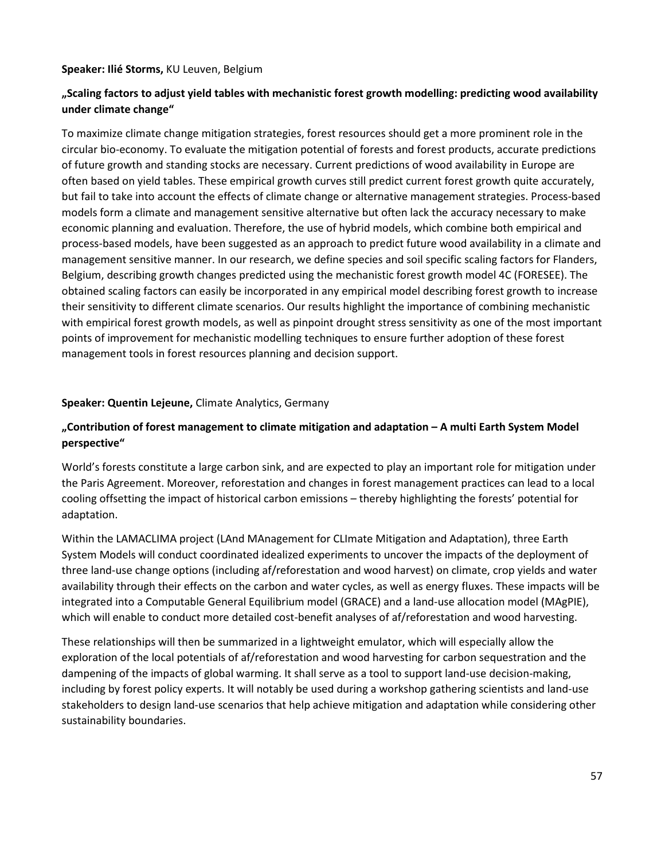#### **Speaker: Ilié Storms,** KU Leuven, Belgium

## **"Scaling factors to adjust yield tables with mechanistic forest growth modelling: predicting wood availability under climate change"**

To maximize climate change mitigation strategies, forest resources should get a more prominent role in the circular bio-economy. To evaluate the mitigation potential of forests and forest products, accurate predictions of future growth and standing stocks are necessary. Current predictions of wood availability in Europe are often based on yield tables. These empirical growth curves still predict current forest growth quite accurately, but fail to take into account the effects of climate change or alternative management strategies. Process-based models form a climate and management sensitive alternative but often lack the accuracy necessary to make economic planning and evaluation. Therefore, the use of hybrid models, which combine both empirical and process-based models, have been suggested as an approach to predict future wood availability in a climate and management sensitive manner. In our research, we define species and soil specific scaling factors for Flanders, Belgium, describing growth changes predicted using the mechanistic forest growth model 4C (FORESEE). The obtained scaling factors can easily be incorporated in any empirical model describing forest growth to increase their sensitivity to different climate scenarios. Our results highlight the importance of combining mechanistic with empirical forest growth models, as well as pinpoint drought stress sensitivity as one of the most important points of improvement for mechanistic modelling techniques to ensure further adoption of these forest management tools in forest resources planning and decision support.

#### **Speaker: Quentin Lejeune,** Climate Analytics, Germany

## **"Contribution of forest management to climate mitigation and adaptation – A multi Earth System Model perspective"**

World's forests constitute a large carbon sink, and are expected to play an important role for mitigation under the Paris Agreement. Moreover, reforestation and changes in forest management practices can lead to a local cooling offsetting the impact of historical carbon emissions – thereby highlighting the forests' potential for adaptation.

Within the LAMACLIMA project (LAnd MAnagement for CLImate Mitigation and Adaptation), three Earth System Models will conduct coordinated idealized experiments to uncover the impacts of the deployment of three land-use change options (including af/reforestation and wood harvest) on climate, crop yields and water availability through their effects on the carbon and water cycles, as well as energy fluxes. These impacts will be integrated into a Computable General Equilibrium model (GRACE) and a land-use allocation model (MAgPIE), which will enable to conduct more detailed cost-benefit analyses of af/reforestation and wood harvesting.

These relationships will then be summarized in a lightweight emulator, which will especially allow the exploration of the local potentials of af/reforestation and wood harvesting for carbon sequestration and the dampening of the impacts of global warming. It shall serve as a tool to support land-use decision-making, including by forest policy experts. It will notably be used during a workshop gathering scientists and land-use stakeholders to design land-use scenarios that help achieve mitigation and adaptation while considering other sustainability boundaries.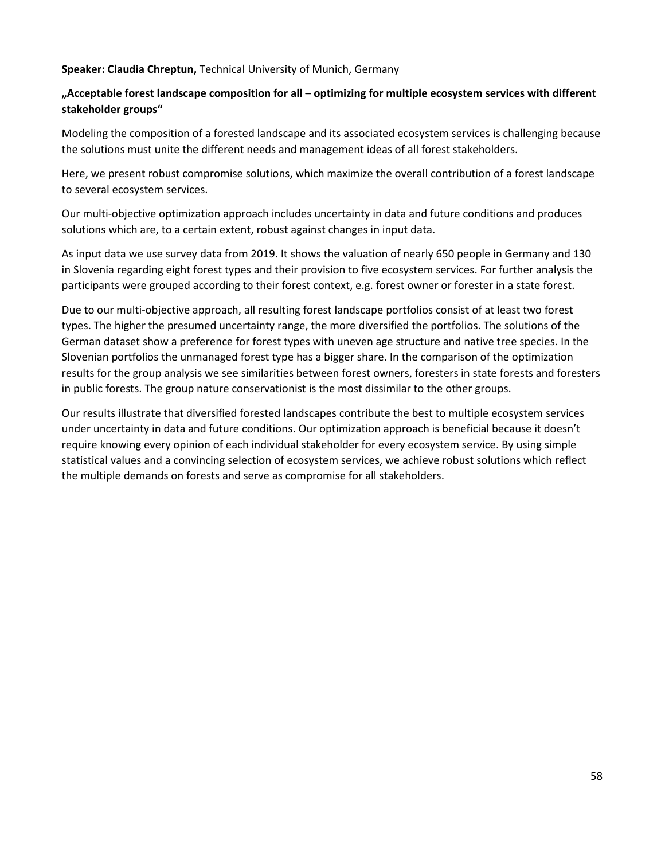#### **Speaker: Claudia Chreptun,** Technical University of Munich, Germany

## **"Acceptable forest landscape composition for all – optimizing for multiple ecosystem services with different stakeholder groups"**

Modeling the composition of a forested landscape and its associated ecosystem services is challenging because the solutions must unite the different needs and management ideas of all forest stakeholders.

Here, we present robust compromise solutions, which maximize the overall contribution of a forest landscape to several ecosystem services.

Our multi-objective optimization approach includes uncertainty in data and future conditions and produces solutions which are, to a certain extent, robust against changes in input data.

As input data we use survey data from 2019. It shows the valuation of nearly 650 people in Germany and 130 in Slovenia regarding eight forest types and their provision to five ecosystem services. For further analysis the participants were grouped according to their forest context, e.g. forest owner or forester in a state forest.

Due to our multi-objective approach, all resulting forest landscape portfolios consist of at least two forest types. The higher the presumed uncertainty range, the more diversified the portfolios. The solutions of the German dataset show a preference for forest types with uneven age structure and native tree species. In the Slovenian portfolios the unmanaged forest type has a bigger share. In the comparison of the optimization results for the group analysis we see similarities between forest owners, foresters in state forests and foresters in public forests. The group nature conservationist is the most dissimilar to the other groups.

Our results illustrate that diversified forested landscapes contribute the best to multiple ecosystem services under uncertainty in data and future conditions. Our optimization approach is beneficial because it doesn't require knowing every opinion of each individual stakeholder for every ecosystem service. By using simple statistical values and a convincing selection of ecosystem services, we achieve robust solutions which reflect the multiple demands on forests and serve as compromise for all stakeholders.